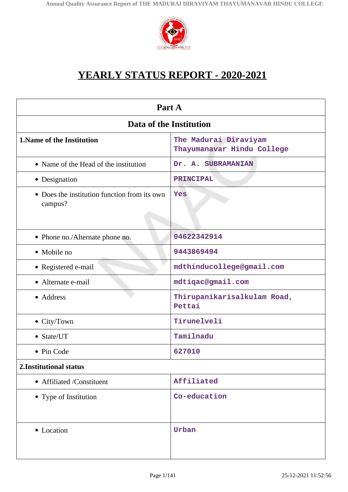

# **YEARLY STATUS REPORT - 2020-2021**

| Part A                                                  |                                                     |  |
|---------------------------------------------------------|-----------------------------------------------------|--|
| Data of the Institution                                 |                                                     |  |
| 1. Name of the Institution                              | The Madurai Diraviyam<br>Thayumanavar Hindu College |  |
| • Name of the Head of the institution                   | Dr. A. SUBRAMANIAN                                  |  |
| • Designation                                           | <b>PRINCIPAL</b>                                    |  |
| • Does the institution function from its own<br>campus? | Yes                                                 |  |
| • Phone no./Alternate phone no.                         | 04622342914                                         |  |
| • Mobile no                                             | 9443869494                                          |  |
| • Registered e-mail                                     | mdthinducollege@gmail.com                           |  |
| • Alternate e-mail                                      | mdtiqac@gmail.com                                   |  |
| • Address                                               | Thirupanikarisalkulam Road,<br>Pettai               |  |
| • City/Town                                             | Tirunelveli                                         |  |
| • State/UT                                              | Tamilnadu                                           |  |
| • Pin Code                                              | 627010                                              |  |
| 2. Institutional status                                 |                                                     |  |
| • Affiliated /Constituent                               | Affiliated                                          |  |
| • Type of Institution                                   | Co-education                                        |  |
| • Location                                              | Urban                                               |  |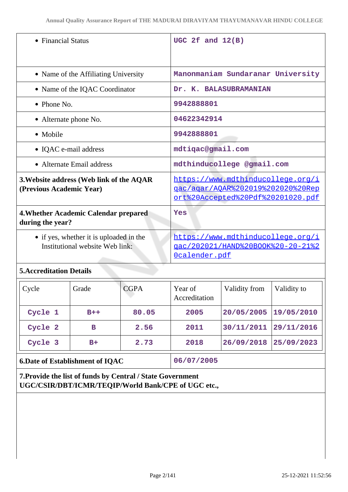| • Financial Status                                                         | UGC 2 $f$ and $12(B)$                                                                                       |
|----------------------------------------------------------------------------|-------------------------------------------------------------------------------------------------------------|
| • Name of the Affiliating University                                       | Manonmaniam Sundaranar University                                                                           |
| • Name of the IQAC Coordinator                                             | Dr. K. BALASUBRAMANIAN                                                                                      |
| $\bullet$ Phone No.                                                        | 9942888801                                                                                                  |
| • Alternate phone No.                                                      | 04622342914                                                                                                 |
| • Mobile                                                                   | 9942888801                                                                                                  |
| • IQAC e-mail address                                                      | mdtiqac@gmail.com                                                                                           |
| • Alternate Email address                                                  | mdthinducollege @gmail.com                                                                                  |
| 3. Website address (Web link of the AQAR<br>(Previous Academic Year)       | https://www.mdthinducollege.org/i<br>gac/agar/AQAR%202019%202020%20Rep<br>ort%20Accepted%20Pdf%20201020.pdf |
| 4. Whether Academic Calendar prepared<br>during the year?                  | Yes                                                                                                         |
| • if yes, whether it is uploaded in the<br>Institutional website Web link: | https://www.mdthinducollege.org/i<br>qac/202021/HAND%20BOOK%20-20-21%2<br>Ocalender.pdf                     |

# **5.Accreditation Details**

| Cycle                                  | Grade | <b>CGPA</b> | Year of<br>Accreditation | Validity from | Validity to |
|----------------------------------------|-------|-------------|--------------------------|---------------|-------------|
| Cycle 1                                | $B++$ | 80.05       | 2005                     | 20/05/2005    | 19/05/2010  |
| Cycle 2                                | в     | 2.56        | 2011                     | 30/11/2011    | 29/11/2016  |
| Cycle 3                                | $B+$  | 2.73        | 2018                     | 26/09/2018    | 25/09/2023  |
| <b>6.Date of Establishment of IQAC</b> |       |             | 06/07/2005               |               |             |

**7.Provide the list of funds by Central / State Government UGC/CSIR/DBT/ICMR/TEQIP/World Bank/CPE of UGC etc.,**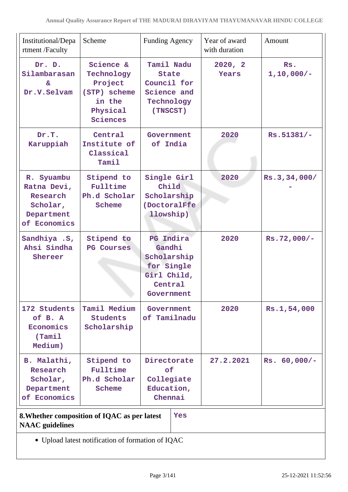| Institutional/Depa<br>rtment /Faculty                                           | Scheme                                                                               | <b>Funding Agency</b>                                                                           |     | Year of award<br>with duration | Amount                |
|---------------------------------------------------------------------------------|--------------------------------------------------------------------------------------|-------------------------------------------------------------------------------------------------|-----|--------------------------------|-----------------------|
| Dr. D.<br>Silambarasan<br>&.<br>Dr.V.Selvam                                     | Science &<br>Technology<br>Project<br>(STP) scheme<br>in the<br>Physical<br>Sciences | Tamil Nadu<br><b>State</b><br>Council for<br>Science and<br>Technology<br>(TNSCST)              |     | 2020, 2<br>Years               | Rs.<br>$1, 10, 000/-$ |
| Dr.T.<br>Karuppiah                                                              | Central<br>Institute of<br>Classical<br>Tamil                                        | Government<br>of India                                                                          |     | 2020                           | $Rs.51381/-$          |
| R. Syuambu<br>Ratna Devi,<br>Research<br>Scholar,<br>Department<br>of Economics | Stipend to<br>Fulltime<br>Ph.d Scholar<br>Scheme                                     | Single Girl<br>Child<br>Scholarship<br>(DoctoralFfe<br>llowship)                                |     | 2020                           | Rs.3,34,000/          |
| Sandhiya .S,<br>Ahsi Sindha<br>Shereer                                          | Stipend to<br><b>PG Courses</b>                                                      | <b>PG</b> Indira<br>Gandhi<br>Scholarship<br>for Single<br>Girl Child,<br>Central<br>Government |     | 2020                           | $Rs.72,000/-$         |
| 172 Students<br>of B. A<br>Economics<br>(Tami <sub>1</sub> )<br>Medium)         | Tamil Medium<br><b>Students</b><br>Scholarship                                       | Government<br>of Tamilnadu                                                                      |     | 2020                           | Rs.1,54,000           |
| B. Malathi,<br>Research<br>Scholar,<br>Department<br>of Economics               | Stipend to<br>Fulltime<br>Ph.d Scholar<br>Scheme                                     | Directorate<br>оf<br>Collegiate<br>Education,<br>Chennai                                        |     | 27.2.2021                      | $Rs. 60,000/-$        |
| <b>NAAC</b> guidelines                                                          | 8. Whether composition of IQAC as per latest                                         |                                                                                                 | Yes |                                |                       |
|                                                                                 | • Upload latest notification of formation of IQAC                                    |                                                                                                 |     |                                |                       |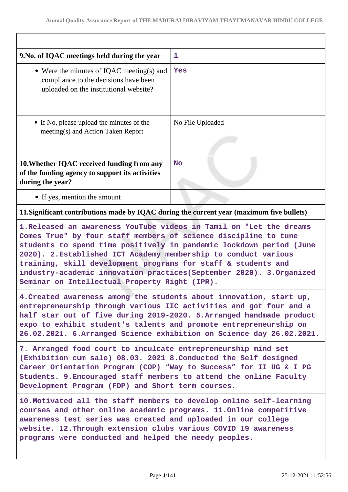| 9. No. of IQAC meetings held during the year                                                                                                                                                                                                                                                                                                                                                         | 1                |  |
|------------------------------------------------------------------------------------------------------------------------------------------------------------------------------------------------------------------------------------------------------------------------------------------------------------------------------------------------------------------------------------------------------|------------------|--|
| • Were the minutes of IQAC meeting(s) and<br>compliance to the decisions have been<br>uploaded on the institutional website?                                                                                                                                                                                                                                                                         | <b>Yes</b>       |  |
| • If No, please upload the minutes of the<br>meeting(s) and Action Taken Report                                                                                                                                                                                                                                                                                                                      | No File Uploaded |  |
| 10. Whether IQAC received funding from any<br>of the funding agency to support its activities<br>during the year?                                                                                                                                                                                                                                                                                    | <b>No</b>        |  |
| • If yes, mention the amount                                                                                                                                                                                                                                                                                                                                                                         |                  |  |
| 11. Significant contributions made by IQAC during the current year (maximum five bullets)                                                                                                                                                                                                                                                                                                            |                  |  |
| Comes True" by four staff members of science discipline to tune<br>students to spend time positively in pandemic lockdown period (June<br>2020). 2. Established ICT Academy membership to conduct various<br>training, skill development programs for staff & students and<br>industry-academic innovation practices (September 2020). 3. Organized<br>Seminar on Intellectual Property Right (IPR). |                  |  |
| 4. Created awareness among the students about innovation, start up,<br>entrepreneurship through various IIC activities and got four and a<br>half star out of five during 2019-2020. 5. Arranged handmade product<br>expo to exhibit student's talents and promote entrepreneurship on<br>26.02.2021. 6.Arranged Science exhibition on Science day 26.02.2021.                                       |                  |  |
| 7. Arranged food court to inculcate entrepreneurship mind set<br>(Exhibition cum sale) 08.03. 2021 8. Conducted the Self designed<br>Career Orientation Program (COP) "Way to Success" for II UG & I PG<br>Students. 9. Encouraged staff members to attend the online Faculty<br>Development Program (FDP) and Short term courses.                                                                   |                  |  |
| 10. Motivated all the staff members to develop online self-learning<br>courses and other online academic programs. 11. Online competitive<br>awareness test series was created and uploaded in our college<br>website. 12. Through extension clubs various COVID 19 awareness<br>programs were conducted and helped the needy peoples.                                                               |                  |  |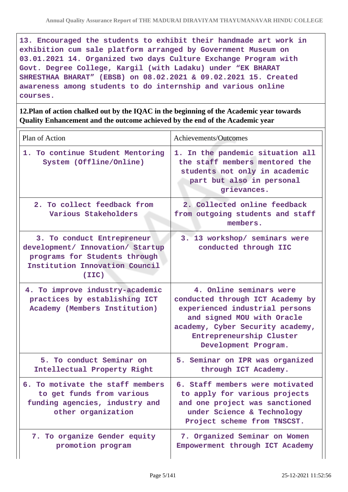**13. Encouraged the students to exhibit their handmade art work in exhibition cum sale platform arranged by Government Museum on 03.01.2021 14. Organized two days Culture Exchange Program with Govt. Degree College, Kargil (with Ladaku) under "EK BHARAT SHRESTHAA BHARAT" (EBSB) on 08.02.2021 & 09.02.2021 15. Created awareness among students to do internship and various online courses.**

**12.Plan of action chalked out by the IQAC in the beginning of the Academic year towards Quality Enhancement and the outcome achieved by the end of the Academic year**

| Plan of Action                                                                                                                             | Achievements/Outcomes                                                                                                                                                                                               |
|--------------------------------------------------------------------------------------------------------------------------------------------|---------------------------------------------------------------------------------------------------------------------------------------------------------------------------------------------------------------------|
| 1. To continue Student Mentoring<br>System (Offline/Online)                                                                                | 1. In the pandemic situation all<br>the staff members mentored the<br>students not only in academic<br>part but also in personal<br>grievances.                                                                     |
| 2. To collect feedback from<br>Various Stakeholders                                                                                        | 2. Collected online feedback<br>from outgoing students and staff<br>members.                                                                                                                                        |
| 3. To conduct Entrepreneur<br>development/ Innovation/ Startup<br>programs for Students through<br>Institution Innovation Council<br>(TIC) | 3. 13 workshop/ seminars were<br>conducted through IIC                                                                                                                                                              |
| 4. To improve industry-academic<br>practices by establishing ICT<br>Academy (Members Institution)                                          | 4. Online seminars were<br>conducted through ICT Academy by<br>experienced industrial persons<br>and signed MOU with Oracle<br>academy, Cyber Security academy,<br>Entrepreneurship Cluster<br>Development Program. |
| 5. To conduct Seminar on<br>Intellectual Property Right                                                                                    | 5. Seminar on IPR was organized<br>through ICT Academy.                                                                                                                                                             |
| 6. To motivate the staff members<br>to get funds from various<br>funding agencies, industry and<br>other organization                      | 6. Staff members were motivated<br>to apply for various projects<br>and one project was sanctioned<br>under Science & Technology<br>Project scheme from TNSCST.                                                     |
| 7. To organize Gender equity<br>promotion program                                                                                          | 7. Organized Seminar on Women<br>Empowerment through ICT Academy                                                                                                                                                    |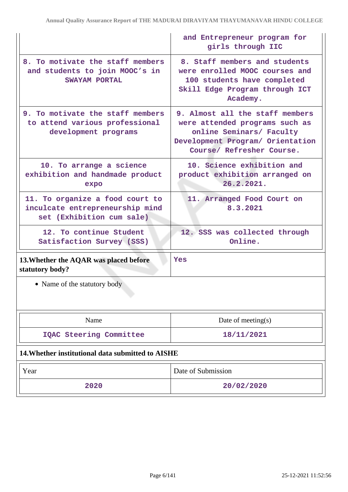|                                                                                                 | and Entrepreneur program for<br>girls through IIC                                                                                                              |
|-------------------------------------------------------------------------------------------------|----------------------------------------------------------------------------------------------------------------------------------------------------------------|
| 8. To motivate the staff members<br>and students to join MOOC's in<br>SWAYAM PORTAL             | 8. Staff members and students<br>were enrolled MOOC courses and<br>100 students have completed<br>Skill Edge Program through ICT<br>Academy.                   |
| 9. To motivate the staff members<br>to attend various professional<br>development programs      | 9. Almost all the staff members<br>were attended programs such as<br>online Seminars/ Faculty<br>Development Program/ Orientation<br>Course/ Refresher Course. |
| 10. To arrange a science<br>exhibition and handmade product<br>expo                             | 10. Science exhibition and<br>product exhibition arranged on<br>26.2.2021.                                                                                     |
| 11. To organize a food court to<br>inculcate entrepreneurship mind<br>set (Exhibition cum sale) | 11. Arranged Food Court on<br>8.3.2021                                                                                                                         |
| 12. To continue Student<br>Satisfaction Survey (SSS)                                            | 12. SSS was collected through<br>Online.                                                                                                                       |
| 13. Whether the AQAR was placed before<br>statutory body?                                       | Yes                                                                                                                                                            |
| • Name of the statutory body                                                                    |                                                                                                                                                                |
| Name                                                                                            | Date of meeting $(s)$                                                                                                                                          |
| IQAC Steering Committee                                                                         | 18/11/2021                                                                                                                                                     |
| 14. Whether institutional data submitted to AISHE                                               |                                                                                                                                                                |
| Year                                                                                            | Date of Submission                                                                                                                                             |
| 2020                                                                                            | 20/02/2020                                                                                                                                                     |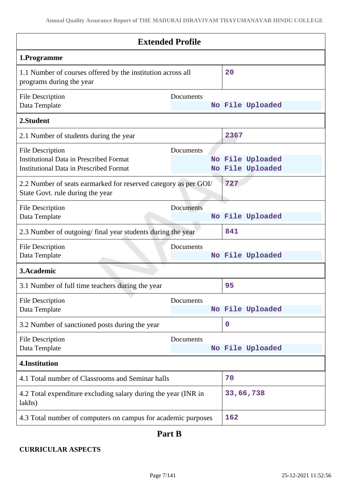| <b>Extended Profile</b>                                                                                                     |                  |                                      |
|-----------------------------------------------------------------------------------------------------------------------------|------------------|--------------------------------------|
| 1.Programme                                                                                                                 |                  |                                      |
| 1.1 Number of courses offered by the institution across all<br>programs during the year                                     |                  | 20                                   |
| <b>File Description</b><br>Data Template                                                                                    | Documents        | No File Uploaded                     |
| 2.Student                                                                                                                   |                  |                                      |
| 2.1 Number of students during the year                                                                                      |                  | 2367                                 |
| <b>File Description</b><br><b>Institutional Data in Prescribed Format</b><br><b>Institutional Data in Prescribed Format</b> | Documents        | No File Uploaded<br>No File Uploaded |
| 2.2 Number of seats earmarked for reserved category as per GOI/<br>State Govt. rule during the year                         |                  | 727                                  |
| <b>File Description</b><br>Data Template                                                                                    | <b>Documents</b> | No File Uploaded                     |
| 2.3 Number of outgoing/final year students during the year                                                                  |                  | 841                                  |
| <b>File Description</b><br>Data Template                                                                                    | Documents        | No File Uploaded                     |
| 3.Academic                                                                                                                  |                  |                                      |
| 3.1 Number of full time teachers during the year                                                                            |                  | 95                                   |
| <b>File Description</b><br>Data Template                                                                                    | Documents        | No File Uploaded                     |
| 3.2 Number of sanctioned posts during the year                                                                              |                  | $\mathbf 0$                          |
| <b>File Description</b><br>Data Template                                                                                    | Documents        | No File Uploaded                     |
| 4.Institution                                                                                                               |                  |                                      |
| 4.1 Total number of Classrooms and Seminar halls                                                                            |                  | 70                                   |
| 4.2 Total expenditure excluding salary during the year (INR in<br>lakhs)                                                    |                  | 33,66,738                            |
| 4.3 Total number of computers on campus for academic purposes                                                               |                  | 162                                  |

# **Part B**

# **CURRICULAR ASPECTS**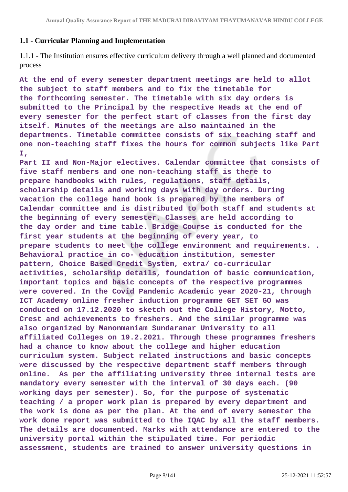# **1.1 - Curricular Planning and Implementation**

1.1.1 - The Institution ensures effective curriculum delivery through a well planned and documented process

**At the end of every semester department meetings are held to allot the subject to staff members and to fix the timetable for the forthcoming semester. The timetable with six day orders is submitted to the Principal by the respective Heads at the end of every semester for the perfect start of classes from the first day itself. Minutes of the meetings are also maintained in the departments. Timetable committee consists of six teaching staff and one non-teaching staff fixes the hours for common subjects like Part I,**

**Part II and Non-Major electives. Calendar committee that consists of five staff members and one non-teaching staff is there to prepare handbooks with rules, regulations, staff details, scholarship details and working days with day orders. During vacation the college hand book is prepared by the members of Calendar committee and is distributed to both staff and students at the beginning of every semester. Classes are held according to the day order and time table. Bridge Course is conducted for the first year students at the beginning of every year, to prepare students to meet the college environment and requirements. . Behavioral practice in co- education institution, semester pattern, Choice Based Credit System, extra/ co-curricular activities, scholarship details, foundation of basic communication, important topics and basic concepts of the respective programmes were covered. In the Covid Pandemic Academic year 2020-21, through ICT Academy online fresher induction programme GET SET GO was conducted on 17.12.2020 to sketch out the College History, Motto, Crest and achievements to freshers. And the similar programme was also organized by Manonmaniam Sundaranar University to all affiliated Colleges on 19.2.2021. Through these programmes freshers had a chance to know about the college and higher education curriculum system. Subject related instructions and basic concepts were discussed by the respective department staff members through online. As per the affiliating university three internal tests are mandatory every semester with the interval of 30 days each. (90 working days per semester). So, for the purpose of systematic teaching / a proper work plan is prepared by every department and the work is done as per the plan. At the end of every semester the work done report was submitted to the IQAC by all the staff members. The details are documented. Marks with attendance are entered to the university portal within the stipulated time. For periodic assessment, students are trained to answer university questions in**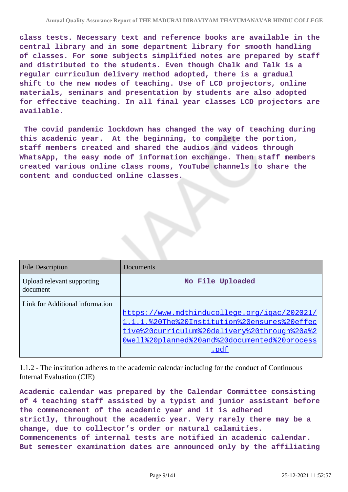**class tests. Necessary text and reference books are available in the central library and in some department library for smooth handling of classes. For some subjects simplified notes are prepared by staff and distributed to the students. Even though Chalk and Talk is a regular curriculum delivery method adopted, there is a gradual shift to the new modes of teaching. Use of LCD projectors, online materials, seminars and presentation by students are also adopted for effective teaching. In all final year classes LCD projectors are available.**

 **The covid pandemic lockdown has changed the way of teaching during this academic year. At the beginning, to complete the portion, staff members created and shared the audios and videos through WhatsApp, the easy mode of information exchange. Then staff members created various online class rooms, YouTube channels to share the content and conducted online classes.**

| <b>File Description</b>                | Documents                                    |
|----------------------------------------|----------------------------------------------|
| Upload relevant supporting<br>document | No File Uploaded                             |
| Link for Additional information        |                                              |
|                                        | https://www.mdthinducollege.org/igac/202021/ |
|                                        | 1.1.1.%20The%20Institution%20ensures%20effec |
|                                        | tive%20curriculum%20delivery%20through%20a%2 |
|                                        | Owell%20planned%20and%20documented%20process |
|                                        |                                              |

1.1.2 - The institution adheres to the academic calendar including for the conduct of Continuous Internal Evaluation (CIE)

**Academic calendar was prepared by the Calendar Committee consisting of 4 teaching staff assisted by a typist and junior assistant before the commencement of the academic year and it is adhered strictly, throughout the academic year. Very rarely there may be a change, due to collector's order or natural calamities. Commencements of internal tests are notified in academic calendar. But semester examination dates are announced only by the affiliating**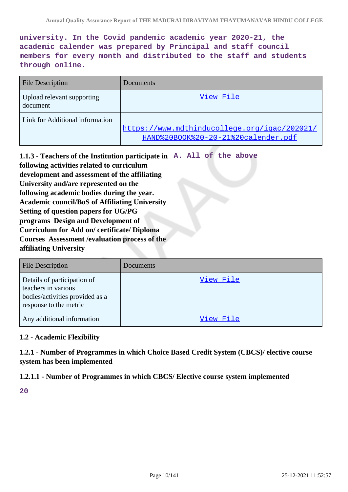**university. In the Covid pandemic academic year 2020-21, the academic calender was prepared by Principal and staff council members for every month and distributed to the staff and students through online.**

| <b>File Description</b>                | Documents                                                                           |
|----------------------------------------|-------------------------------------------------------------------------------------|
| Upload relevant supporting<br>document | View File                                                                           |
| Link for Additional information        | https://www.mdthinducollege.org/igac/202021/<br>HAND%20BOOK%20-20-21%20calender.pdf |

**1.1.3 - Teachers of the Institution participate in A. All of the above following activities related to curriculum development and assessment of the affiliating University and/are represented on the following academic bodies during the year. Academic council/BoS of Affiliating University Setting of question papers for UG/PG programs Design and Development of Curriculum for Add on/ certificate/ Diploma Courses Assessment /evaluation process of the affiliating University**

| <b>File Description</b>                                                                                         | Documents |
|-----------------------------------------------------------------------------------------------------------------|-----------|
| Details of participation of<br>teachers in various<br>bodies/activities provided as a<br>response to the metric | View File |
| Any additional information                                                                                      | View File |

### **1.2 - Academic Flexibility**

**1.2.1 - Number of Programmes in which Choice Based Credit System (CBCS)/ elective course system has been implemented**

**1.2.1.1 - Number of Programmes in which CBCS/ Elective course system implemented**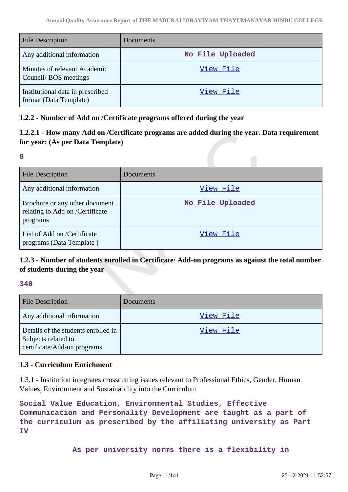| <b>File Description</b>                                    | Documents        |
|------------------------------------------------------------|------------------|
| Any additional information                                 | No File Uploaded |
| Minutes of relevant Academic<br>Council/BOS meetings       | View File        |
| Institutional data in prescribed<br>format (Data Template) | View File        |

# **1.2.2 - Number of Add on /Certificate programs offered during the year**

# **1.2.2.1 - How many Add on /Certificate programs are added during the year. Data requirement for year: (As per Data Template)**

#### **8**

| <b>File Description</b>                                                       | Documents        |
|-------------------------------------------------------------------------------|------------------|
| Any additional information                                                    | View File        |
| Brochure or any other document<br>relating to Add on /Certificate<br>programs | No File Uploaded |
| List of Add on /Certificate<br>programs (Data Template)                       | View File        |

# **1.2.3 - Number of students enrolled in Certificate/ Add-on programs as against the total number of students during the year**

### **340**

| <b>File Description</b>                                                                   | Documents |
|-------------------------------------------------------------------------------------------|-----------|
| Any additional information                                                                | View File |
| Details of the students enrolled in<br>Subjects related to<br>certificate/Add-on programs | View File |

# **1.3 - Curriculum Enrichment**

1.3.1 - Institution integrates crosscutting issues relevant to Professional Ethics, Gender, Human Values, Environment and Sustainability into the Curriculum

```
Social Value Education, Environmental Studies, Effective
Communication and Personality Development are taught as a part of
the curriculum as prescribed by the affiliating university as Part
IV
```
 **As per university norms there is a flexibility in**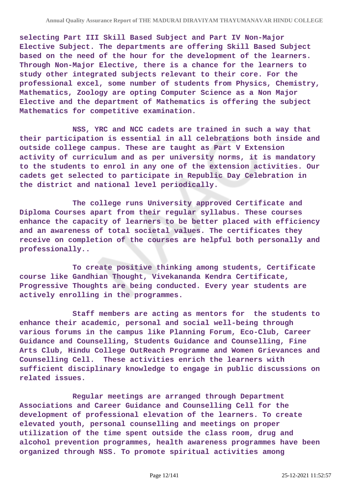**selecting Part III Skill Based Subject and Part IV Non-Major Elective Subject. The departments are offering Skill Based Subject based on the need of the hour for the development of the learners. Through Non-Major Elective, there is a chance for the learners to study other integrated subjects relevant to their core. For the professional excel, some number of students from Physics, Chemistry, Mathematics, Zoology are opting Computer Science as a Non Major Elective and the department of Mathematics is offering the subject Mathematics for competitive examination.**

 **NSS, YRC and NCC cadets are trained in such a way that their participation is essential in all celebrations both inside and outside college campus. These are taught as Part V Extension activity of curriculum and as per university norms, it is mandatory to the students to enrol in any one of the extension activities. Our cadets get selected to participate in Republic Day Celebration in the district and national level periodically.**

 **The college runs University approved Certificate and Diploma Courses apart from their regular syllabus. These courses enhance the capacity of learners to be better placed with efficiency and an awareness of total societal values. The certificates they receive on completion of the courses are helpful both personally and professionally..**

 **To create positive thinking among students, Certificate course like Gandhian Thought, Vivekananda Kendra Certificate, Progressive Thoughts are being conducted. Every year students are actively enrolling in the programmes.**

 **Staff members are acting as mentors for the students to enhance their academic, personal and social well-being through various forums in the campus like Planning Forum, Eco-Club, Career Guidance and Counselling, Students Guidance and Counselling, Fine Arts Club, Hindu College OutReach Programme and Women Grievances and Counselling Cell. These activities enrich the learners with sufficient disciplinary knowledge to engage in public discussions on related issues.**

 **Regular meetings are arranged through Department Associations and Career Guidance and Counselling Cell for the development of professional elevation of the learners. To create elevated youth, personal counselling and meetings on proper utilization of the time spent outside the class room, drug and alcohol prevention programmes, health awareness programmes have been organized through NSS. To promote spiritual activities among**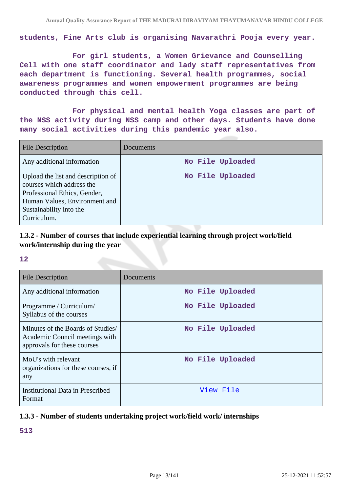**students, Fine Arts club is organising Navarathri Pooja every year.**

 **For girl students, a Women Grievance and Counselling Cell with one staff coordinator and lady staff representatives from each department is functioning. Several health programmes, social awareness programmes and women empowerment programmes are being conducted through this cell.**

 **For physical and mental health Yoga classes are part of the NSS activity during NSS camp and other days. Students have done many social activities during this pandemic year also.** 

| File Description                                                                                                                                                           | Documents        |
|----------------------------------------------------------------------------------------------------------------------------------------------------------------------------|------------------|
| Any additional information                                                                                                                                                 | No File Uploaded |
| Upload the list and description of<br>courses which address the<br>Professional Ethics, Gender,<br>Human Values, Environment and<br>Sustainability into the<br>Curriculum. | No File Uploaded |

# **1.3.2 - Number of courses that include experiential learning through project work/field work/internship during the year**

#### **12**

| <b>File Description</b>                                                                            | Documents        |
|----------------------------------------------------------------------------------------------------|------------------|
| Any additional information                                                                         | No File Uploaded |
| Programme / Curriculum/<br>Syllabus of the courses                                                 | No File Uploaded |
| Minutes of the Boards of Studies/<br>Academic Council meetings with<br>approvals for these courses | No File Uploaded |
| MoU's with relevant<br>organizations for these courses, if<br>any                                  | No File Uploaded |
| <b>Institutional Data in Prescribed</b><br>Format                                                  | View File        |

### **1.3.3 - Number of students undertaking project work/field work/ internships**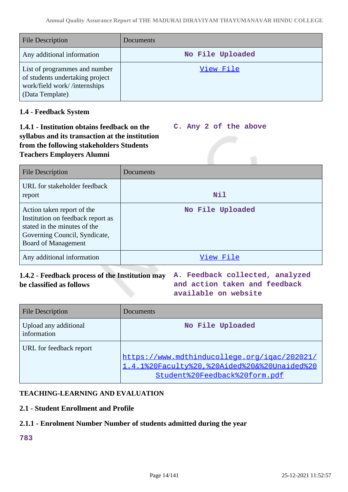| <b>File Description</b>                                                                                             | Documents        |
|---------------------------------------------------------------------------------------------------------------------|------------------|
| Any additional information                                                                                          | No File Uploaded |
| List of programmes and number<br>of students undertaking project<br>work/field work//internships<br>(Data Template) | View File        |

# **1.4 - Feedback System**

#### **1.4.1 - Institution obtains feedback on the syllabus and its transaction at the institution from the following stakeholders Students Teachers Employers Alumni C. Any 2 of the above**

| <b>File Description</b>                                                                                                                                        | Documents        |
|----------------------------------------------------------------------------------------------------------------------------------------------------------------|------------------|
| URL for stakeholder feedback<br>report                                                                                                                         | Nil              |
| Action taken report of the<br>Institution on feedback report as<br>stated in the minutes of the<br>Governing Council, Syndicate,<br><b>Board of Management</b> | No File Uploaded |
| Any additional information                                                                                                                                     | View File        |

# **1.4.2 - Feedback process of the Institution may A. Feedback collected, analyzed be classified as follows**

**and action taken and feedback available on website**

| <b>File Description</b>              | Documents                                                                                                                     |
|--------------------------------------|-------------------------------------------------------------------------------------------------------------------------------|
| Upload any additional<br>information | No File Uploaded                                                                                                              |
| URL for feedback report              | https://www.mdthinducollege.org/igac/202021/<br>1.4.1%20Faculty%20,%20Aided%20&%20Unaided%20<br>Student%20Feedback%20form.pdf |

# **TEACHING-LEARNING AND EVALUATION**

# **2.1 - Student Enrollment and Profile**

# **2.1.1 - Enrolment Number Number of students admitted during the year**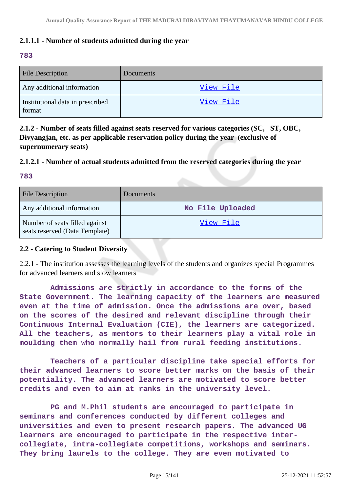# **2.1.1.1 - Number of students admitted during the year**

### **783**

| <b>File Description</b>                    | Documents |
|--------------------------------------------|-----------|
| Any additional information                 | View File |
| Institutional data in prescribed<br>format | View File |

**2.1.2 - Number of seats filled against seats reserved for various categories (SC, ST, OBC, Divyangjan, etc. as per applicable reservation policy during the year (exclusive of supernumerary seats)**

# **2.1.2.1 - Number of actual students admitted from the reserved categories during the year**

### **783**

| <b>File Description</b>                                          | <b>Documents</b> |
|------------------------------------------------------------------|------------------|
| Any additional information                                       | No File Uploaded |
| Number of seats filled against<br>seats reserved (Data Template) | View File        |

### **2.2 - Catering to Student Diversity**

2.2.1 - The institution assesses the learning levels of the students and organizes special Programmes for advanced learners and slow learners

 **Admissions are strictly in accordance to the forms of the State Government. The learning capacity of the learners are measured even at the time of admission. Once the admissions are over, based on the scores of the desired and relevant discipline through their Continuous Internal Evaluation (CIE), the learners are categorized. All the teachers, as mentors to their learners play a vital role in moulding them who normally hail from rural feeding institutions.**

 **Teachers of a particular discipline take special efforts for their advanced learners to score better marks on the basis of their potentiality. The advanced learners are motivated to score better credits and even to aim at ranks in the university level.**

 **PG and M.Phil students are encouraged to participate in seminars and conferences conducted by different colleges and universities and even to present research papers. The advanced UG learners are encouraged to participate in the respective intercollegiate, intra-collegiate competitions, workshops and seminars. They bring laurels to the college. They are even motivated to**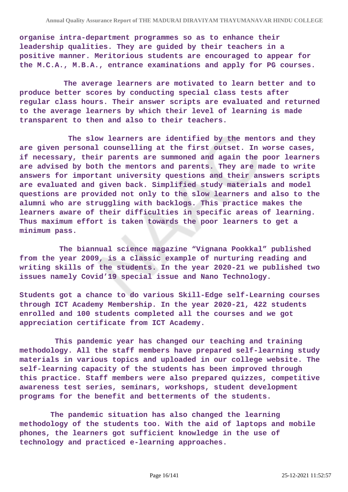**organise intra-department programmes so as to enhance their leadership qualities. They are guided by their teachers in a positive manner. Meritorious students are encouraged to appear for the M.C.A., M.B.A., entrance examinations and apply for PG courses.**

 **The average learners are motivated to learn better and to produce better scores by conducting special class tests after regular class hours. Their answer scripts are evaluated and returned to the average learners by which their level of learning is made transparent to then and also to their teachers.**

 **The slow learners are identified by the mentors and they are given personal counselling at the first outset. In worse cases, if necessary, their parents are summoned and again the poor learners are advised by both the mentors and parents. They are made to write answers for important university questions and their answers scripts are evaluated and given back. Simplified study materials and model questions are provided not only to the slow learners and also to the alumni who are struggling with backlogs. This practice makes the learners aware of their difficulties in specific areas of learning. Thus maximum effort is taken towards the poor learners to get a minimum pass.**

 **The biannual science magazine "Vignana Pookkal" published from the year 2009, is a classic example of nurturing reading and writing skills of the students. In the year 2020-21 we published two issues namely Covid'19 special issue and Nano Technology.**

**Students got a chance to do various Skill-Edge self-Learning courses through ICT Academy Membership. In the year 2020-21, 422 students enrolled and 100 students completed all the courses and we got appreciation certificate from ICT Academy.**

 **This pandemic year has changed our teaching and training methodology. All the staff members have prepared self-learning study materials in various topics and uploaded in our college website. The self-learning capacity of the students has been improved through this practice. Staff members were also prepared quizzes, competitive awareness test series, seminars, workshops, student development programs for the benefit and betterments of the students.** 

 **The pandemic situation has also changed the learning methodology of the students too. With the aid of laptops and mobile phones, the learners got sufficient knowledge in the use of technology and practiced e-learning approaches.**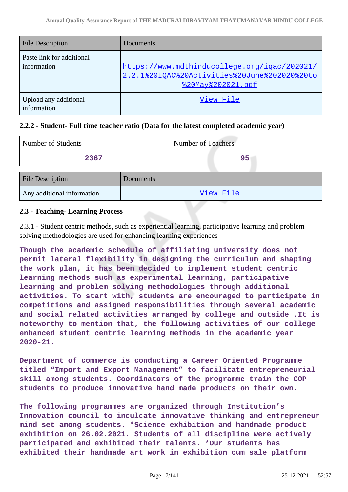| <b>File Description</b>                  | Documents                                                                                                         |
|------------------------------------------|-------------------------------------------------------------------------------------------------------------------|
| Paste link for additional<br>information | https://www.mdthinducollege.org/igac/202021/<br>2.2.1%20IOAC%20Activities%20June%202020%20to<br>%20May%202021.pdf |
| Upload any additional<br>information     | View File                                                                                                         |

# **2.2.2 - Student- Full time teacher ratio (Data for the latest completed academic year)**

| Number of Students         |           | Number of Teachers |           |  |
|----------------------------|-----------|--------------------|-----------|--|
| 2367                       |           |                    | 95        |  |
| <b>File Description</b>    | Documents |                    |           |  |
| Any additional information |           |                    | View File |  |

# **2.3 - Teaching- Learning Process**

2.3.1 - Student centric methods, such as experiential learning, participative learning and problem solving methodologies are used for enhancing learning experiences

**Though the academic schedule of affiliating university does not permit lateral flexibility in designing the curriculum and shaping the work plan, it has been decided to implement student centric learning methods such as experimental learning, participative learning and problem solving methodologies through additional activities. To start with, students are encouraged to participate in competitions and assigned responsibilities through several academic and social related activities arranged by college and outside .It is noteworthy to mention that, the following activities of our college enhanced student centric learning methods in the academic year 2020-21.**

**Department of commerce is conducting a Career Oriented Programme titled "Import and Export Management" to facilitate entrepreneurial skill among students. Coordinators of the programme train the COP students to produce innovative hand made products on their own.**

**The following programmes are organized through Institution's Innovation council to inculcate innovative thinking and entrepreneur mind set among students. \*Science exhibition and handmade product exhibition on 26.02.2021. Students of all discipline were actively participated and exhibited their talents. \*Our students has exhibited their handmade art work in exhibition cum sale platform**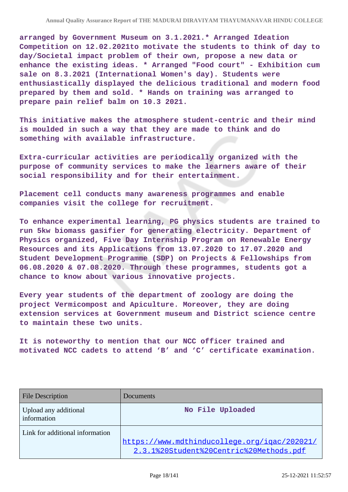**arranged by Government Museum on 3.1.2021.\* Arranged Ideation Competition on 12.02.2021to motivate the students to think of day to day/Societal impact problem of their own, propose a new data or enhance the existing ideas. \* Arranged "Food court" - Exhibition cum sale on 8.3.2021 (International Women's day). Students were enthusiastically displayed the delicious traditional and modern food prepared by them and sold. \* Hands on training was arranged to prepare pain relief balm on 10.3 2021.**

**This initiative makes the atmosphere student-centric and their mind is moulded in such a way that they are made to think and do something with available infrastructure.**

**Extra-curricular activities are periodically organized with the purpose of community services to make the learners aware of their social responsibility and for their entertainment.** 

**Placement cell conducts many awareness programmes and enable companies visit the college for recruitment.**

**To enhance experimental learning, PG physics students are trained to run 5kw biomass gasifier for generating electricity. Department of Physics organized, Five Day Internship Program on Renewable Energy Resources and its Applications from 13.07.2020 to 17.07.2020 and Student Development Programme (SDP) on Projects & Fellowships from 06.08.2020 & 07.08.2020. Through these programmes, students got a chance to know about various innovative projects.** 

**Every year students of the department of zoology are doing the project Vermicompost and Apiculture. Moreover, they are doing extension services at Government museum and District science centre to maintain these two units.**

**It is noteworthy to mention that our NCC officer trained and motivated NCC cadets to attend 'B' and 'C' certificate examination.**

| <b>File Description</b>              | Documents                                                                               |
|--------------------------------------|-----------------------------------------------------------------------------------------|
| Upload any additional<br>information | No File Uploaded                                                                        |
| Link for additional information      | https://www.mdthinducollege.org/igac/202021/<br>2.3.1%20Student%20Centric%20Methods.pdf |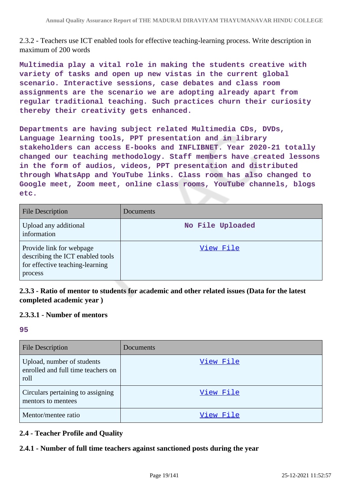2.3.2 - Teachers use ICT enabled tools for effective teaching-learning process. Write description in maximum of 200 words

**Multimedia play a vital role in making the students creative with variety of tasks and open up new vistas in the current global scenario. Interactive sessions, case debates and class room assignments are the scenario we are adopting already apart from regular traditional teaching. Such practices churn their curiosity thereby their creativity gets enhanced.**

**Departments are having subject related Multimedia CDs, DVDs, Language learning tools, PPT presentation and in library stakeholders can access E-books and INFLIBNET. Year 2020-21 totally changed our teaching methodology. Staff members have created lessons in the form of audios, videos, PPT presentation and distributed through WhatsApp and YouTube links. Class room has also changed to Google meet, Zoom meet, online class rooms, YouTube channels, blogs etc.** 

| <b>File Description</b>                                                                                    | Documents        |
|------------------------------------------------------------------------------------------------------------|------------------|
| Upload any additional<br>information                                                                       | No File Uploaded |
| Provide link for webpage<br>describing the ICT enabled tools<br>for effective teaching-learning<br>process | View File        |

**2.3.3 - Ratio of mentor to students for academic and other related issues (Data for the latest completed academic year )**

### **2.3.3.1 - Number of mentors**

#### **95**

| <b>File Description</b>                                                  | Documents |
|--------------------------------------------------------------------------|-----------|
| Upload, number of students<br>enrolled and full time teachers on<br>roll | View File |
| Circulars pertaining to assigning<br>mentors to mentees                  | View File |
| Mentor/mentee ratio                                                      | View File |

# **2.4 - Teacher Profile and Quality**

# **2.4.1 - Number of full time teachers against sanctioned posts during the year**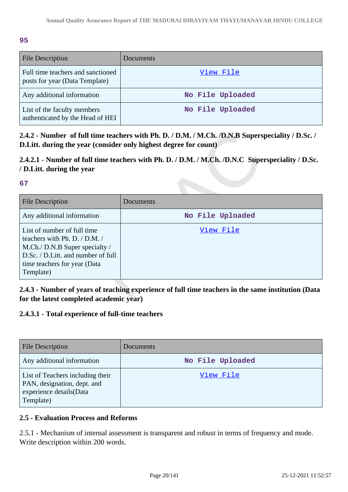### **95**

| <b>File Description</b>                                             | <b>Documents</b> |
|---------------------------------------------------------------------|------------------|
| Full time teachers and sanctioned<br>posts for year (Data Template) | View File        |
| Any additional information                                          | No File Uploaded |
| List of the faculty members<br>authenticated by the Head of HEI     | No File Uploaded |

**2.4.2 - Number of full time teachers with Ph. D. / D.M. / M.Ch. /D.N.B Superspeciality / D.Sc. / D.Litt. during the year (consider only highest degree for count)**

# **2.4.2.1 - Number of full time teachers with Ph. D. / D.M. / M.Ch. /D.N.C Superspeciality / D.Sc. / D.Litt. during the year**

# **67**

| <b>File Description</b>                                                                                                                                                            | Documents        |
|------------------------------------------------------------------------------------------------------------------------------------------------------------------------------------|------------------|
| Any additional information                                                                                                                                                         | No File Uploaded |
| List of number of full time<br>teachers with Ph. D. / D.M. /<br>M.Ch./ D.N.B Super specialty /<br>D.Sc. / D.Litt. and number of full<br>time teachers for year (Data)<br>Template) | View File        |

# **2.4.3 - Number of years of teaching experience of full time teachers in the same institution (Data for the latest completed academic year)**

# **2.4.3.1 - Total experience of full-time teachers**

| <b>File Description</b>                                                                                 | Documents        |
|---------------------------------------------------------------------------------------------------------|------------------|
| Any additional information                                                                              | No File Uploaded |
| List of Teachers including their<br>PAN, designation, dept. and<br>experience details(Data<br>Template) | View File        |

# **2.5 - Evaluation Process and Reforms**

2.5.1 - Mechanism of internal assessment is transparent and robust in terms of frequency and mode. Write description within 200 words.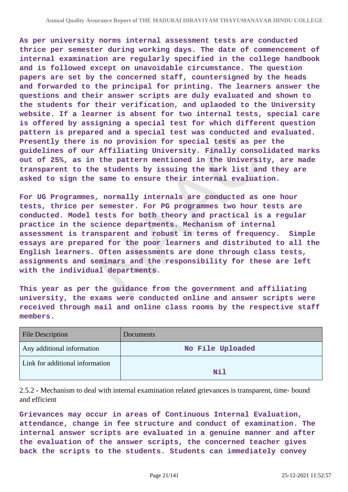**As per university norms internal assessment tests are conducted thrice per semester during working days. The date of commencement of internal examination are regularly specified in the college handbook and is followed except on unavoidable circumstance. The question papers are set by the concerned staff, countersigned by the heads and forwarded to the principal for printing. The learners answer the questions and their answer scripts are duly evaluated and shown to the students for their verification, and uplaoded to the University website. If a learner is absent for two internal tests, special care is offered by assigning a special test for which different question pattern is prepared and a special test was conducted and evaluated. Presently there is no provision for special tests as per the guidelines of our Affiliating University. Finally consolidated marks out of 25%, as in the pattern mentioned in the University, are made transparent to the students by issuing the mark list and they are asked to sign the same to ensure their internal evaluation.**

**For UG Programmes, normally internals are conducted as one hour tests, thrice per semester. For PG programmes two hour tests are conducted. Model tests for both theory and practical is a regular practice in the science departments. Mechanism of internal assessment is transparent and robust in terms of frequency. Simple essays are prepared for the poor learners and distributed to all the English learners. Often assessments are done through class tests, assignments and seminars and the responsibility for these are left with the individual departments.**

**This year as per the guidance from the government and affiliating university, the exams were conducted online and answer scripts were received through mail and online class rooms by the respective staff members.**

| <b>File Description</b>         | <b>Documents</b> |
|---------------------------------|------------------|
| Any additional information      | No File Uploaded |
| Link for additional information | Nil              |

2.5.2 - Mechanism to deal with internal examination related grievances is transparent, time- bound and efficient

**Grievances may occur in areas of Continuous Internal Evaluation, attendance, change in fee structure and conduct of examination. The internal answer scripts are evaluated in a genuine manner and after the evaluation of the answer scripts, the concerned teacher gives back the scripts to the students. Students can immediately convey**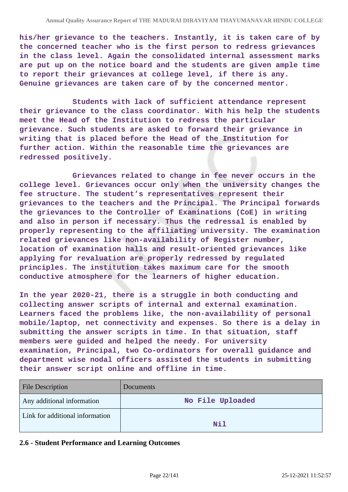**his/her grievance to the teachers. Instantly, it is taken care of by the concerned teacher who is the first person to redress grievances in the class level. Again the consolidated internal assessment marks are put up on the notice board and the students are given ample time to report their grievances at college level, if there is any. Genuine grievances are taken care of by the concerned mentor.**

 **Students with lack of sufficient attendance represent their grievance to the class coordinator. With his help the students meet the Head of the Institution to redress the particular grievance. Such students are asked to forward their grievance in writing that is placed before the Head of the Institution for further action. Within the reasonable time the grievances are redressed positively.**

 **Grievances related to change in fee never occurs in the college level. Grievances occur only when the university changes the fee structure. The student's representatives represent their grievances to the teachers and the Principal. The Principal forwards the grievances to the Controller of Examinations (CoE) in writing and also in person if necessary. Thus the redressal is enabled by properly representing to the affiliating university. The examination related grievances like non-availability of Register number, location of examination halls and result-oriented grievances like applying for revaluation are properly redressed by regulated principles. The institution takes maximum care for the smooth conductive atmosphere for the learners of higher education.**

**In the year 2020-21, there is a struggle in both conducting and collecting answer scripts of internal and external examination. Learners faced the problems like, the non-availability of personal mobile/laptop, net connectivity and expenses. So there is a delay in submitting the answer scripts in time. In that situation, staff members were guided and helped the needy. For university examination, Principal, two Co-ordinators for overall guidance and department wise nodal officers assisted the students in submitting their answer script online and offline in time.**

| <b>File Description</b>         | <b>Documents</b> |
|---------------------------------|------------------|
| Any additional information      | No File Uploaded |
| Link for additional information | Nil              |
|                                 |                  |

#### **2.6 - Student Performance and Learning Outcomes**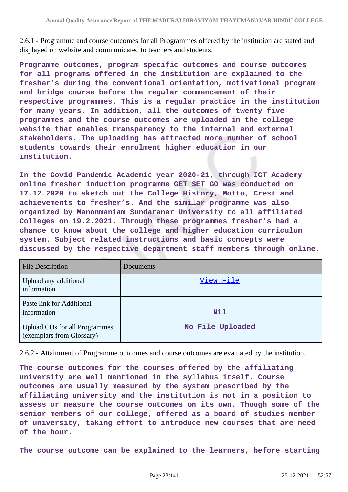2.6.1 - Programme and course outcomes for all Programmes offered by the institution are stated and displayed on website and communicated to teachers and students.

**Programme outcomes, program specific outcomes and course outcomes for all programs offered in the institution are explained to the fresher's during the conventional orientation, motivational program and bridge course before the regular commencement of their respective programmes. This is a regular practice in the institution for many years. In addition, all the outcomes of twenty five programmes and the course outcomes are uploaded in the college website that enables transparency to the internal and external stakeholders. The uploading has attracted more number of school students towards their enrolment higher education in our institution.**

**In the Covid Pandemic Academic year 2020-21, through ICT Academy online fresher induction programme GET SET GO was conducted on 17.12.2020 to sketch out the College History, Motto, Crest and achievements to fresher's. And the similar programme was also organized by Manonmaniam Sundaranar University to all affiliated Colleges on 19.2.2021. Through these programmes fresher's had a chance to know about the college and higher education curriculum system. Subject related instructions and basic concepts were discussed by the respective department staff members through online.**

| <b>File Description</b>                                           | Documents        |
|-------------------------------------------------------------------|------------------|
| Upload any additional<br>information                              | View File        |
| Paste link for Additional<br>information                          | Nil              |
| <b>Upload COs for all Programmes</b><br>(exemplars from Glossary) | No File Uploaded |

2.6.2 - Attainment of Programme outcomes and course outcomes are evaluated by the institution.

**The course outcomes for the courses offered by the affiliating university are well mentioned in the syllabus itself. Course outcomes are usually measured by the system prescribed by the affiliating university and the institution is not in a position to assess or measure the course outcomes on its own. Though some of the senior members of our college, offered as a board of studies member of university, taking effort to introduce new courses that are need of the hour.** 

**The course outcome can be explained to the learners, before starting**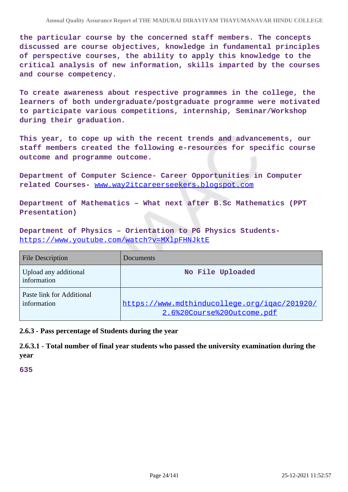**the particular course by the concerned staff members. The concepts discussed are course objectives, knowledge in fundamental principles of perspective courses, the ability to apply this knowledge to the critical analysis of new information, skills imparted by the courses and course competency.**

**To create awareness about respective programmes in the college, the learners of both undergraduate/postgraduate programme were motivated to participate various competitions, internship, Seminar/Workshop during their graduation.** 

**This year, to cope up with the recent trends and advancements, our staff members created the following e-resources for specific course outcome and programme outcome.**

**Department of Computer Science- Career Opportunities in Computer related Courses-** [www.way2itcareerseekers.blogspot.com](http://www.way2itcareerseekers.blogspot.com)

**Department of Mathematics – What next after B.Sc Mathematics (PPT Presentation)**

**Department of Physics – Orientation to PG Physics Students**<https://www.youtube.com/watch?v=MXlpFHNJktE>

| <b>File Description</b>                  | Documents                                                                  |
|------------------------------------------|----------------------------------------------------------------------------|
| Upload any additional<br>information     | No File Uploaded                                                           |
| Paste link for Additional<br>information | https://www.mdthinducollege.org/igac/201920/<br>2.6%20Course%20Outcome.pdf |

**2.6.3 - Pass percentage of Students during the year**

**2.6.3.1 - Total number of final year students who passed the university examination during the year**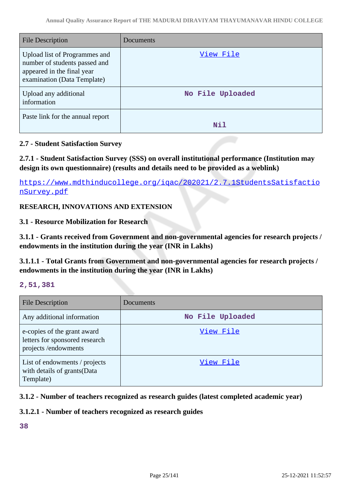| File Description                                                                                                            | Documents        |
|-----------------------------------------------------------------------------------------------------------------------------|------------------|
| Upload list of Programmes and<br>number of students passed and<br>appeared in the final year<br>examination (Data Template) | View File        |
| Upload any additional<br>information                                                                                        | No File Uploaded |
| Paste link for the annual report                                                                                            | Nil              |

# **2.7 - Student Satisfaction Survey**

**2.7.1 - Student Satisfaction Survey (SSS) on overall institutional performance (Institution may design its own questionnaire) (results and details need to be provided as a weblink)**

[https://www.mdthinducollege.org/iqac/202021/2.7.1StudentsSatisfactio](https://www.mdthinducollege.org/iqac/202021/2.7.1StudentsSatisfactionSurvey.pdf) [nSurvey.pdf](https://www.mdthinducollege.org/iqac/202021/2.7.1StudentsSatisfactionSurvey.pdf)

# **RESEARCH, INNOVATIONS AND EXTENSION**

**3.1 - Resource Mobilization for Research**

**3.1.1 - Grants received from Government and non-governmental agencies for research projects / endowments in the institution during the year (INR in Lakhs)**

**3.1.1.1 - Total Grants from Government and non-governmental agencies for research projects / endowments in the institution during the year (INR in Lakhs)**

### **2,51,381**

| <b>File Description</b>                                                              | Documents        |
|--------------------------------------------------------------------------------------|------------------|
| Any additional information                                                           | No File Uploaded |
| e-copies of the grant award<br>letters for sponsored research<br>projects/endowments | View File        |
| List of endowments / projects<br>with details of grants (Data<br>Template)           | View File        |

# **3.1.2 - Number of teachers recognized as research guides (latest completed academic year)**

# **3.1.2.1 - Number of teachers recognized as research guides**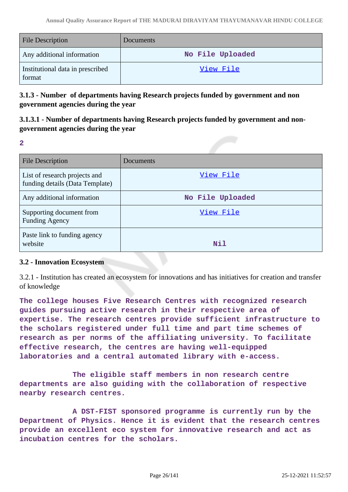| <b>File Description</b>                    | Documents        |
|--------------------------------------------|------------------|
| Any additional information                 | No File Uploaded |
| Institutional data in prescribed<br>format | View File        |

**3.1.3 - Number of departments having Research projects funded by government and non government agencies during the year**

**3.1.3.1 - Number of departments having Research projects funded by government and nongovernment agencies during the year**

**2**

| <b>File Description</b>                                          | Documents        |
|------------------------------------------------------------------|------------------|
| List of research projects and<br>funding details (Data Template) | View File        |
| Any additional information                                       | No File Uploaded |
| Supporting document from<br><b>Funding Agency</b>                | View File        |
| Paste link to funding agency<br>website                          | Nil              |

# **3.2 - Innovation Ecosystem**

3.2.1 - Institution has created an ecosystem for innovations and has initiatives for creation and transfer of knowledge

**The college houses Five Research Centres with recognized research guides pursuing active research in their respective area of expertise. The research centres provide sufficient infrastructure to the scholars registered under full time and part time schemes of research as per norms of the affiliating university. To facilitate effective research, the centres are having well-equipped laboratories and a central automated library with e-access.**

 **The eligible staff members in non research centre departments are also guiding with the collaboration of respective nearby research centres.**

 **A DST-FIST sponsored programme is currently run by the Department of Physics. Hence it is evident that the research centres provide an excellent eco system for innovative research and act as incubation centres for the scholars.**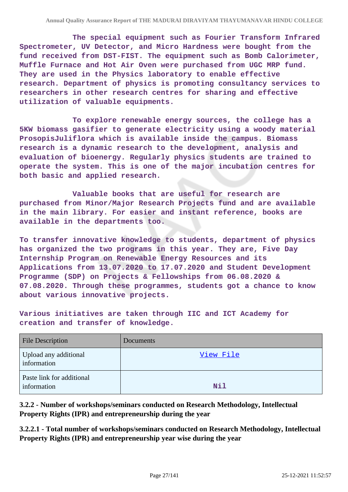**The special equipment such as Fourier Transform Infrared Spectrometer, UV Detector, and Micro Hardness were bought from the fund received from DST-FIST. The equipment such as Bomb Calorimeter, Muffle Furnace and Hot Air Oven were purchased from UGC MRP fund. They are used in the Physics laboratory to enable effective research. Department of physics is promoting consultancy services to researchers in other research centres for sharing and effective utilization of valuable equipments.**

 **To explore renewable energy sources, the college has a 5KW biomass gasifier to generate electricity using a woody material ProsopisJuliflora which is available inside the campus. Biomass research is a dynamic research to the development, analysis and evaluation of bioenergy. Regularly physics students are trained to operate the system. This is one of the major incubation centres for both basic and applied research.**

 **Valuable books that are useful for research are purchased from Minor/Major Research Projects fund and are available in the main library. For easier and instant reference, books are available in the departments too.**

**To transfer innovative knowledge to students, department of physics has organized the two programs in this year. They are, Five Day Internship Program on Renewable Energy Resources and its Applications from 13.07.2020 to 17.07.2020 and Student Development Programme (SDP) on Projects & Fellowships from 06.08.2020 & 07.08.2020. Through these programmes, students got a chance to know about various innovative projects.**

**Various initiatives are taken through IIC and ICT Academy for creation and transfer of knowledge.**

| <b>File Description</b>                  | Documents |
|------------------------------------------|-----------|
| Upload any additional<br>information     | View File |
| Paste link for additional<br>information | Nil       |

**3.2.2 - Number of workshops/seminars conducted on Research Methodology, Intellectual Property Rights (IPR) and entrepreneurship during the year**

**3.2.2.1 - Total number of workshops/seminars conducted on Research Methodology, Intellectual Property Rights (IPR) and entrepreneurship year wise during the year**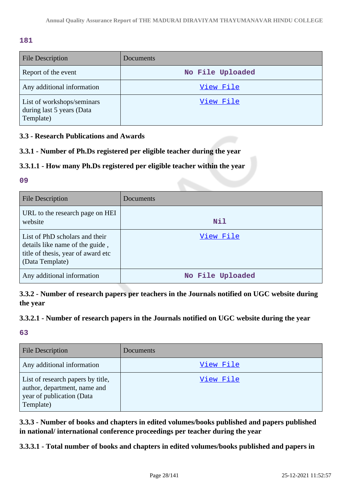# **181**

| <b>File Description</b>                                              | Documents        |
|----------------------------------------------------------------------|------------------|
| Report of the event                                                  | No File Uploaded |
| Any additional information                                           | View File        |
| List of workshops/seminars<br>during last 5 years (Data<br>Template) | View File        |

# **3.3 - Research Publications and Awards**

# **3.3.1 - Number of Ph.Ds registered per eligible teacher during the year**

# **3.3.1.1 - How many Ph.Ds registered per eligible teacher within the year**

### **09**

| File Description                                                                                                           | Documents        |
|----------------------------------------------------------------------------------------------------------------------------|------------------|
| URL to the research page on HEI<br>website                                                                                 | Nil              |
| List of PhD scholars and their<br>details like name of the guide,<br>title of thesis, year of award etc<br>(Data Template) | View File        |
| Any additional information                                                                                                 | No File Uploaded |

**3.3.2 - Number of research papers per teachers in the Journals notified on UGC website during the year**

# **3.3.2.1 - Number of research papers in the Journals notified on UGC website during the year**

**63**

| <b>File Description</b>                                                                                     | Documents |
|-------------------------------------------------------------------------------------------------------------|-----------|
| Any additional information                                                                                  | View File |
| List of research papers by title,<br>author, department, name and<br>year of publication (Data<br>Template) | View File |

**3.3.3 - Number of books and chapters in edited volumes/books published and papers published in national/ international conference proceedings per teacher during the year**

**3.3.3.1 - Total number of books and chapters in edited volumes/books published and papers in**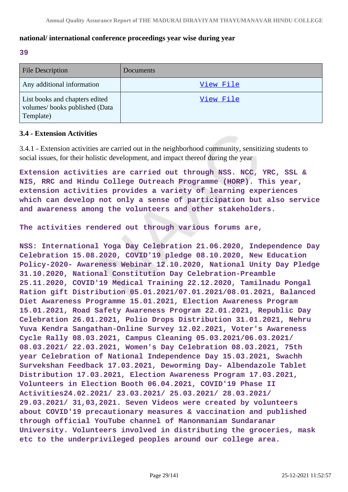### **national/ international conference proceedings year wise during year**

**39**

| <b>File Description</b>                                                      | Documents |
|------------------------------------------------------------------------------|-----------|
| Any additional information                                                   | View File |
| List books and chapters edited<br>volumes/books published (Data<br>Template) | View File |

### **3.4 - Extension Activities**

3.4.1 - Extension activities are carried out in the neighborhood community, sensitizing students to social issues, for their holistic development, and impact thereof during the year

**Extension activities are carried out through NSS. NCC, YRC, SSL & NIS, RRC and Hindu College Outreach Programme (HORP). This year, extension activities provides a variety of learning experiences which can develop not only a sense of participation but also service and awareness among the volunteers and other stakeholders.**

**The activities rendered out through various forums are,**

**NSS: International Yoga Day Celebration 21.06.2020, Independence Day Celebration 15.08.2020, COVID'19 pledge 08.10.2020, New Education Policy-2020- Awareness Webinar 12.10.2020, National Unity Day Pledge 31.10.2020, National Constitution Day Celebration-Preamble 25.11.2020, COVID'19 Medical Training 22.12.2020, Tamilnadu Pongal Ration gift Distribution 05.01.2021/07.01.2021/08.01.2021, Balanced Diet Awareness Programme 15.01.2021, Election Awareness Program 15.01.2021, Road Safety Awareness Program 22.01.2021, Republic Day Celebration 26.01.2021, Polio Drops Distribution 31.01.2021, Nehru Yuva Kendra Sangathan-Online Survey 12.02.2021, Voter's Awareness Cycle Rally 08.03.2021, Campus Cleaning 05.03.2021/06.03.2021/ 08.03.2021/ 22.03.2021, Women's Day Celebration 08.03.2021, 75th year Celebration of National Independence Day 15.03.2021, Swachh Survekshan Feedback 17.03.2021, Deworming Day- Albendazole Tablet Distribution 17.03.2021, Election Awareness Program 17.03.2021, Volunteers in Election Booth 06.04.2021, COVID'19 Phase II Activities24.02.2021/ 23.03.2021/ 25.03.2021/ 28.03.2021/ 29.03.2021/ 31,03,2021. Seven Videos were created by volunteers about COVID'19 precautionary measures & vaccination and published through official YouTube channel of Manonmaniam Sundaranar University. Volunteers involved in distributing the groceries, mask etc to the underprivileged peoples around our college area.**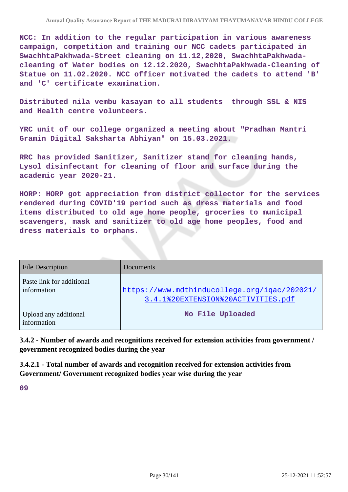**NCC: In addition to the regular participation in various awareness campaign, competition and training our NCC cadets participated in SwachhtaPakhwada-Street cleaning on 11.12,2020, SwachhtaPakhwadacleaning of Water bodies on 12.12.2020, SwachhtaPakhwada-Cleaning of Statue on 11.02.2020. NCC officer motivated the cadets to attend 'B' and 'C' certificate examination.**

**Distributed nila vembu kasayam to all students through SSL & NIS and Health centre volunteers.**

**YRC unit of our college organized a meeting about "Pradhan Mantri Gramin Digital Saksharta Abhiyan" on 15.03.2021.**

**RRC has provided Sanitizer, Sanitizer stand for cleaning hands, Lysol disinfectant for cleaning of floor and surface during the academic year 2020-21.**

**HORP: HORP got appreciation from district collector for the services rendered during COVID'19 period such as dress materials and food items distributed to old age home people, groceries to municipal scavengers, mask and sanitizer to old age home peoples, food and dress materials to orphans.**

| <b>File Description</b>                  | Documents                                                                          |
|------------------------------------------|------------------------------------------------------------------------------------|
| Paste link for additional<br>information | https://www.mdthinducollege.org/igac/202021/<br>3.4.1%20EXTENSION%20ACTIVITIES.pdf |
| Upload any additional<br>information     | No File Uploaded                                                                   |

**3.4.2 - Number of awards and recognitions received for extension activities from government / government recognized bodies during the year**

**3.4.2.1 - Total number of awards and recognition received for extension activities from Government/ Government recognized bodies year wise during the year**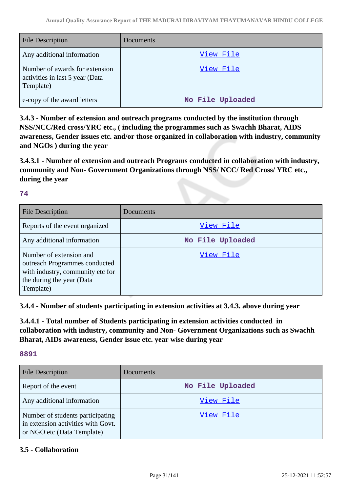| <b>File Description</b>                                                        | Documents        |
|--------------------------------------------------------------------------------|------------------|
| Any additional information                                                     | View File        |
| Number of awards for extension<br>activities in last 5 year (Data<br>Template) | View File        |
| e-copy of the award letters                                                    | No File Uploaded |

**3.4.3 - Number of extension and outreach programs conducted by the institution through NSS/NCC/Red cross/YRC etc., ( including the programmes such as Swachh Bharat, AIDS awareness, Gender issues etc. and/or those organized in collaboration with industry, community and NGOs ) during the year**

**3.4.3.1 - Number of extension and outreach Programs conducted in collaboration with industry, community and Non- Government Organizations through NSS/ NCC/ Red Cross/ YRC etc., during the year**

### **74**

| File Description                                                                                                                       | Documents        |
|----------------------------------------------------------------------------------------------------------------------------------------|------------------|
| Reports of the event organized                                                                                                         | View File        |
| Any additional information                                                                                                             | No File Uploaded |
| Number of extension and<br>outreach Programmes conducted<br>with industry, community etc for<br>the during the year (Data<br>Template) | View File        |

**3.4.4 - Number of students participating in extension activities at 3.4.3. above during year**

**3.4.4.1 - Total number of Students participating in extension activities conducted in collaboration with industry, community and Non- Government Organizations such as Swachh Bharat, AIDs awareness, Gender issue etc. year wise during year**

### **8891**

| <b>File Description</b>                                                                              | Documents        |
|------------------------------------------------------------------------------------------------------|------------------|
| Report of the event                                                                                  | No File Uploaded |
| Any additional information                                                                           | View File        |
| Number of students participating<br>in extension activities with Govt.<br>or NGO etc (Data Template) | View File        |

# **3.5 - Collaboration**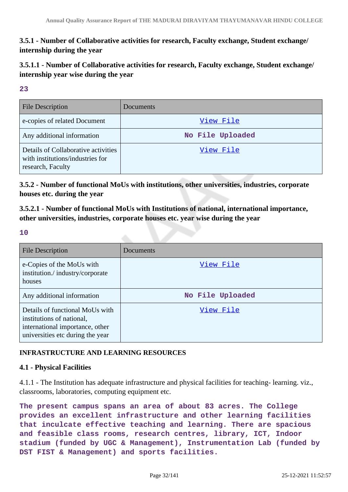**3.5.1 - Number of Collaborative activities for research, Faculty exchange, Student exchange/ internship during the year**

**3.5.1.1 - Number of Collaborative activities for research, Faculty exchange, Student exchange/ internship year wise during the year**

**23**

| <b>File Description</b>                                                                      | Documents        |
|----------------------------------------------------------------------------------------------|------------------|
| e-copies of related Document                                                                 | View File        |
| Any additional information                                                                   | No File Uploaded |
| Details of Collaborative activities<br>with institutions/industries for<br>research, Faculty | View File        |

**3.5.2 - Number of functional MoUs with institutions, other universities, industries, corporate houses etc. during the year**

**3.5.2.1 - Number of functional MoUs with Institutions of national, international importance, other universities, industries, corporate houses etc. year wise during the year**

**10**

| <b>File Description</b>                                                                                                             | Documents        |
|-------------------------------------------------------------------------------------------------------------------------------------|------------------|
| e-Copies of the MoUs with<br>institution./industry/corporate<br>houses                                                              | View File        |
| Any additional information                                                                                                          | No File Uploaded |
| Details of functional MoUs with<br>institutions of national,<br>international importance, other<br>universities etc during the year | View File        |

# **INFRASTRUCTURE AND LEARNING RESOURCES**

# **4.1 - Physical Facilities**

4.1.1 - The Institution has adequate infrastructure and physical facilities for teaching- learning. viz., classrooms, laboratories, computing equipment etc.

**The present campus spans an area of about 83 acres. The College provides an excellent infrastructure and other learning facilities that inculcate effective teaching and learning. There are spacious and feasible class rooms, research centres, library, ICT, Indoor stadium (funded by UGC & Management), Instrumentation Lab (funded by DST FIST & Management) and sports facilities.**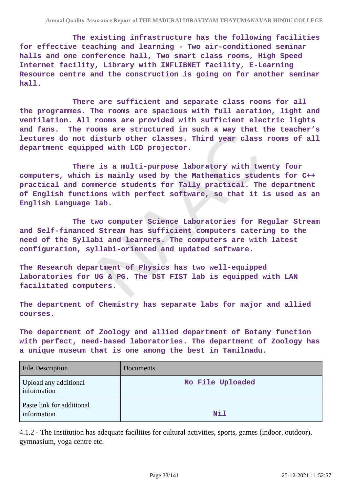**The existing infrastructure has the following facilities for effective teaching and learning - Two air-conditioned seminar halls and one conference hall, Two smart class rooms, High Speed Internet facility, Library with INFLIBNET facility, E-Learning Resource centre and the construction is going on for another seminar hall.** 

 **There are sufficient and separate class rooms for all the programmes. The rooms are spacious with full aeration, light and ventilation. All rooms are provided with sufficient electric lights and fans. The rooms are structured in such a way that the teacher's lectures do not disturb other classes. Third year class rooms of all department equipped with LCD projector.** 

 **There is a multi-purpose laboratory with twenty four computers, which is mainly used by the Mathematics students for C++ practical and commerce students for Tally practical. The department of English functions with perfect software, so that it is used as an English Language lab.**

 **The two computer Science Laboratories for Regular Stream and Self-financed Stream has sufficient computers catering to the need of the Syllabi and learners. The computers are with latest configuration, syllabi-oriented and updated software.**

**The Research department of Physics has two well-equipped laboratories for UG & PG. The DST FIST lab is equipped with LAN facilitated computers.**

**The department of Chemistry has separate labs for major and allied courses.**

**The department of Zoology and allied department of Botany function with perfect, need-based laboratories. The department of Zoology has a unique museum that is one among the best in Tamilnadu.**

| <b>File Description</b>                  | Documents        |
|------------------------------------------|------------------|
| Upload any additional<br>information     | No File Uploaded |
| Paste link for additional<br>information | Nil              |

4.1.2 - The Institution has adequate facilities for cultural activities, sports, games (indoor, outdoor), gymnasium, yoga centre etc.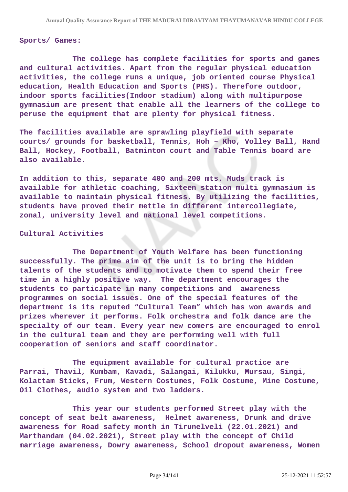#### **Sports/ Games:**

 **The college has complete facilities for sports and games and cultural activities. Apart from the regular physical education activities, the college runs a unique, job oriented course Physical education, Health Education and Sports (PHS). Therefore outdoor, indoor sports facilities(Indoor stadium) along with multipurpose gymnasium are present that enable all the learners of the college to peruse the equipment that are plenty for physical fitness.**

**The facilities available are sprawling playfield with separate courts/ grounds for basketball, Tennis, Hoh – Kho, Volley Ball, Hand Ball, Hockey, Football, Batminton court and Table Tennis board are also available.**

**In addition to this, separate 400 and 200 mts. Muds track is available for athletic coaching, Sixteen station multi gymnasium is available to maintain physical fitness. By utilizing the facilities, students have proved their mettle in different intercollegiate, zonal, university level and national level competitions.**

#### **Cultural Activities**

 **The Department of Youth Welfare has been functioning successfully. The prime aim of the unit is to bring the hidden talents of the students and to motivate them to spend their free time in a highly positive way. The department encourages the students to participate in many competitions and awareness programmes on social issues. One of the special features of the department is its reputed "Cultural Team" which has won awards and prizes wherever it performs. Folk orchestra and folk dance are the specialty of our team. Every year new comers are encouraged to enrol in the cultural team and they are performing well with full cooperation of seniors and staff coordinator.**

 **The equipment available for cultural practice are Parrai, Thavil, Kumbam, Kavadi, Salangai, Kilukku, Mursau, Singi, Kolattam Sticks, Frum, Western Costumes, Folk Costume, Mine Costume, Oil Clothes, audio system and two ladders.**

 **This year our students performed Street play with the concept of seat belt awareness, Helmet awareness, Drunk and drive awareness for Road safety month in Tirunelveli (22.01.2021) and Marthandam (04.02.2021), Street play with the concept of Child marriage awareness, Dowry awareness, School dropout awareness, Women**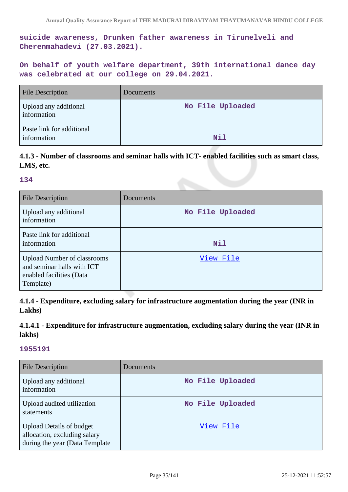**suicide awareness, Drunken father awareness in Tirunelveli and Cherenmahadevi (27.03.2021).** 

**On behalf of youth welfare department, 39th international dance day was celebrated at our college on 29.04.2021.** 

| <b>File Description</b>                  | <b>Documents</b> |
|------------------------------------------|------------------|
| Upload any additional<br>information     | No File Uploaded |
| Paste link for additional<br>information | Nil              |

# **4.1.3 - Number of classrooms and seminar halls with ICT- enabled facilities such as smart class, LMS, etc.**

#### **134**

| File Description                                                                                          | Documents        |
|-----------------------------------------------------------------------------------------------------------|------------------|
| Upload any additional<br>information                                                                      | No File Uploaded |
| Paste link for additional<br>information                                                                  | Nil              |
| <b>Upload Number of classrooms</b><br>and seminar halls with ICT<br>enabled facilities (Data<br>Template) | View File        |

**4.1.4 - Expenditure, excluding salary for infrastructure augmentation during the year (INR in Lakhs)**

# **4.1.4.1 - Expenditure for infrastructure augmentation, excluding salary during the year (INR in lakhs)**

| <b>File Description</b>                                                                            | Documents        |
|----------------------------------------------------------------------------------------------------|------------------|
| Upload any additional<br>information                                                               | No File Uploaded |
| Upload audited utilization<br>statements                                                           | No File Uploaded |
| <b>Upload Details of budget</b><br>allocation, excluding salary<br>during the year (Data Template) | View File        |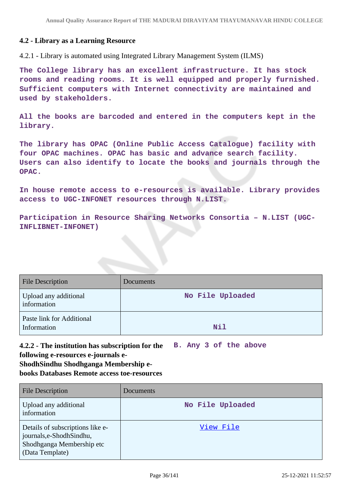# **4.2 - Library as a Learning Resource**

4.2.1 - Library is automated using Integrated Library Management System (ILMS)

**The College library has an excellent infrastructure. It has stock rooms and reading rooms. It is well equipped and properly furnished. Sufficient computers with Internet connectivity are maintained and used by stakeholders.**

**All the books are barcoded and entered in the computers kept in the library.**

**The library has OPAC (Online Public Access Catalogue) facility with four OPAC machines. OPAC has basic and advance search facility. Users can also identify to locate the books and journals through the OPAC.**

**In house remote access to e-resources is available. Library provides access to UGC-INFONET resources through N.LIST.**

**Participation in Resource Sharing Networks Consortia – N.LIST (UGC-INFLIBNET-INFONET)**

| <b>File Description</b>                  | Documents        |
|------------------------------------------|------------------|
| Upload any additional<br>information     | No File Uploaded |
| Paste link for Additional<br>Information | Nil              |

**4.2.2 - The institution has subscription for the following e-resources e-journals e-ShodhSindhu Shodhganga Membership ebooks Databases Remote access toe-resources B. Any 3 of the above**

| <b>File Description</b>                                                                                     | Documents        |
|-------------------------------------------------------------------------------------------------------------|------------------|
| Upload any additional<br>information                                                                        | No File Uploaded |
| Details of subscriptions like e-<br>journals,e-ShodhSindhu,<br>Shodhganga Membership etc<br>(Data Template) | View File        |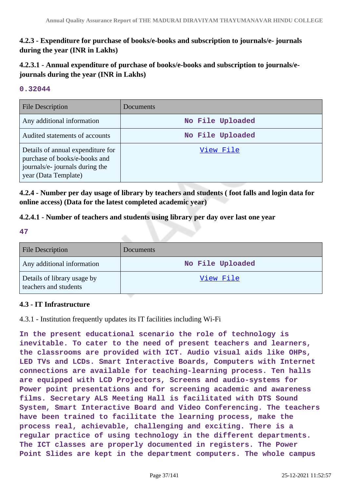# **4.2.3 - Expenditure for purchase of books/e-books and subscription to journals/e- journals during the year (INR in Lakhs)**

# **4.2.3.1 - Annual expenditure of purchase of books/e-books and subscription to journals/ejournals during the year (INR in Lakhs)**

## **0.32044**

| <b>File Description</b>                                                                                                       | <b>Documents</b> |
|-------------------------------------------------------------------------------------------------------------------------------|------------------|
| Any additional information                                                                                                    | No File Uploaded |
| Audited statements of accounts                                                                                                | No File Uploaded |
| Details of annual expenditure for<br>purchase of books/e-books and<br>journals/e- journals during the<br>year (Data Template) | View File        |

**4.2.4 - Number per day usage of library by teachers and students ( foot falls and login data for online access) (Data for the latest completed academic year)**

## **4.2.4.1 - Number of teachers and students using library per day over last one year**

**47**

| <b>File Description</b>                              | Documents        |
|------------------------------------------------------|------------------|
| Any additional information                           | No File Uploaded |
| Details of library usage by<br>teachers and students | <u>View File</u> |

## **4.3 - IT Infrastructure**

4.3.1 - Institution frequently updates its IT facilities including Wi-Fi

**In the present educational scenario the role of technology is inevitable. To cater to the need of present teachers and learners, the classrooms are provided with ICT. Audio visual aids like OHPs, LED TVs and LCDs. Smart Interactive Boards, Computers with Internet connections are available for teaching-learning process. Ten halls are equipped with LCD Projectors, Screens and audio-systems for Power point presentations and for screening academic and awareness films. Secretary ALS Meeting Hall is facilitated with DTS Sound System, Smart Interactive Board and Video Conferencing. The teachers have been trained to facilitate the learning process, make the process real, achievable, challenging and exciting. There is a regular practice of using technology in the different departments. The ICT classes are properly documented in registers. The Power Point Slides are kept in the department computers. The whole campus**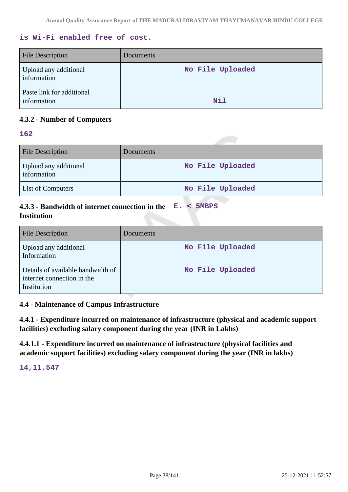## **is Wi-Fi enabled free of cost.**

| File Description                         | Documents        |
|------------------------------------------|------------------|
| Upload any additional<br>information     | No File Uploaded |
| Paste link for additional<br>information | <b>Nil</b>       |

# **4.3.2 - Number of Computers**

## **162**

| <b>File Description</b>              | Documents        |
|--------------------------------------|------------------|
| Upload any additional<br>information | No File Uploaded |
| <b>List of Computers</b>             | No File Uploaded |

#### **4.3.3 - Bandwidth of internet connection in the Institution E. < 5MBPS**

| <b>File Description</b>                                                        | Documents        |
|--------------------------------------------------------------------------------|------------------|
| Upload any additional<br>Information                                           | No File Uploaded |
| Details of available bandwidth of<br>internet connection in the<br>Institution | No File Uploaded |

## **4.4 - Maintenance of Campus Infrastructure**

**4.4.1 - Expenditure incurred on maintenance of infrastructure (physical and academic support facilities) excluding salary component during the year (INR in Lakhs)**

**4.4.1.1 - Expenditure incurred on maintenance of infrastructure (physical facilities and academic support facilities) excluding salary component during the year (INR in lakhs)**

**14,11,547**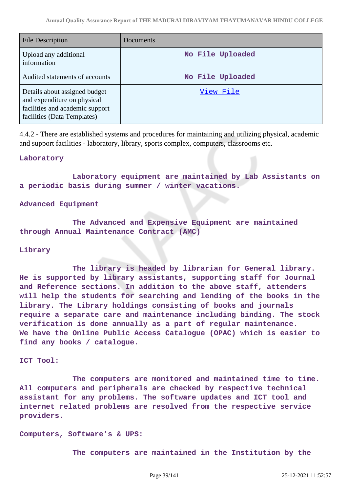| File Description                                                                                                               | Documents        |
|--------------------------------------------------------------------------------------------------------------------------------|------------------|
| Upload any additional<br>information                                                                                           | No File Uploaded |
| Audited statements of accounts                                                                                                 | No File Uploaded |
| Details about assigned budget<br>and expenditure on physical<br>facilities and academic support<br>facilities (Data Templates) | View File        |

4.4.2 - There are established systems and procedures for maintaining and utilizing physical, academic and support facilities - laboratory, library, sports complex, computers, classrooms etc.

### **Laboratory**

 **Laboratory equipment are maintained by Lab Assistants on a periodic basis during summer / winter vacations.**

### **Advanced Equipment**

 **The Advanced and Expensive Equipment are maintained through Annual Maintenance Contract (AMC)**

### **Library**

 **The library is headed by librarian for General library. He is supported by library assistants, supporting staff for Journal and Reference sections. In addition to the above staff, attenders will help the students for searching and lending of the books in the library. The Library holdings consisting of books and journals require a separate care and maintenance including binding. The stock verification is done annually as a part of regular maintenance. We have the Online Public Access Catalogue (OPAC) which is easier to find any books / catalogue.**

### **ICT Tool:**

 **The computers are monitored and maintained time to time. All computers and peripherals are checked by respective technical assistant for any problems. The software updates and ICT tool and internet related problems are resolved from the respective service providers.**

**Computers, Software's & UPS:**

 **The computers are maintained in the Institution by the**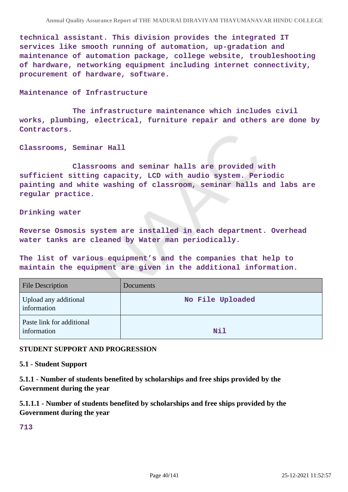**technical assistant. This division provides the integrated IT services like smooth running of automation, up-gradation and maintenance of automation package, college website, troubleshooting of hardware, networking equipment including internet connectivity, procurement of hardware, software.**

### **Maintenance of Infrastructure**

 **The infrastructure maintenance which includes civil works, plumbing, electrical, furniture repair and others are done by Contractors.**

**Classrooms, Seminar Hall**

 **Classrooms and seminar halls are provided with sufficient sitting capacity, LCD with audio system. Periodic painting and white washing of classroom, seminar halls and labs are regular practice.**

**Drinking water**

**Reverse Osmosis system are installed in each department. Overhead water tanks are cleaned by Water man periodically.**

**The list of various equipment's and the companies that help to maintain the equipment are given in the additional information.**

| <b>File Description</b>                  | Documents        |
|------------------------------------------|------------------|
| Upload any additional<br>information     | No File Uploaded |
| Paste link for additional<br>information | Nil              |

### **STUDENT SUPPORT AND PROGRESSION**

### **5.1 - Student Support**

**5.1.1 - Number of students benefited by scholarships and free ships provided by the Government during the year**

**5.1.1.1 - Number of students benefited by scholarships and free ships provided by the Government during the year**

**713**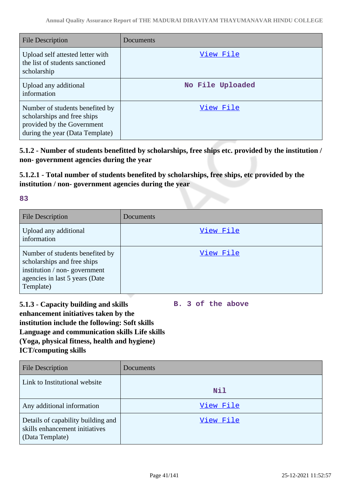| <b>File Description</b>                                                                                                         | Documents        |
|---------------------------------------------------------------------------------------------------------------------------------|------------------|
| Upload self attested letter with<br>the list of students sanctioned<br>scholarship                                              | View File        |
| Upload any additional<br>information                                                                                            | No File Uploaded |
| Number of students benefited by<br>scholarships and free ships<br>provided by the Government<br>during the year (Data Template) | View File        |

**5.1.2 - Number of students benefitted by scholarships, free ships etc. provided by the institution / non- government agencies during the year**

**5.1.2.1 - Total number of students benefited by scholarships, free ships, etc provided by the institution / non- government agencies during the year**

| v<br>×<br>-<br>- 7 | ۰.<br>$\sim$<br>×<br>$\rightarrow$<br>×<br>۰,<br>. . |  |
|--------------------|------------------------------------------------------|--|
|                    |                                                      |  |

| <b>File Description</b>                                                                                                                       | <b>Documents</b> |
|-----------------------------------------------------------------------------------------------------------------------------------------------|------------------|
| Upload any additional<br>information                                                                                                          | View File        |
| Number of students benefited by<br>scholarships and free ships<br>institution / non-government<br>agencies in last 5 years (Date<br>Template) | View File        |

# **5.1.3 - Capacity building and skills enhancement initiatives taken by the institution include the following: Soft skills Language and communication skills Life skills (Yoga, physical fitness, health and hygiene) ICT/computing skills**

**B. 3 of the above**

| <b>File Description</b>                                                                 | <b>Documents</b> |
|-----------------------------------------------------------------------------------------|------------------|
| Link to Institutional website                                                           | Nil              |
| Any additional information                                                              | View File        |
| Details of capability building and<br>skills enhancement initiatives<br>(Data Template) | View File        |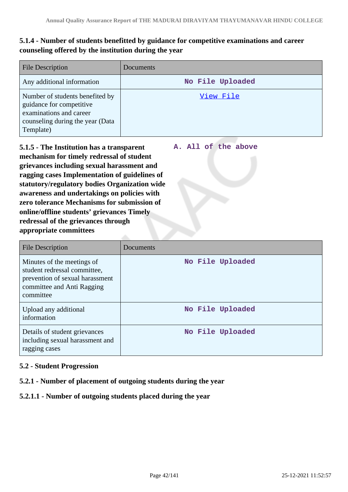# **5.1.4 - Number of students benefitted by guidance for competitive examinations and career counseling offered by the institution during the year**

| <b>File Description</b>                                                                                                                 | Documents        |
|-----------------------------------------------------------------------------------------------------------------------------------------|------------------|
| Any additional information                                                                                                              | No File Uploaded |
| Number of students benefited by<br>guidance for competitive<br>examinations and career<br>counseling during the year (Data<br>Template) | View File        |

**A. All of the above**

**5.1.5 - The Institution has a transparent mechanism for timely redressal of student grievances including sexual harassment and ragging cases Implementation of guidelines of statutory/regulatory bodies Organization wide awareness and undertakings on policies with zero tolerance Mechanisms for submission of online/offline students' grievances Timely redressal of the grievances through appropriate committees**

| <b>File Description</b>                                                                                                                  | Documents        |
|------------------------------------------------------------------------------------------------------------------------------------------|------------------|
| Minutes of the meetings of<br>student redressal committee,<br>prevention of sexual harassment<br>committee and Anti Ragging<br>committee | No File Uploaded |
| Upload any additional<br>information                                                                                                     | No File Uploaded |
| Details of student grievances<br>including sexual harassment and<br>ragging cases                                                        | No File Uploaded |

## **5.2 - Student Progression**

## **5.2.1 - Number of placement of outgoing students during the year**

## **5.2.1.1 - Number of outgoing students placed during the year**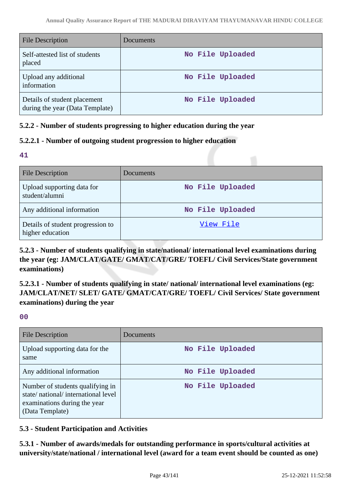| <b>File Description</b>                                         | <b>Documents</b> |
|-----------------------------------------------------------------|------------------|
| Self-attested list of students<br>placed                        | No File Uploaded |
| Upload any additional<br>information                            | No File Uploaded |
| Details of student placement<br>during the year (Data Template) | No File Uploaded |

## **5.2.2 - Number of students progressing to higher education during the year**

## **5.2.2.1 - Number of outgoing student progression to higher education**

**41**

| <b>File Description</b>                               | <b>Documents</b> |
|-------------------------------------------------------|------------------|
| Upload supporting data for<br>student/alumni          | No File Uploaded |
| Any additional information                            | No File Uploaded |
| Details of student progression to<br>higher education | View File        |

**5.2.3 - Number of students qualifying in state/national/ international level examinations during the year (eg: JAM/CLAT/GATE/ GMAT/CAT/GRE/ TOEFL/ Civil Services/State government examinations)**

**5.2.3.1 - Number of students qualifying in state/ national/ international level examinations (eg: JAM/CLAT/NET/ SLET/ GATE/ GMAT/CAT/GRE/ TOEFL/ Civil Services/ State government examinations) during the year**

**00**

| <b>File Description</b>                                                                                                   | Documents        |
|---------------------------------------------------------------------------------------------------------------------------|------------------|
| Upload supporting data for the<br>same                                                                                    | No File Uploaded |
| Any additional information                                                                                                | No File Uploaded |
| Number of students qualifying in<br>state/national/international level<br>examinations during the year<br>(Data Template) | No File Uploaded |

## **5.3 - Student Participation and Activities**

**5.3.1 - Number of awards/medals for outstanding performance in sports/cultural activities at university/state/national / international level (award for a team event should be counted as one)**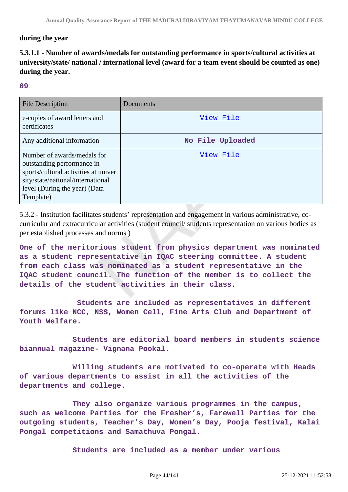## **during the year**

# **5.3.1.1 - Number of awards/medals for outstanding performance in sports/cultural activities at university/state/ national / international level (award for a team event should be counted as one) during the year.**

### **09**

| File Description                                                                                                                                                                     | Documents        |
|--------------------------------------------------------------------------------------------------------------------------------------------------------------------------------------|------------------|
| e-copies of award letters and<br>certificates                                                                                                                                        | View File        |
| Any additional information                                                                                                                                                           | No File Uploaded |
| Number of awards/medals for<br>outstanding performance in<br>sports/cultural activities at univer<br>sity/state/national/international<br>level (During the year) (Data<br>Template) | View File        |

5.3.2 - Institution facilitates students' representation and engagement in various administrative, cocurricular and extracurricular activities (student council/ students representation on various bodies as per established processes and norms )

**One of the meritorious student from physics department was nominated as a student representative in IQAC steering committee. A student from each class was nominated as a student representative in the IQAC student council. The function of the member is to collect the details of the student activities in their class.**

 **Students are included as representatives in different forums like NCC, NSS, Women Cell, Fine Arts Club and Department of Youth Welfare.**

 **Students are editorial board members in students science biannual magazine- Vignana Pookal.**

 **Willing students are motivated to co-operate with Heads of various departments to assist in all the activities of the departments and college.**

 **They also organize various programmes in the campus, such as welcome Parties for the Fresher's, Farewell Parties for the outgoing students, Teacher's Day, Women's Day, Pooja festival, Kalai Pongal competitions and Samathuva Pongal.**

 **Students are included as a member under various**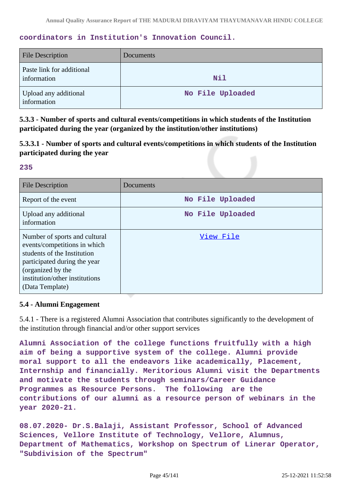## **coordinators in Institution's Innovation Council.**

| <b>File Description</b>                  | Documents        |
|------------------------------------------|------------------|
| Paste link for additional<br>information | Nil              |
| Upload any additional<br>information     | No File Uploaded |

**5.3.3 - Number of sports and cultural events/competitions in which students of the Institution participated during the year (organized by the institution/other institutions)**

**5.3.3.1 - Number of sports and cultural events/competitions in which students of the Institution participated during the year**

### **235**

| <b>File Description</b>                                                                                                                                                                                | Documents        |
|--------------------------------------------------------------------------------------------------------------------------------------------------------------------------------------------------------|------------------|
| Report of the event                                                                                                                                                                                    | No File Uploaded |
| Upload any additional<br>information                                                                                                                                                                   | No File Uploaded |
| Number of sports and cultural<br>events/competitions in which<br>students of the Institution<br>participated during the year<br>(organized by the<br>institution/other institutions<br>(Data Template) | View File        |

## **5.4 - Alumni Engagement**

5.4.1 - There is a registered Alumni Association that contributes significantly to the development of the institution through financial and/or other support services

**Alumni Association of the college functions fruitfully with a high aim of being a supportive system of the college. Alumni provide moral support to all the endeavors like academically, Placement, Internship and financially. Meritorious Alumni visit the Departments and motivate the students through seminars/Career Guidance Programmes as Resource Persons. The following are the contributions of our alumni as a resource person of webinars in the year 2020-21.**

**08.07.2020- Dr.S.Balaji, Assistant Professor, School of Advanced Sciences, Vellore Institute of Technology, Vellore, Alumnus, Department of Mathematics, Workshop on Spectrum of Linerar Operator, "Subdivision of the Spectrum"**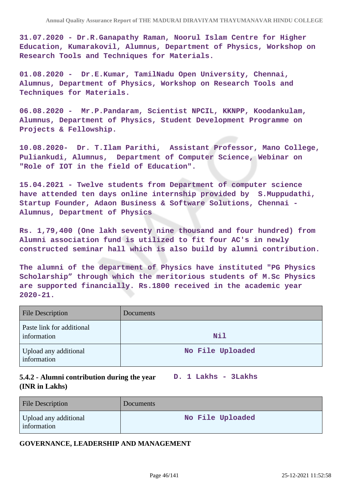**31.07.2020 - Dr.R.Ganapathy Raman, Noorul Islam Centre for Higher Education, Kumarakovil, Alumnus, Department of Physics, Workshop on Research Tools and Techniques for Materials.**

**01.08.2020 - Dr.E.Kumar, TamilNadu Open University, Chennai, Alumnus, Department of Physics, Workshop on Research Tools and Techniques for Materials.**

**06.08.2020 - Mr.P.Pandaram, Scientist NPCIL, KKNPP, Koodankulam, Alumnus, Department of Physics, Student Development Programme on Projects & Fellowship.** 

**10.08.2020- Dr. T.Ilam Parithi, Assistant Professor, Mano College, Puliankudi, Alumnus, Department of Computer Science, Webinar on "Role of IOT in the field of Education".**

**15.04.2021 - Twelve students from Department of computer science have attended ten days online internship provided by S.Muppudathi, Startup Founder, Adaon Business & Software Solutions, Chennai - Alumnus, Department of Physics**

**Rs. 1,79,400 (One lakh seventy nine thousand and four hundred) from Alumni association fund is utilized to fit four AC's in newly constructed seminar hall which is also build by alumni contribution.**

**The alumni of the department of Physics have instituted "PG Physics Scholarship" through which the meritorious students of M.Sc Physics are supported financially. Rs.1800 received in the academic year 2020-21.**

| <b>File Description</b>                  | <b>Documents</b> |
|------------------------------------------|------------------|
| Paste link for additional<br>information | <b>Nil</b>       |
| Upload any additional<br>information     | No File Uploaded |

## **5.4.2 - Alumni contribution during the year D. 1 Lakhs - 3Lakhs (INR in Lakhs)**

| <b>File Description</b>              | <b>Documents</b> |
|--------------------------------------|------------------|
| Upload any additional<br>information | No File Uploaded |

### **GOVERNANCE, LEADERSHIP AND MANAGEMENT**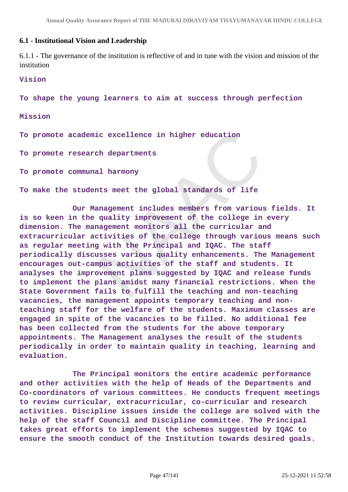### **6.1 - Institutional Vision and Leadership**

6.1.1 - The governance of the institution is reflective of and in tune with the vision and mission of the institution

### **Vision**

**To shape the young learners to aim at success through perfection**

#### **Mission**

**To promote academic excellence in higher education**

**To promote research departments**

**To promote communal harmony**

**To make the students meet the global standards of life**

 **Our Management includes members from various fields. It is so keen in the quality improvement of the college in every dimension. The management monitors all the curricular and extracurricular activities of the college through various means such as regular meeting with the Principal and IQAC. The staff periodically discusses various quality enhancements. The Management encourages out-campus activities of the staff and students. It analyses the improvement plans suggested by IQAC and release funds to implement the plans amidst many financial restrictions. When the State Government fails to fulfill the teaching and non-teaching vacancies, the management appoints temporary teaching and nonteaching staff for the welfare of the students. Maximum classes are engaged in spite of the vacancies to be filled. No additional fee has been collected from the students for the above temporary appointments. The Management analyses the result of the students periodically in order to maintain quality in teaching, learning and evaluation.**

 **The Principal monitors the entire academic performance and other activities with the help of Heads of the Departments and Co-coordinators of various committees. He conducts frequent meetings to review curricular, extracurricular, co-curricular and research activities. Discipline issues inside the college are solved with the help of the staff Council and Discipline committee. The Principal takes great efforts to implement the schemes suggested by IQAC to ensure the smooth conduct of the Institution towards desired goals.**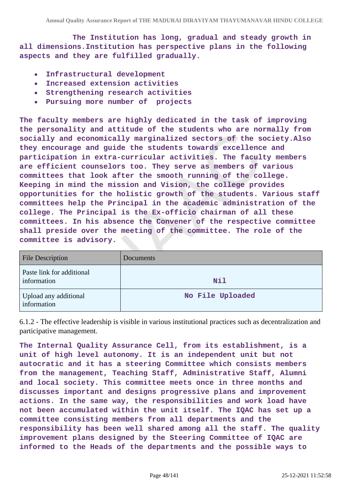**The Institution has long, gradual and steady growth in all dimensions.Institution has perspective plans in the following aspects and they are fulfilled gradually.**

- **Infrastructural development**  $\bullet$
- **Increased extension activities**  $\bullet$
- **Strengthening research activities**  $\bullet$
- **Pursuing more number of projects**  $\bullet$

**The faculty members are highly dedicated in the task of improving the personality and attitude of the students who are normally from socially and economically marginalized sectors of the society.Also they encourage and guide the students towards excellence and participation in extra-curricular activities. The faculty members are efficient counselors too. They serve as members of various committees that look after the smooth running of the college. Keeping in mind the mission and Vision, the college provides opportunities for the holistic growth of the students. Various staff committees help the Principal in the academic administration of the college. The Principal is the Ex-officio chairman of all these committees. In his absence the Convener of the respective committee shall preside over the meeting of the committee. The role of the committee is advisory.**

| <b>File Description</b>                  | Documents        |
|------------------------------------------|------------------|
| Paste link for additional<br>information | Nil              |
| Upload any additional<br>information     | No File Uploaded |

6.1.2 - The effective leadership is visible in various institutional practices such as decentralization and participative management.

**The Internal Quality Assurance Cell, from its establishment, is a unit of high level autonomy. It is an independent unit but not autocratic and it has a steering Committee which consists members from the management, Teaching Staff, Administrative Staff, Alumni and local society. This committee meets once in three months and discusses important and designs progressive plans and improvement actions. In the same way, the responsibilities and work load have not been accumulated within the unit itself. The IQAC has set up a committee consisting members from all departments and the responsibility has been well shared among all the staff. The quality improvement plans designed by the Steering Committee of IQAC are informed to the Heads of the departments and the possible ways to**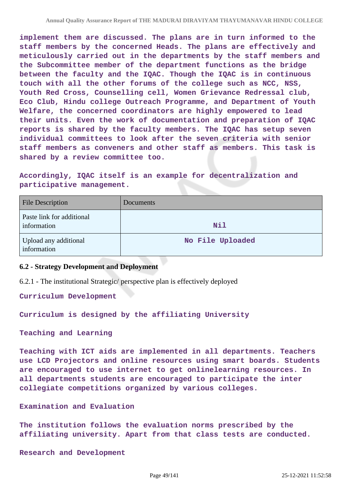**implement them are discussed. The plans are in turn informed to the staff members by the concerned Heads. The plans are effectively and meticulously carried out in the departments by the staff members and the Subcommittee member of the department functions as the bridge between the faculty and the IQAC. Though the IQAC is in continuous touch with all the other forums of the college such as NCC, NSS, Youth Red Cross, Counselling cell, Women Grievance Redressal club, Eco Club, Hindu college Outreach Programme, and Department of Youth Welfare, the concerned coordinators are highly empowered to lead their units. Even the work of documentation and preparation of IQAC reports is shared by the faculty members. The IQAC has setup seven individual committees to look after the seven criteria with senior staff members as conveners and other staff as members. This task is shared by a review committee too.**

**Accordingly, IQAC itself is an example for decentralization and participative management.**

| <b>File Description</b>                  | Documents        |
|------------------------------------------|------------------|
| Paste link for additional<br>information | <b>Nil</b>       |
| Upload any additional<br>information     | No File Uploaded |

## **6.2 - Strategy Development and Deployment**

6.2.1 - The institutional Strategic/ perspective plan is effectively deployed

**Curriculum Development**

**Curriculum is designed by the affiliating University**

**Teaching and Learning**

**Teaching with ICT aids are implemented in all departments. Teachers use LCD Projectors and online resources using smart boards. Students are encouraged to use internet to get onlinelearning resources. In all departments students are encouraged to participate the inter collegiate competitions organized by various colleges.**

**Examination and Evaluation**

**The institution follows the evaluation norms prescribed by the affiliating university. Apart from that class tests are conducted.**

**Research and Development**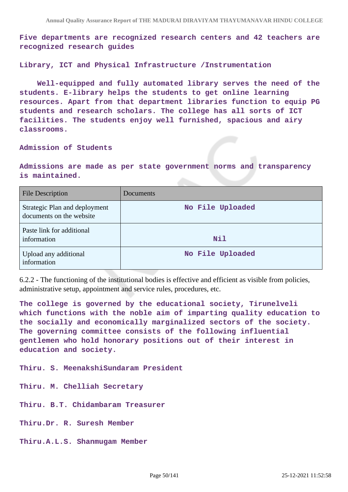**Five departments are recognized research centers and 42 teachers are recognized research guides**

**Library, ICT and Physical Infrastructure /Instrumentation**

 **Well-equipped and fully automated library serves the need of the students. E-library helps the students to get online learning resources. Apart from that department libraries function to equip PG students and research scholars. The college has all sorts of ICT facilities. The students enjoy well furnished, spacious and airy classrooms.**

### **Admission of Students**

**Admissions are made as per state government norms and transparency is maintained.**

| File Description                                          | Documents        |
|-----------------------------------------------------------|------------------|
| Strategic Plan and deployment<br>documents on the website | No File Uploaded |
| Paste link for additional<br>information                  | <b>Nil</b>       |
| Upload any additional<br>information                      | No File Uploaded |

6.2.2 - The functioning of the institutional bodies is effective and efficient as visible from policies, administrative setup, appointment and service rules, procedures, etc.

**The college is governed by the educational society, Tirunelveli which functions with the noble aim of imparting quality education to the socially and economically marginalized sectors of the society. The governing committee consists of the following influential gentlemen who hold honorary positions out of their interest in education and society.**

**Thiru. S. MeenakshiSundaram President**

**Thiru. M. Chelliah Secretary**

**Thiru. B.T. Chidambaram Treasurer**

**Thiru.Dr. R. Suresh Member**

**Thiru.A.L.S. Shanmugam Member**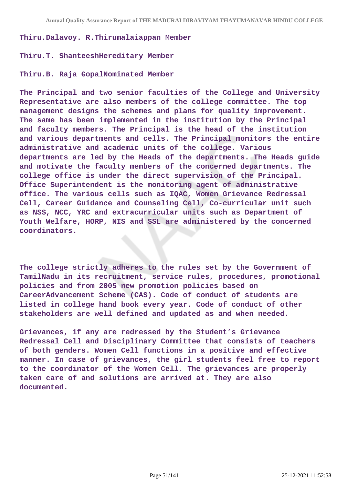#### **Thiru.Dalavoy. R.Thirumalaiappan Member**

### **Thiru.T. ShanteeshHereditary Member**

### **Thiru.B. Raja GopalNominated Member**

**The Principal and two senior faculties of the College and University Representative are also members of the college committee. The top management designs the schemes and plans for quality improvement. The same has been implemented in the institution by the Principal and faculty members. The Principal is the head of the institution and various departments and cells. The Principal monitors the entire administrative and academic units of the college. Various departments are led by the Heads of the departments. The Heads guide and motivate the faculty members of the concerned departments. The college office is under the direct supervision of the Principal. Office Superintendent is the monitoring agent of administrative office. The various cells such as IQAC, Women Grievance Redressal Cell, Career Guidance and Counseling Cell, Co-curricular unit such as NSS, NCC, YRC and extracurricular units such as Department of Youth Welfare, HORP, NIS and SSL are administered by the concerned coordinators.**

**The college strictly adheres to the rules set by the Government of TamilNadu in its recruitment, service rules, procedures, promotional policies and from 2005 new promotion policies based on CareerAdvancement Scheme (CAS). Code of conduct of students are listed in college hand book every year. Code of conduct of other stakeholders are well defined and updated as and when needed.**

**Grievances, if any are redressed by the Student's Grievance Redressal Cell and Disciplinary Committee that consists of teachers of both genders. Women Cell functions in a positive and effective manner. In case of grievances, the girl students feel free to report to the coordinator of the Women Cell. The grievances are properly taken care of and solutions are arrived at. They are also documented.**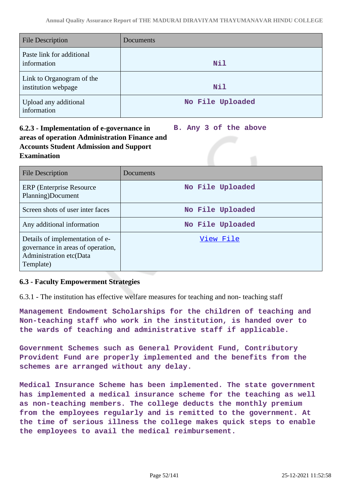| <b>File Description</b>                          | Documents        |
|--------------------------------------------------|------------------|
| Paste link for additional<br>information         | Nil              |
| Link to Organogram of the<br>institution webpage | <b>Nil</b>       |
| Upload any additional<br>information             | No File Uploaded |

### **6.2.3 - Implementation of e-governance in areas of operation Administration Finance and Accounts Student Admission and Support Examination B. Any 3 of the above**

| <b>File Description</b>                                                                                      | Documents        |
|--------------------------------------------------------------------------------------------------------------|------------------|
| ERP (Enterprise Resource)<br>Planning)Document                                                               | No File Uploaded |
| Screen shots of user inter faces                                                                             | No File Uploaded |
| Any additional information                                                                                   | No File Uploaded |
| Details of implementation of e-<br>governance in areas of operation,<br>Administration etc(Data<br>Template) | View File        |

# **6.3 - Faculty Empowerment Strategies**

6.3.1 - The institution has effective welfare measures for teaching and non- teaching staff

**Management Endowment Scholarships for the children of teaching and Non-teaching staff who work in the institution, is handed over to the wards of teaching and administrative staff if applicable.**

**Government Schemes such as General Provident Fund, Contributory Provident Fund are properly implemented and the benefits from the schemes are arranged without any delay.**

**Medical Insurance Scheme has been implemented. The state government has implemented a medical insurance scheme for the teaching as well as non-teaching members. The college deducts the monthly premium from the employees regularly and is remitted to the government. At the time of serious illness the college makes quick steps to enable the employees to avail the medical reimbursement.**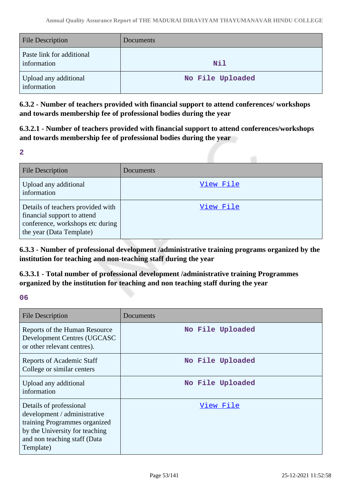| <b>File Description</b>                  | <b>Documents</b> |
|------------------------------------------|------------------|
| Paste link for additional<br>information | <b>Nil</b>       |
| Upload any additional<br>information     | No File Uploaded |

**6.3.2 - Number of teachers provided with financial support to attend conferences/ workshops and towards membership fee of professional bodies during the year**

**6.3.2.1 - Number of teachers provided with financial support to attend conferences/workshops and towards membership fee of professional bodies during the year**

**2**

| <b>File Description</b>                                                                                                          | Documents |
|----------------------------------------------------------------------------------------------------------------------------------|-----------|
| Upload any additional<br>information                                                                                             | View File |
| Details of teachers provided with<br>financial support to attend<br>conference, workshops etc during<br>the year (Data Template) | View File |

**6.3.3 - Number of professional development /administrative training programs organized by the institution for teaching and non-teaching staff during the year**

**6.3.3.1 - Total number of professional development /administrative training Programmes organized by the institution for teaching and non teaching staff during the year**

# **06**

| <b>File Description</b>                                                                                                                                                 | Documents        |
|-------------------------------------------------------------------------------------------------------------------------------------------------------------------------|------------------|
| Reports of the Human Resource<br>Development Centres (UGCASC<br>or other relevant centres).                                                                             | No File Uploaded |
| Reports of Academic Staff<br>College or similar centers                                                                                                                 | No File Uploaded |
| Upload any additional<br>information                                                                                                                                    | No File Uploaded |
| Details of professional<br>development / administrative<br>training Programmes organized<br>by the University for teaching<br>and non teaching staff (Data<br>Template) | View File        |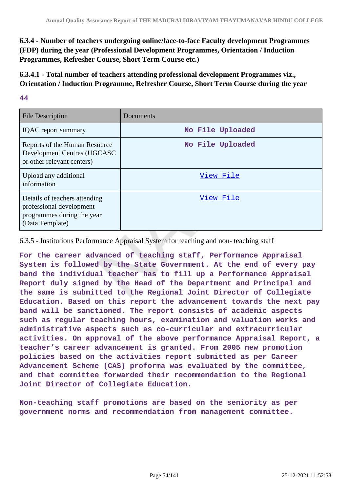**6.3.4 - Number of teachers undergoing online/face-to-face Faculty development Programmes (FDP) during the year (Professional Development Programmes, Orientation / Induction Programmes, Refresher Course, Short Term Course etc.)**

**6.3.4.1 - Total number of teachers attending professional development Programmes viz., Orientation / Induction Programme, Refresher Course, Short Term Course during the year**

## **44**

| <b>File Description</b>                                                                                    | Documents        |
|------------------------------------------------------------------------------------------------------------|------------------|
| <b>IQAC</b> report summary                                                                                 | No File Uploaded |
| Reports of the Human Resource<br>Development Centres (UGCASC<br>or other relevant centers)                 | No File Uploaded |
| Upload any additional<br>information                                                                       | View File        |
| Details of teachers attending<br>professional development<br>programmes during the year<br>(Data Template) | View File        |

6.3.5 - Institutions Performance Appraisal System for teaching and non- teaching staff

**For the career advanced of teaching staff, Performance Appraisal System is followed by the State Government. At the end of every pay band the individual teacher has to fill up a Performance Appraisal Report duly signed by the Head of the Department and Principal and the same is submitted to the Regional Joint Director of Collegiate Education. Based on this report the advancement towards the next pay band will be sanctioned. The report consists of academic aspects such as regular teaching hours, examination and valuation works and administrative aspects such as co-curricular and extracurricular activities. On approval of the above performance Appraisal Report, a teacher's career advancement is granted. From 2005 new promotion policies based on the activities report submitted as per Career Advancement Scheme (CAS) proforma was evaluated by the committee, and that committee forwarded their recommendation to the Regional Joint Director of Collegiate Education.**

**Non-teaching staff promotions are based on the seniority as per government norms and recommendation from management committee.**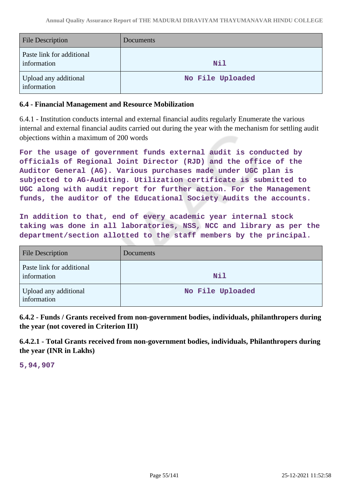| <b>File Description</b>                  | <b>Documents</b> |
|------------------------------------------|------------------|
| Paste link for additional<br>information | <b>Nil</b>       |
| Upload any additional<br>information     | No File Uploaded |

## **6.4 - Financial Management and Resource Mobilization**

6.4.1 - Institution conducts internal and external financial audits regularly Enumerate the various internal and external financial audits carried out during the year with the mechanism for settling audit objections within a maximum of 200 words

**For the usage of government funds external audit is conducted by officials of Regional Joint Director (RJD) and the office of the Auditor General (AG). Various purchases made under UGC plan is subjected to AG-Auditing. Utilization certificate is submitted to UGC along with audit report for further action. For the Management funds, the auditor of the Educational Society Audits the accounts.**

**In addition to that, end of every academic year internal stock taking was done in all laboratories, NSS, NCC and library as per the department/section allotted to the staff members by the principal.**

| <b>File Description</b>                  | Documents        |
|------------------------------------------|------------------|
| Paste link for additional<br>information | Nil              |
| Upload any additional<br>information     | No File Uploaded |

**6.4.2 - Funds / Grants received from non-government bodies, individuals, philanthropers during the year (not covered in Criterion III)**

**6.4.2.1 - Total Grants received from non-government bodies, individuals, Philanthropers during the year (INR in Lakhs)**

**5,94,907**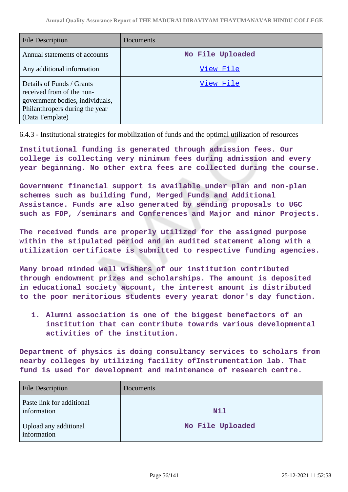| <b>File Description</b>                                                                                                                        | Documents        |
|------------------------------------------------------------------------------------------------------------------------------------------------|------------------|
| Annual statements of accounts                                                                                                                  | No File Uploaded |
| Any additional information                                                                                                                     | View File        |
| Details of Funds / Grants<br>received from of the non-<br>government bodies, individuals,<br>Philanthropers during the year<br>(Data Template) | View File        |

6.4.3 - Institutional strategies for mobilization of funds and the optimal utilization of resources

**Institutional funding is generated through admission fees. Our college is collecting very minimum fees during admission and every year beginning. No other extra fees are collected during the course.**

**Government financial support is available under plan and non-plan schemes such as building fund, Merged Funds and Additional Assistance. Funds are also generated by sending proposals to UGC such as FDP, /seminars and Conferences and Major and minor Projects.**

**The received funds are properly utilized for the assigned purpose within the stipulated period and an audited statement along with a utilization certificate is submitted to respective funding agencies.**

**Many broad minded well wishers of our institution contributed through endowment prizes and scholarships. The amount is deposited in educational society account, the interest amount is distributed to the poor meritorious students every yearat donor's day function.**

**1. Alumni association is one of the biggest benefactors of an institution that can contribute towards various developmental activities of the institution.** 

**Department of physics is doing consultancy services to scholars from nearby colleges by utilizing facility ofInstrumentation lab. That fund is used for development and maintenance of research centre.**

| <b>File Description</b>                  | Documents        |
|------------------------------------------|------------------|
| Paste link for additional<br>information | <b>Nil</b>       |
| Upload any additional<br>information     | No File Uploaded |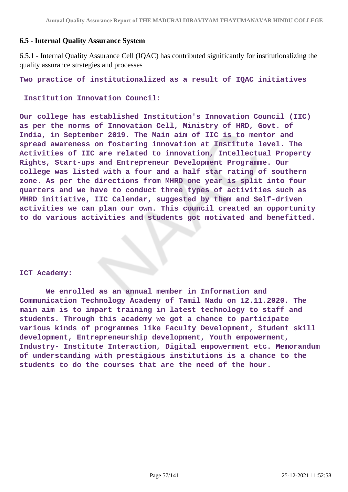## **6.5 - Internal Quality Assurance System**

6.5.1 - Internal Quality Assurance Cell (IQAC) has contributed significantly for institutionalizing the quality assurance strategies and processes

**Two practice of institutionalized as a result of IQAC initiatives**

 **Institution Innovation Council:**

**Our college has established Institution's Innovation Council (IIC) as per the norms of Innovation Cell, Ministry of HRD, Govt. of India, in September 2019. The Main aim of IIC is to mentor and spread awareness on fostering innovation at Institute level. The Activities of IIC are related to innovation, Intellectual Property Rights, Start-ups and Entrepreneur Development Programme. Our college was listed with a four and a half star rating of southern zone. As per the directions from MHRD one year is split into four quarters and we have to conduct three types of activities such as MHRD initiative, IIC Calendar, suggested by them and Self-driven activities we can plan our own. This council created an opportunity to do various activities and students got motivated and benefitted.**

### **ICT Academy:**

 **We enrolled as an annual member in Information and Communication Technology Academy of Tamil Nadu on 12.11.2020. The main aim is to impart training in latest technology to staff and students. Through this academy we got a chance to participate various kinds of programmes like Faculty Development, Student skill development, Entrepreneurship development, Youth empowerment, Industry- Institute Interaction, Digital empowerment etc. Memorandum of understanding with prestigious institutions is a chance to the students to do the courses that are the need of the hour.**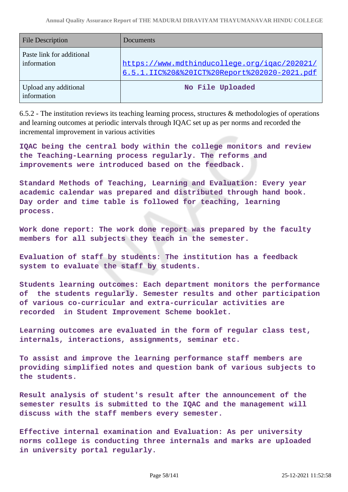| <b>File Description</b>                  | Documents                                                                                    |
|------------------------------------------|----------------------------------------------------------------------------------------------|
| Paste link for additional<br>information | https://www.mdthinducollege.org/igac/202021/<br>6.5.1.IIC%20&%20ICT%20Report%202020-2021.pdf |
| Upload any additional<br>information     | No File Uploaded                                                                             |

6.5.2 - The institution reviews its teaching learning process, structures & methodologies of operations and learning outcomes at periodic intervals through IQAC set up as per norms and recorded the incremental improvement in various activities

**IQAC being the central body within the college monitors and review the Teaching-Learning process regularly. The reforms and improvements were introduced based on the feedback.**

**Standard Methods of Teaching, Learning and Evaluation: Every year academic calendar was prepared and distributed through hand book. Day order and time table is followed for teaching, learning process.**

**Work done report: The work done report was prepared by the faculty members for all subjects they teach in the semester.**

**Evaluation of staff by students: The institution has a feedback system to evaluate the staff by students.**

**Students learning outcomes: Each department monitors the performance of the students regularly. Semester results and other participation of various co-curricular and extra-curricular activities are recorded in Student Improvement Scheme booklet.**

**Learning outcomes are evaluated in the form of regular class test, internals, interactions, assignments, seminar etc.**

**To assist and improve the learning performance staff members are providing simplified notes and question bank of various subjects to the students.**

**Result analysis of student's result after the announcement of the semester results is submitted to the IQAC and the management will discuss with the staff members every semester.**

**Effective internal examination and Evaluation: As per university norms college is conducting three internals and marks are uploaded in university portal regularly.**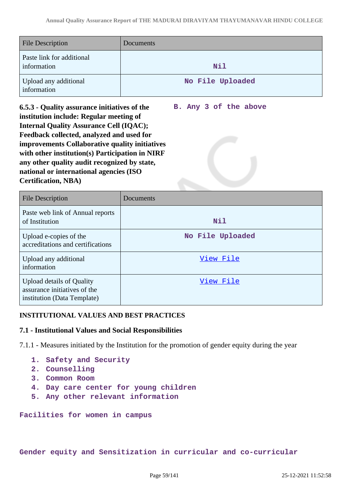| <b>File Description</b>                  | <b>Documents</b> |
|------------------------------------------|------------------|
| Paste link for additional<br>information | <b>Nil</b>       |
| Upload any additional<br>information     | No File Uploaded |

**6.5.3 - Quality assurance initiatives of the institution include: Regular meeting of Internal Quality Assurance Cell (IQAC); Feedback collected, analyzed and used for improvements Collaborative quality initiatives with other institution(s) Participation in NIRF any other quality audit recognized by state, national or international agencies (ISO Certification, NBA) B. Any 3 of the above**

| <b>File Description</b>                                                                         | Documents        |
|-------------------------------------------------------------------------------------------------|------------------|
| Paste web link of Annual reports<br>of Institution                                              | Nil              |
| Upload e-copies of the<br>accreditations and certifications                                     | No File Uploaded |
| Upload any additional<br>information                                                            | View File        |
| <b>Upload details of Quality</b><br>assurance initiatives of the<br>institution (Data Template) | View File        |

# **INSTITUTIONAL VALUES AND BEST PRACTICES**

## **7.1 - Institutional Values and Social Responsibilities**

7.1.1 - Measures initiated by the Institution for the promotion of gender equity during the year

- **1. Safety and Security**
- **2. Counselling**
- **3. Common Room**
- **4. Day care center for young children**
- **5. Any other relevant information**

**Facilities for women in campus**

**Gender equity and Sensitization in curricular and co-curricular**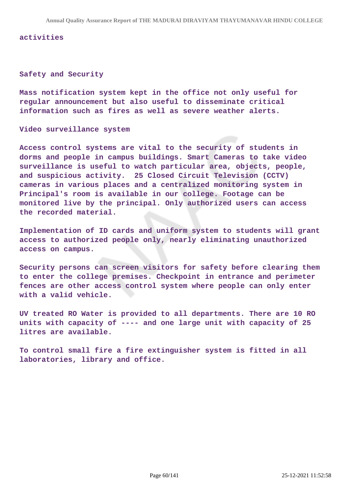#### **activities**

### **Safety and Security**

**Mass notification system kept in the office not only useful for regular announcement but also useful to disseminate critical information such as fires as well as severe weather alerts.**

**Video surveillance system**

**Access control systems are vital to the security of students in dorms and people in campus buildings. Smart Cameras to take video surveillance is useful to watch particular area, objects, people, and suspicious activity. 25 Closed Circuit Television (CCTV) cameras in various places and a centralized monitoring system in Principal's room is available in our college. Footage can be monitored live by the principal. Only authorized users can access the recorded material.**

**Implementation of ID cards and uniform system to students will grant access to authorized people only, nearly eliminating unauthorized access on campus.**

**Security persons can screen visitors for safety before clearing them to enter the college premises. Checkpoint in entrance and perimeter fences are other access control system where people can only enter with a valid vehicle.**

**UV treated RO Water is provided to all departments. There are 10 RO units with capacity of ---- and one large unit with capacity of 25 litres are available.**

**To control small fire a fire extinguisher system is fitted in all laboratories, library and office.**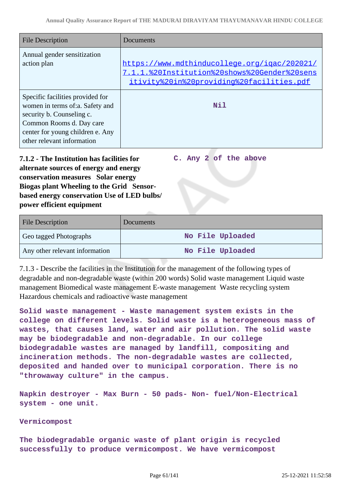**C. Any 2 of the above**

| <b>File Description</b>                                                                                                                                                                        | Documents                                                                                                                                 |
|------------------------------------------------------------------------------------------------------------------------------------------------------------------------------------------------|-------------------------------------------------------------------------------------------------------------------------------------------|
| Annual gender sensitization<br>action plan                                                                                                                                                     | https://www.mdthinducollege.org/igac/202021/<br>7.1.1.%20Institution%20shows%20Gender%20sens<br>itivity%20in%20providing%20facilities.pdf |
| Specific facilities provided for<br>women in terms of:a. Safety and<br>security b. Counseling c.<br>Common Rooms d. Day care<br>center for young children e. Any<br>other relevant information | Nil                                                                                                                                       |

**7.1.2 - The Institution has facilities for alternate sources of energy and energy conservation measures Solar energy Biogas plant Wheeling to the Grid Sensorbased energy conservation Use of LED bulbs/ power efficient equipment** 

| <b>File Description</b>        | <b>Documents</b> |
|--------------------------------|------------------|
| Geo tagged Photographs         | No File Uploaded |
| Any other relevant information | No File Uploaded |

7.1.3 - Describe the facilities in the Institution for the management of the following types of degradable and non-degradable waste (within 200 words) Solid waste management Liquid waste management Biomedical waste management E-waste management Waste recycling system Hazardous chemicals and radioactive waste management

**Solid waste management - Waste management system exists in the college on different levels. Solid waste is a heterogeneous mass of wastes, that causes land, water and air pollution. The solid waste may be biodegradable and non-degradable. In our college biodegradable wastes are managed by landfill, compositing and incineration methods. The non-degradable wastes are collected, deposited and handed over to municipal corporation. There is no "throwaway culture" in the campus.**

**Napkin destroyer - Max Burn - 50 pads- Non- fuel/Non-Electrical system - one unit.**

## **Vermicompost**

**The biodegradable organic waste of plant origin is recycled successfully to produce vermicompost. We have vermicompost**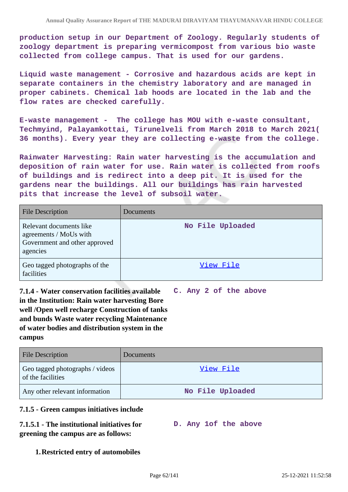**production setup in our Department of Zoology. Regularly students of zoology department is preparing vermicompost from various bio waste collected from college campus. That is used for our gardens.**

**Liquid waste management - Corrosive and hazardous acids are kept in separate containers in the chemistry laboratory and are managed in proper cabinets. Chemical lab hoods are located in the lab and the flow rates are checked carefully.**

**E-waste management - The college has MOU with e-waste consultant, Techmyind, Palayamkottai, Tirunelveli from March 2018 to March 2021( 36 months). Every year they are collecting e-waste from the college.**

**Rainwater Harvesting: Rain water harvesting is the accumulation and deposition of rain water for use. Rain water is collected from roofs of buildings and is redirect into a deep pit. It is used for the gardens near the buildings. All our buildings has rain harvested pits that increase the level of subsoil water.**

| <b>File Description</b>                                                                        | Documents        |
|------------------------------------------------------------------------------------------------|------------------|
| Relevant documents like<br>agreements / MoUs with<br>Government and other approved<br>agencies | No File Uploaded |
| Geo tagged photographs of the<br>facilities                                                    | View File        |

**7.1.4 - Water conservation facilities available in the Institution: Rain water harvesting Bore well /Open well recharge Construction of tanks and bunds Waste water recycling Maintenance of water bodies and distribution system in the campus C. Any 2 of the above**

| <b>File Description</b>                              | <b>Documents</b> |
|------------------------------------------------------|------------------|
| Geo tagged photographs / videos<br>of the facilities | View File        |
| Any other relevant information                       | No File Uploaded |

## **7.1.5 - Green campus initiatives include**

#### **7.1.5.1 - The institutional initiatives for greening the campus are as follows: D. Any 1of the above**

## **1.Restricted entry of automobiles**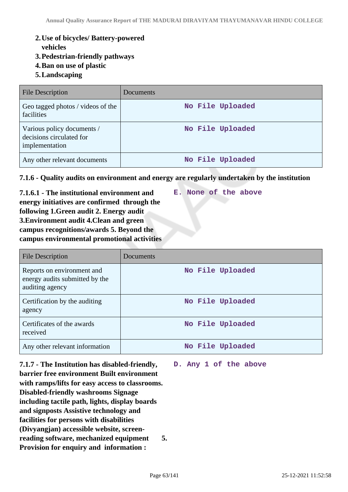- **2.Use of bicycles/ Battery-powered**
	- **vehicles**
- **3.Pedestrian-friendly pathways**
- **4.Ban on use of plastic**
- **5.Landscaping**

| <b>File Description</b>                                                  | Documents        |
|--------------------------------------------------------------------------|------------------|
| Geo tagged photos / videos of the<br>facilities                          | No File Uploaded |
| Various policy documents /<br>decisions circulated for<br>implementation | No File Uploaded |
| Any other relevant documents                                             | No File Uploaded |

## **7.1.6 - Quality audits on environment and energy are regularly undertaken by the institution**

**7.1.6.1 - The institutional environment and energy initiatives are confirmed through the following 1.Green audit 2. Energy audit 3.Environment audit 4.Clean and green campus recognitions/awards 5. Beyond the campus environmental promotional activities**

| File Description                                                                | Documents        |
|---------------------------------------------------------------------------------|------------------|
| Reports on environment and<br>energy audits submitted by the<br>auditing agency | No File Uploaded |
| Certification by the auditing<br>agency                                         | No File Uploaded |
| Certificates of the awards<br>received                                          | No File Uploaded |
| Any other relevant information                                                  | No File Uploaded |

**7.1.7 - The Institution has disabled-friendly, barrier free environment Built environment with ramps/lifts for easy access to classrooms. Disabled-friendly washrooms Signage including tactile path, lights, display boards and signposts Assistive technology and facilities for persons with disabilities (Divyangjan) accessible website, screenreading software, mechanized equipment 5. Provision for enquiry and information :**

**D. Any 1 of the above**

**E. None of the above**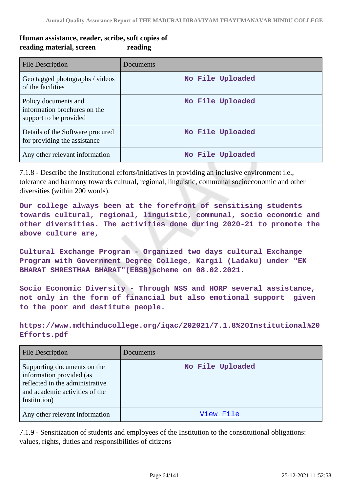# **Human assistance, reader, scribe, soft copies of reading material, screen reading**

| File Description                                                               | Documents        |
|--------------------------------------------------------------------------------|------------------|
| Geo tagged photographs / videos<br>of the facilities                           | No File Uploaded |
| Policy documents and<br>information brochures on the<br>support to be provided | No File Uploaded |
| Details of the Software procured<br>for providing the assistance               | No File Uploaded |
| Any other relevant information                                                 | No File Uploaded |

7.1.8 - Describe the Institutional efforts/initiatives in providing an inclusive environment i.e., tolerance and harmony towards cultural, regional, linguistic, communal socioeconomic and other diversities (within 200 words).

**Our college always been at the forefront of sensitising students towards cultural, regional, linguistic, communal, socio economic and other diversities. The activities done during 2020-21 to promote the above culture are,**

**Cultural Exchange Program - Organized two days cultural Exchange Program with Government Degree College, Kargil (Ladaku) under "EK BHARAT SHRESTHAA BHARAT"(EBSB)scheme on 08.02.2021.**

**Socio Economic Diversity - Through NSS and HORP several assistance, not only in the form of financial but also emotional support given to the poor and destitute people.**

**https://www.mdthinducollege.org/iqac/202021/7.1.8%20Institutional%20 Efforts.pdf** 

| <b>File Description</b>                                                                                                                      | Documents        |
|----------------------------------------------------------------------------------------------------------------------------------------------|------------------|
| Supporting documents on the<br>information provided (as<br>reflected in the administrative<br>and academic activities of the<br>Institution) | No File Uploaded |
| Any other relevant information                                                                                                               | View File        |

7.1.9 - Sensitization of students and employees of the Institution to the constitutional obligations: values, rights, duties and responsibilities of citizens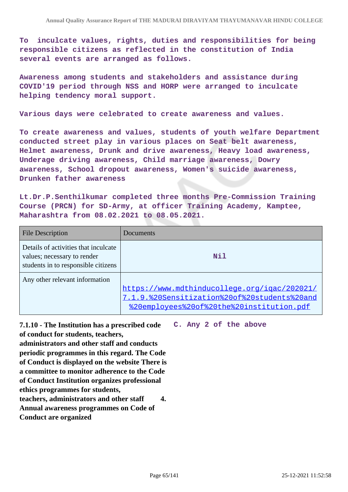**To inculcate values, rights, duties and responsibilities for being responsible citizens as reflected in the constitution of India several events are arranged as follows.**

**Awareness among students and stakeholders and assistance during COVID'19 period through NSS and HORP were arranged to inculcate helping tendency moral support.**

**Various days were celebrated to create awareness and values.**

**To create awareness and values, students of youth welfare Department conducted street play in various places on Seat belt awareness, Helmet awareness, Drunk and drive awareness, Heavy load awareness, Underage driving awareness, Child marriage awareness, Dowry awareness, School dropout awareness, Women's suicide awareness, Drunken father awareness**

**Lt.Dr.P.Senthilkumar completed three months Pre-Commission Training Course (PRCN) for SD-Army, at officer Training Academy, Kamptee, Maharashtra from 08.02.2021 to 08.05.2021.** 

| <b>File Description</b>                                                                                    | Documents                                                                                                                                 |
|------------------------------------------------------------------------------------------------------------|-------------------------------------------------------------------------------------------------------------------------------------------|
| Details of activities that inculcate<br>values; necessary to render<br>students in to responsible citizens | Nil                                                                                                                                       |
| Any other relevant information                                                                             | https://www.mdthinducollege.org/igac/202021/<br>7.1.9.%20Sensitization%20of%20students%20and<br>%20employees%20of%20the%20institution.pdf |

**7.1.10 - The Institution has a prescribed code of conduct for students, teachers, C. Any 2 of the above**

**administrators and other staff and conducts periodic programmes in this regard. The Code of Conduct is displayed on the website There is a committee to monitor adherence to the Code of Conduct Institution organizes professional ethics programmes for students, teachers, administrators and other staff 4. Annual awareness programmes on Code of Conduct are organized**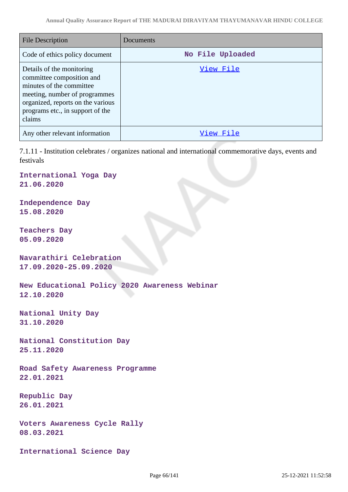| <b>File Description</b>                                                                                                                                                                                | Documents        |
|--------------------------------------------------------------------------------------------------------------------------------------------------------------------------------------------------------|------------------|
| Code of ethics policy document                                                                                                                                                                         | No File Uploaded |
| Details of the monitoring<br>committee composition and<br>minutes of the committee<br>meeting, number of programmes<br>organized, reports on the various<br>programs etc., in support of the<br>claims | View File        |
| Any other relevant information                                                                                                                                                                         | View File        |

7.1.11 - Institution celebrates / organizes national and international commemorative days, events and festivals

**International Yoga Day 21.06.2020**

**Independence Day 15.08.2020**

**Teachers Day 05.09.2020**

**Navarathiri Celebration 17.09.2020-25.09.2020**

**New Educational Policy 2020 Awareness Webinar 12.10.2020**

**National Unity Day 31.10.2020**

**National Constitution Day 25.11.2020**

**Road Safety Awareness Programme 22.01.2021**

**Republic Day 26.01.2021**

**Voters Awareness Cycle Rally 08.03.2021**

**International Science Day**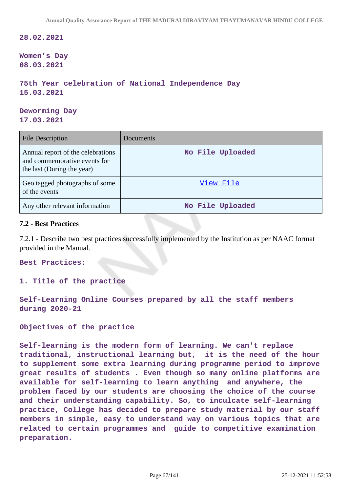**28.02.2021**

**Women's Day 08.03.2021**

```
75th Year celebration of National Independence Day 
15.03.2021
```
**Deworming Day 17.03.2021**

| <b>File Description</b>                                                                         | Documents        |
|-------------------------------------------------------------------------------------------------|------------------|
| Annual report of the celebrations<br>and commemorative events for<br>the last (During the year) | No File Uploaded |
| Geo tagged photographs of some<br>of the events                                                 | View File        |
| Any other relevant information                                                                  | No File Uploaded |

## **7.2 - Best Practices**

7.2.1 - Describe two best practices successfully implemented by the Institution as per NAAC format provided in the Manual.

**Best Practices:**

### **1. Title of the practice**

**Self-Learning Online Courses prepared by all the staff members during 2020-21**

**Objectives of the practice**

**Self-learning is the modern form of learning. We can't replace traditional, instructional learning but, it is the need of the hour to supplement some extra learning during programme period to improve great results of students . Even though so many online platforms are available for self-learning to learn anything and anywhere, the problem faced by our students are choosing the choice of the course and their understanding capability. So, to inculcate self-learning practice, College has decided to prepare study material by our staff members in simple, easy to understand way on various topics that are related to certain programmes and guide to competitive examination preparation.**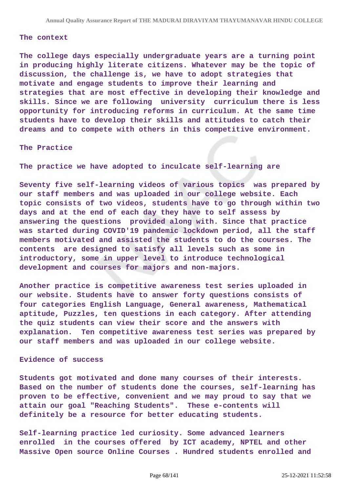#### **The context**

**The college days especially undergraduate years are a turning point in producing highly literate citizens. Whatever may be the topic of discussion, the challenge is, we have to adopt strategies that motivate and engage students to improve their learning and strategies that are most effective in developing their knowledge and skills. Since we are following university curriculum there is less opportunity for introducing reforms in curriculum. At the same time students have to develop their skills and attitudes to catch their dreams and to compete with others in this competitive environment.**

#### **The Practice**

**The practice we have adopted to inculcate self-learning are**

**Seventy five self-learning videos of various topics was prepared by our staff members and was uploaded in our college website. Each topic consists of two videos, students have to go through within two days and at the end of each day they have to self assess by answering the questions provided along with. Since that practice was started during COVID'19 pandemic lockdown period, all the staff members motivated and assisted the students to do the courses. The contents are designed to satisfy all levels such as some in introductory, some in upper level to introduce technological development and courses for majors and non-majors.**

**Another practice is competitive awareness test series uploaded in our website. Students have to answer forty questions consists of four categories English Language, General awareness, Mathematical aptitude, Puzzles, ten questions in each category. After attending the quiz students can view their score and the answers with explanation. Ten competitive awareness test series was prepared by our staff members and was uploaded in our college website.**

### **Evidence of success**

**Students got motivated and done many courses of their interests. Based on the number of students done the courses, self-learning has proven to be effective, convenient and we may proud to say that we attain our goal "Reaching Students". These e-contents will definitely be a resource for better educating students.**

**Self-learning practice led curiosity. Some advanced learners enrolled in the courses offered by ICT academy, NPTEL and other Massive Open source Online Courses . Hundred students enrolled and**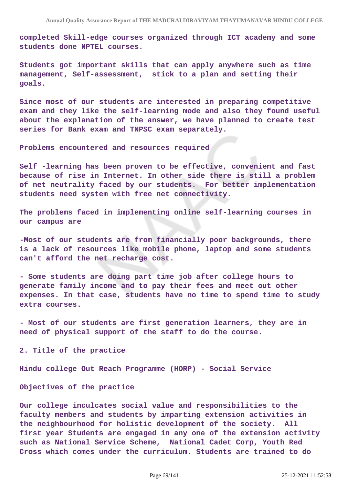**completed Skill-edge courses organized through ICT academy and some students done NPTEL courses.**

**Students got important skills that can apply anywhere such as time management, Self-assessment, stick to a plan and setting their goals.**

**Since most of our students are interested in preparing competitive exam and they like the self-learning mode and also they found useful about the explanation of the answer, we have planned to create test series for Bank exam and TNPSC exam separately.**

**Problems encountered and resources required**

**Self -learning has been proven to be effective, convenient and fast because of rise in Internet. In other side there is still a problem of net neutrality faced by our students. For better implementation students need system with free net connectivity.**

**The problems faced in implementing online self-learning courses in our campus are**

**-Most of our students are from financially poor backgrounds, there is a lack of resources like mobile phone, laptop and some students can't afford the net recharge cost.**

**- Some students are doing part time job after college hours to generate family income and to pay their fees and meet out other expenses. In that case, students have no time to spend time to study extra courses.** 

**- Most of our students are first generation learners, they are in need of physical support of the staff to do the course.**

**2. Title of the practice**

**Hindu college Out Reach Programme (HORP) - Social Service**

**Objectives of the practice**

**Our college inculcates social value and responsibilities to the faculty members and students by imparting extension activities in the neighbourhood for holistic development of the society. All first year Students are engaged in any one of the extension activity such as National Service Scheme, National Cadet Corp, Youth Red Cross which comes under the curriculum. Students are trained to do**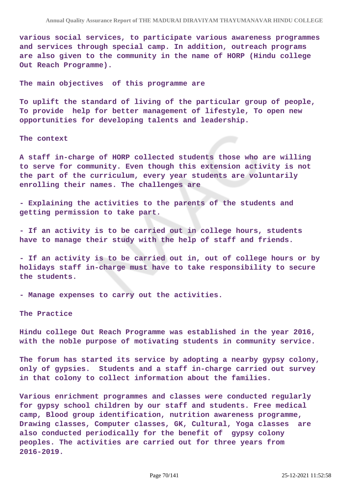**various social services, to participate various awareness programmes and services through special camp. In addition, outreach programs are also given to the community in the name of HORP (Hindu college Out Reach Programme).**

**The main objectives of this programme are**

**To uplift the standard of living of the particular group of people, To provide help for better management of lifestyle, To open new opportunities for developing talents and leadership.**

**The context**

**A staff in-charge of HORP collected students those who are willing to serve for community. Even though this extension activity is not the part of the curriculum, every year students are voluntarily enrolling their names. The challenges are**

**- Explaining the activities to the parents of the students and getting permission to take part.**

**- If an activity is to be carried out in college hours, students have to manage their study with the help of staff and friends.**

**- If an activity is to be carried out in, out of college hours or by holidays staff in-charge must have to take responsibility to secure the students.**

**- Manage expenses to carry out the activities.** 

**The Practice**

**Hindu college Out Reach Programme was established in the year 2016, with the noble purpose of motivating students in community service.**

**The forum has started its service by adopting a nearby gypsy colony, only of gypsies. Students and a staff in-charge carried out survey in that colony to collect information about the families.**

**Various enrichment programmes and classes were conducted regularly for gypsy school children by our staff and students. Free medical camp, Blood group identification, nutrition awareness programme, Drawing classes, Computer classes, GK, Cultural, Yoga classes are also conducted periodically for the benefit of gypsy colony peoples. The activities are carried out for three years from 2016-2019.**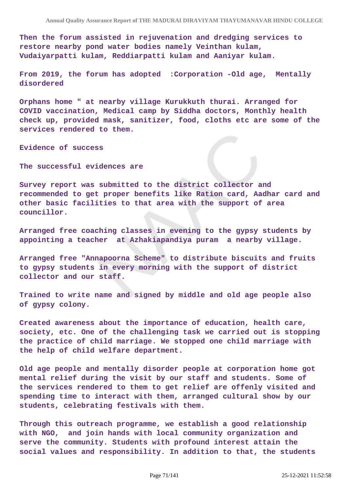**Then the forum assisted in rejuvenation and dredging services to restore nearby pond water bodies namely Veinthan kulam, Vudaiyarpatti kulam, Reddiarpatti kulam and Aaniyar kulam.**

**From 2019, the forum has adopted :Corporation -Old age, Mentally disordered** 

**Orphans home " at nearby village Kurukkuth thurai. Arranged for COVID vaccination, Medical camp by Siddha doctors, Monthly health check up, provided mask, sanitizer, food, cloths etc are some of the services rendered to them.** 

**Evidence of success**

**The successful evidences are** 

**Survey report was submitted to the district collector and recommended to get proper benefits like Ration card, Aadhar card and other basic facilities to that area with the support of area councillor.**

**Arranged free coaching classes in evening to the gypsy students by appointing a teacher at Azhakiapandiya puram a nearby village.**

**Arranged free "Annapoorna Scheme" to distribute biscuits and fruits to gypsy students in every morning with the support of district collector and our staff.**

**Trained to write name and signed by middle and old age people also of gypsy colony.**

**Created awareness about the importance of education, health care, society, etc. One of the challenging task we carried out is stopping the practice of child marriage. We stopped one child marriage with the help of child welfare department.**

**Old age people and mentally disorder people at corporation home got mental relief during the visit by our staff and students. Some of the services rendered to them to get relief are offenly visited and spending time to interact with them, arranged cultural show by our students, celebrating festivals with them.**

**Through this outreach programme, we establish a good relationship with NGO, and join hands with local community organization and serve the community. Students with profound interest attain the social values and responsibility. In addition to that, the students**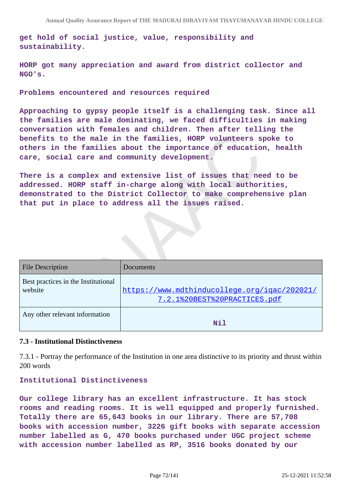**get hold of social justice, value, responsibility and sustainability.**

**HORP got many appreciation and award from district collector and NGO's.**

**Problems encountered and resources required**

**Approaching to gypsy people itself is a challenging task. Since all the families are male dominating, we faced difficulties in making conversation with females and children. Then after telling the benefits to the male in the families, HORP volunteers spoke to others in the families about the importance of education, health care, social care and community development.** 

**There is a complex and extensive list of issues that need to be addressed. HORP staff in-charge along with local authorities, demonstrated to the District Collector to make comprehensive plan that put in place to address all the issues raised.**

| <b>File Description</b>                        | <b>Documents</b>                                                             |
|------------------------------------------------|------------------------------------------------------------------------------|
| Best practices in the Institutional<br>website | https://www.mdthinducollege.org/igac/202021/<br>7.2.1%20BEST%20PRACTICES.pdf |
| Any other relevant information                 | Nil                                                                          |

### **7.3 - Institutional Distinctiveness**

7.3.1 - Portray the performance of the Institution in one area distinctive to its priority and thrust within 200 words

## **Institutional Distinctiveness**

**Our college library has an excellent infrastructure. It has stock rooms and reading rooms. It is well equipped and properly furnished. Totally there are 65,643 books in our library. There are 57,708 books with accession number, 3226 gift books with separate accession number labelled as G, 470 books purchased under UGC project scheme with accession number labelled as RP, 3516 books donated by our**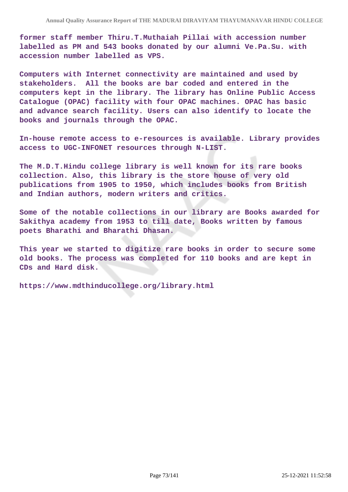**former staff member Thiru.T.Muthaiah Pillai with accession number labelled as PM and 543 books donated by our alumni Ve.Pa.Su. with accession number labelled as VPS.**

**Computers with Internet connectivity are maintained and used by stakeholders. All the books are bar coded and entered in the computers kept in the library. The library has Online Public Access Catalogue (OPAC) facility with four OPAC machines. OPAC has basic and advance search facility. Users can also identify to locate the books and journals through the OPAC.**

**In-house remote access to e-resources is available. Library provides access to UGC-INFONET resources through N-LIST.**

**The M.D.T.Hindu college library is well known for its rare books collection. Also, this library is the store house of very old publications from 1905 to 1950, which includes books from British and Indian authors, modern writers and critics.**

**Some of the notable collections in our library are Books awarded for Sakithya academy from 1953 to till date, Books written by famous poets Bharathi and Bharathi Dhasan.**

**This year we started to digitize rare books in order to secure some old books. The process was completed for 110 books and are kept in CDs and Hard disk.** 

**https://www.mdthinducollege.org/library.html**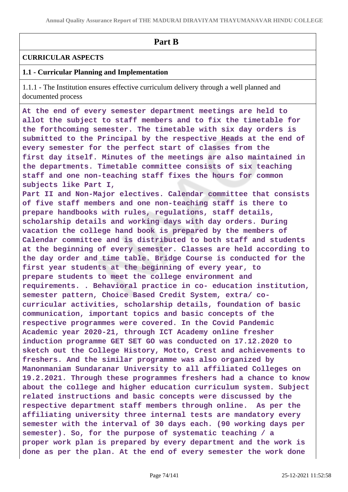# **Part B**

### **CURRICULAR ASPECTS**

### **1.1 - Curricular Planning and Implementation**

1.1.1 - The Institution ensures effective curriculum delivery through a well planned and documented process

**At the end of every semester department meetings are held to allot the subject to staff members and to fix the timetable for the forthcoming semester. The timetable with six day orders is submitted to the Principal by the respective Heads at the end of every semester for the perfect start of classes from the first day itself. Minutes of the meetings are also maintained in the departments. Timetable committee consists of six teaching staff and one non-teaching staff fixes the hours for common subjects like Part I,**

**Part II and Non-Major electives. Calendar committee that consists of five staff members and one non-teaching staff is there to prepare handbooks with rules, regulations, staff details, scholarship details and working days with day orders. During vacation the college hand book is prepared by the members of Calendar committee and is distributed to both staff and students at the beginning of every semester. Classes are held according to the day order and time table. Bridge Course is conducted for the first year students at the beginning of every year, to prepare students to meet the college environment and requirements. . Behavioral practice in co- education institution, semester pattern, Choice Based Credit System, extra/ cocurricular activities, scholarship details, foundation of basic communication, important topics and basic concepts of the respective programmes were covered. In the Covid Pandemic Academic year 2020-21, through ICT Academy online fresher induction programme GET SET GO was conducted on 17.12.2020 to sketch out the College History, Motto, Crest and achievements to freshers. And the similar programme was also organized by Manonmaniam Sundaranar University to all affiliated Colleges on 19.2.2021. Through these programmes freshers had a chance to know about the college and higher education curriculum system. Subject related instructions and basic concepts were discussed by the respective department staff members through online. As per the affiliating university three internal tests are mandatory every semester with the interval of 30 days each. (90 working days per semester). So, for the purpose of systematic teaching / a proper work plan is prepared by every department and the work is done as per the plan. At the end of every semester the work done**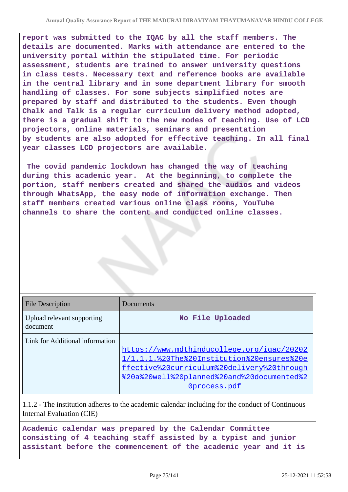**report was submitted to the IQAC by all the staff members. The details are documented. Marks with attendance are entered to the university portal within the stipulated time. For periodic assessment, students are trained to answer university questions in class tests. Necessary text and reference books are available in the central library and in some department library for smooth handling of classes. For some subjects simplified notes are prepared by staff and distributed to the students. Even though Chalk and Talk is a regular curriculum delivery method adopted, there is a gradual shift to the new modes of teaching. Use of LCD projectors, online materials, seminars and presentation by students are also adopted for effective teaching. In all final year classes LCD projectors are available.**

 **The covid pandemic lockdown has changed the way of teaching during this academic year. At the beginning, to complete the portion, staff members created and shared the audios and videos through WhatsApp, the easy mode of information exchange. Then staff members created various online class rooms, YouTube channels to share the content and conducted online classes.**

| <b>File Description</b>                | Documents                                                                                                                                                                                            |
|----------------------------------------|------------------------------------------------------------------------------------------------------------------------------------------------------------------------------------------------------|
| Upload relevant supporting<br>document | No File Uploaded                                                                                                                                                                                     |
| Link for Additional information        | https://www.mdthinducollege.org/igac/20202<br>1/1.1.1.%20The%20Institution%20ensures%20e<br>ffective%20curriculum%20delivery%20through<br>%20a%20well%20planned%20and%20documented%2<br>Oprocess.pdf |

1.1.2 - The institution adheres to the academic calendar including for the conduct of Continuous Internal Evaluation (CIE)

**Academic calendar was prepared by the Calendar Committee consisting of 4 teaching staff assisted by a typist and junior assistant before the commencement of the academic year and it is**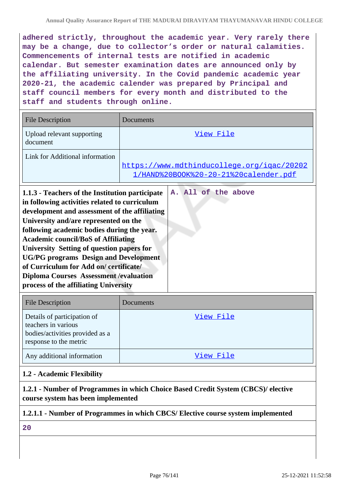**adhered strictly, throughout the academic year. Very rarely there may be a change, due to collector's order or natural calamities. Commencements of internal tests are notified in academic calendar. But semester examination dates are announced only by the affiliating university. In the Covid pandemic academic year 2020-21, the academic calender was prepared by Principal and staff council members for every month and distributed to the staff and students through online.**

| <b>File Description</b>                                                                                                                                                                                                                                                                                                                                                                                                                                                        | Documents                                                                           |
|--------------------------------------------------------------------------------------------------------------------------------------------------------------------------------------------------------------------------------------------------------------------------------------------------------------------------------------------------------------------------------------------------------------------------------------------------------------------------------|-------------------------------------------------------------------------------------|
| Upload relevant supporting<br>document                                                                                                                                                                                                                                                                                                                                                                                                                                         | View File                                                                           |
| Link for Additional information                                                                                                                                                                                                                                                                                                                                                                                                                                                | https://www.mdthinducollege.org/igac/20202<br>1/HAND%20BOOK%20-20-21%20calender.pdf |
| 1.1.3 - Teachers of the Institution participate<br>in following activities related to curriculum<br>development and assessment of the affiliating<br>University and/are represented on the<br>following academic bodies during the year.<br><b>Academic council/BoS of Affiliating</b><br>University Setting of question papers for<br><b>UG/PG</b> programs Design and Development<br>of Curriculum for Add on/certificate/<br><b>Diploma Courses Assessment / evaluation</b> | A. All of the above                                                                 |

| <b>File Description</b>                                                                                         | Documents |
|-----------------------------------------------------------------------------------------------------------------|-----------|
| Details of participation of<br>teachers in various<br>bodies/activities provided as a<br>response to the metric | View File |
| Any additional information                                                                                      | View File |

### **1.2 - Academic Flexibility**

**process of the affiliating University**

**1.2.1 - Number of Programmes in which Choice Based Credit System (CBCS)/ elective course system has been implemented**

### **1.2.1.1 - Number of Programmes in which CBCS/ Elective course system implemented**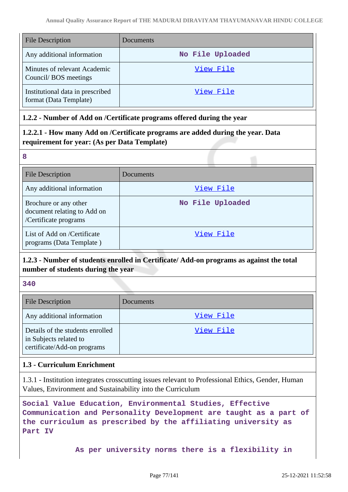| <b>File Description</b>                                    | Documents        |
|------------------------------------------------------------|------------------|
| Any additional information                                 | No File Uploaded |
| Minutes of relevant Academic<br>Council/BOS meetings       | View File        |
| Institutional data in prescribed<br>format (Data Template) | View File        |

### **1.2.2 - Number of Add on /Certificate programs offered during the year**

## **1.2.2.1 - How many Add on /Certificate programs are added during the year. Data requirement for year: (As per Data Template)**

**8**

| <b>File Description</b>                                                       | Documents        |
|-------------------------------------------------------------------------------|------------------|
| Any additional information                                                    | View File        |
| Brochure or any other<br>document relating to Add on<br>/Certificate programs | No File Uploaded |
| List of Add on /Certificate<br>programs (Data Template)                       | View File        |

## **1.2.3 - Number of students enrolled in Certificate/ Add-on programs as against the total number of students during the year**

**340**

| <b>File Description</b>                                                                   | Documents |
|-------------------------------------------------------------------------------------------|-----------|
| Any additional information                                                                | View File |
| Details of the students enrolled<br>in Subjects related to<br>certificate/Add-on programs | View File |

### **1.3 - Curriculum Enrichment**

1.3.1 - Institution integrates crosscutting issues relevant to Professional Ethics, Gender, Human Values, Environment and Sustainability into the Curriculum

**Social Value Education, Environmental Studies, Effective Communication and Personality Development are taught as a part of the curriculum as prescribed by the affiliating university as Part IV**

 **As per university norms there is a flexibility in**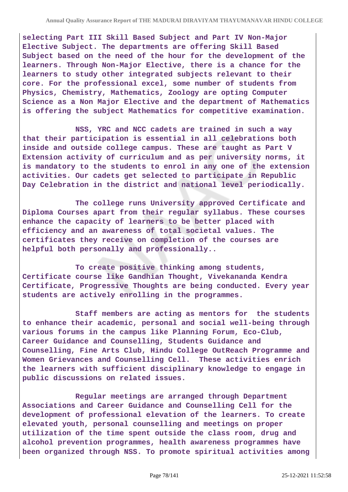**selecting Part III Skill Based Subject and Part IV Non-Major Elective Subject. The departments are offering Skill Based Subject based on the need of the hour for the development of the learners. Through Non-Major Elective, there is a chance for the learners to study other integrated subjects relevant to their core. For the professional excel, some number of students from Physics, Chemistry, Mathematics, Zoology are opting Computer Science as a Non Major Elective and the department of Mathematics is offering the subject Mathematics for competitive examination.**

 **NSS, YRC and NCC cadets are trained in such a way that their participation is essential in all celebrations both inside and outside college campus. These are taught as Part V Extension activity of curriculum and as per university norms, it is mandatory to the students to enrol in any one of the extension activities. Our cadets get selected to participate in Republic Day Celebration in the district and national level periodically.**

 **The college runs University approved Certificate and Diploma Courses apart from their regular syllabus. These courses enhance the capacity of learners to be better placed with efficiency and an awareness of total societal values. The certificates they receive on completion of the courses are helpful both personally and professionally..**

 **To create positive thinking among students, Certificate course like Gandhian Thought, Vivekananda Kendra Certificate, Progressive Thoughts are being conducted. Every year students are actively enrolling in the programmes.**

 **Staff members are acting as mentors for the students to enhance their academic, personal and social well-being through various forums in the campus like Planning Forum, Eco-Club, Career Guidance and Counselling, Students Guidance and Counselling, Fine Arts Club, Hindu College OutReach Programme and Women Grievances and Counselling Cell. These activities enrich the learners with sufficient disciplinary knowledge to engage in public discussions on related issues.**

 **Regular meetings are arranged through Department Associations and Career Guidance and Counselling Cell for the development of professional elevation of the learners. To create elevated youth, personal counselling and meetings on proper utilization of the time spent outside the class room, drug and alcohol prevention programmes, health awareness programmes have been organized through NSS. To promote spiritual activities among**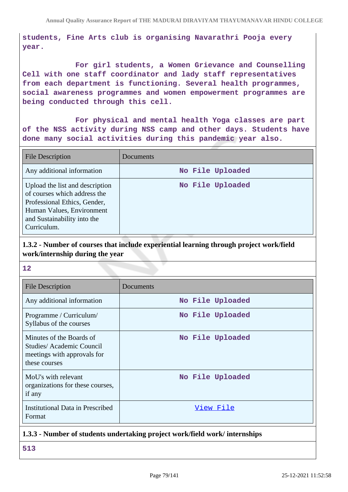**students, Fine Arts club is organising Navarathri Pooja every year.**

 **For girl students, a Women Grievance and Counselling Cell with one staff coordinator and lady staff representatives from each department is functioning. Several health programmes, social awareness programmes and women empowerment programmes are being conducted through this cell.**

 **For physical and mental health Yoga classes are part of the NSS activity during NSS camp and other days. Students have done many social activities during this pandemic year also.** 

| <b>File Description</b>                                                                                                                                                    | Documents        |
|----------------------------------------------------------------------------------------------------------------------------------------------------------------------------|------------------|
| Any additional information                                                                                                                                                 | No File Uploaded |
| Upload the list and description<br>of courses which address the<br>Professional Ethics, Gender,<br>Human Values, Environment<br>and Sustainability into the<br>Curriculum. | No File Uploaded |

## **1.3.2 - Number of courses that include experiential learning through project work/field work/internship during the year**

#### **12**

| <b>File Description</b>                                                                              | Documents        |
|------------------------------------------------------------------------------------------------------|------------------|
| Any additional information                                                                           | No File Uploaded |
| Programme / Curriculum/<br>Syllabus of the courses                                                   | No File Uploaded |
| Minutes of the Boards of<br>Studies/Academic Council<br>meetings with approvals for<br>these courses | No File Uploaded |
| MoU's with relevant<br>organizations for these courses,<br>if any                                    | No File Uploaded |
| <b>Institutional Data in Prescribed</b><br>Format                                                    | View File        |

### **1.3.3 - Number of students undertaking project work/field work/ internships**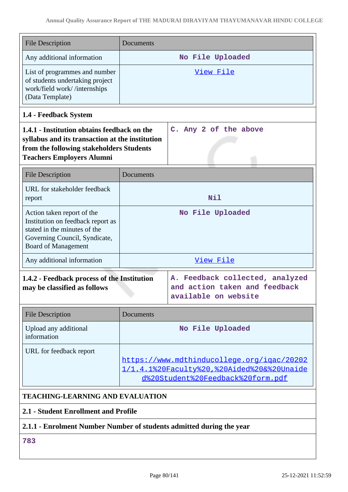|                                                                                                                                                                                | <b>File Description</b>                                                                                                                                        | Documents        |                                                                                                                               |
|--------------------------------------------------------------------------------------------------------------------------------------------------------------------------------|----------------------------------------------------------------------------------------------------------------------------------------------------------------|------------------|-------------------------------------------------------------------------------------------------------------------------------|
|                                                                                                                                                                                | Any additional information                                                                                                                                     |                  | No File Uploaded                                                                                                              |
|                                                                                                                                                                                | List of programmes and number<br>of students undertaking project<br>work/field work//internships<br>(Data Template)                                            |                  | <u>View File</u>                                                                                                              |
|                                                                                                                                                                                | 1.4 - Feedback System                                                                                                                                          |                  |                                                                                                                               |
| 1.4.1 - Institution obtains feedback on the<br>syllabus and its transaction at the institution<br>from the following stakeholders Students<br><b>Teachers Employers Alumni</b> |                                                                                                                                                                |                  | C. Any 2 of the above                                                                                                         |
|                                                                                                                                                                                | <b>File Description</b>                                                                                                                                        | Documents        |                                                                                                                               |
| report                                                                                                                                                                         | URL for stakeholder feedback                                                                                                                                   |                  | Nil                                                                                                                           |
|                                                                                                                                                                                | Action taken report of the<br>Institution on feedback report as<br>stated in the minutes of the<br>Governing Council, Syndicate,<br><b>Board of Management</b> |                  | No File Uploaded                                                                                                              |
|                                                                                                                                                                                | Any additional information                                                                                                                                     |                  | View File                                                                                                                     |
| 1.4.2 - Feedback process of the Institution<br>may be classified as follows                                                                                                    |                                                                                                                                                                |                  | A. Feedback collected, analyzed<br>and action taken and feedback<br>available on website                                      |
|                                                                                                                                                                                | <b>File Description</b>                                                                                                                                        | Documents        |                                                                                                                               |
|                                                                                                                                                                                | Upload any additional<br>information                                                                                                                           | No File Uploaded |                                                                                                                               |
|                                                                                                                                                                                | URL for feedback report                                                                                                                                        |                  | https://www.mdthinducollege.org/igac/20202<br>1/1.4.1%20Faculty%20,%20Aided%20&%20Unaide<br>d%20Student%20Feedback%20form.pdf |

# **TEACHING-LEARNING AND EVALUATION**

## **2.1 - Student Enrollment and Profile**

## **2.1.1 - Enrolment Number Number of students admitted during the year**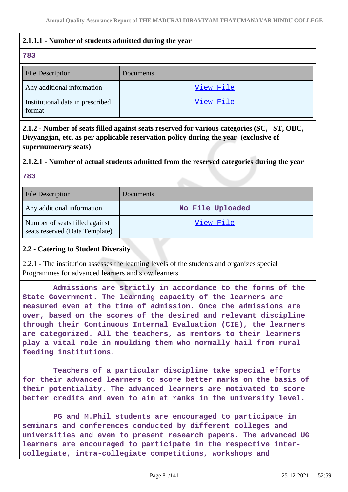## **2.1.1.1 - Number of students admitted during the year**

### **783**

| <b>File Description</b>                    | <b>Documents</b> |
|--------------------------------------------|------------------|
| Any additional information                 | View File        |
| Institutional data in prescribed<br>format | View File        |

**2.1.2 - Number of seats filled against seats reserved for various categories (SC, ST, OBC, Divyangjan, etc. as per applicable reservation policy during the year (exclusive of supernumerary seats)**

## **2.1.2.1 - Number of actual students admitted from the reserved categories during the year**

**783**

| <b>File Description</b>                                          | Documents        |
|------------------------------------------------------------------|------------------|
| Any additional information                                       | No File Uploaded |
| Number of seats filled against<br>seats reserved (Data Template) | View File        |

### **2.2 - Catering to Student Diversity**

2.2.1 - The institution assesses the learning levels of the students and organizes special Programmes for advanced learners and slow learners

 **Admissions are strictly in accordance to the forms of the State Government. The learning capacity of the learners are measured even at the time of admission. Once the admissions are over, based on the scores of the desired and relevant discipline through their Continuous Internal Evaluation (CIE), the learners are categorized. All the teachers, as mentors to their learners play a vital role in moulding them who normally hail from rural feeding institutions.**

 **Teachers of a particular discipline take special efforts for their advanced learners to score better marks on the basis of their potentiality. The advanced learners are motivated to score better credits and even to aim at ranks in the university level.**

 **PG and M.Phil students are encouraged to participate in seminars and conferences conducted by different colleges and universities and even to present research papers. The advanced UG learners are encouraged to participate in the respective intercollegiate, intra-collegiate competitions, workshops and**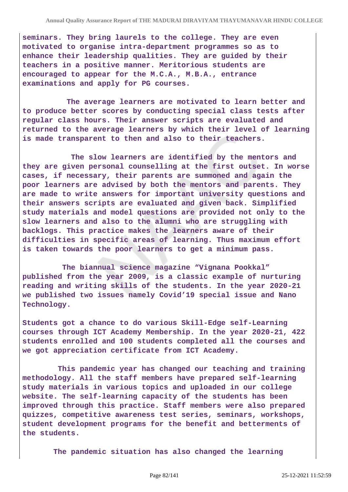**seminars. They bring laurels to the college. They are even motivated to organise intra-department programmes so as to enhance their leadership qualities. They are guided by their teachers in a positive manner. Meritorious students are encouraged to appear for the M.C.A., M.B.A., entrance examinations and apply for PG courses.**

 **The average learners are motivated to learn better and to produce better scores by conducting special class tests after regular class hours. Their answer scripts are evaluated and returned to the average learners by which their level of learning is made transparent to then and also to their teachers.**

 **The slow learners are identified by the mentors and they are given personal counselling at the first outset. In worse cases, if necessary, their parents are summoned and again the poor learners are advised by both the mentors and parents. They are made to write answers for important university questions and their answers scripts are evaluated and given back. Simplified study materials and model questions are provided not only to the slow learners and also to the alumni who are struggling with backlogs. This practice makes the learners aware of their difficulties in specific areas of learning. Thus maximum effort is taken towards the poor learners to get a minimum pass.**

 **The biannual science magazine "Vignana Pookkal" published from the year 2009, is a classic example of nurturing reading and writing skills of the students. In the year 2020-21 we published two issues namely Covid'19 special issue and Nano Technology.**

**Students got a chance to do various Skill-Edge self-Learning courses through ICT Academy Membership. In the year 2020-21, 422 students enrolled and 100 students completed all the courses and we got appreciation certificate from ICT Academy.**

 **This pandemic year has changed our teaching and training methodology. All the staff members have prepared self-learning study materials in various topics and uploaded in our college website. The self-learning capacity of the students has been improved through this practice. Staff members were also prepared quizzes, competitive awareness test series, seminars, workshops, student development programs for the benefit and betterments of the students.** 

 **The pandemic situation has also changed the learning**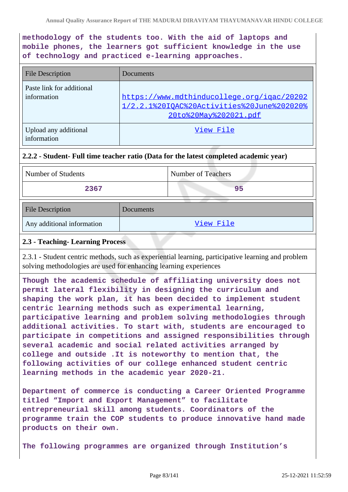**methodology of the students too. With the aid of laptops and mobile phones, the learners got sufficient knowledge in the use of technology and practiced e-learning approaches.**

| <b>File Description</b>                  | Documents                                                                                                         |
|------------------------------------------|-------------------------------------------------------------------------------------------------------------------|
| Paste link for additional<br>information | https://www.mdthinducollege.org/igac/20202<br>1/2.2.1%20IOAC%20Activities%20June%202020%<br>20to%20May%202021.pdf |
| Upload any additional<br>information     | View File                                                                                                         |

### **2.2.2 - Student- Full time teacher ratio (Data for the latest completed academic year)**

| Number of Students | Number of Teachers |
|--------------------|--------------------|
| 2367               |                    |

| <b>File Description</b>    | Documents |
|----------------------------|-----------|
| Any additional information | View File |

### **2.3 - Teaching- Learning Process**

2.3.1 - Student centric methods, such as experiential learning, participative learning and problem solving methodologies are used for enhancing learning experiences

**Though the academic schedule of affiliating university does not permit lateral flexibility in designing the curriculum and shaping the work plan, it has been decided to implement student centric learning methods such as experimental learning, participative learning and problem solving methodologies through additional activities. To start with, students are encouraged to participate in competitions and assigned responsibilities through several academic and social related activities arranged by college and outside .It is noteworthy to mention that, the following activities of our college enhanced student centric learning methods in the academic year 2020-21.**

**Department of commerce is conducting a Career Oriented Programme titled "Import and Export Management" to facilitate entrepreneurial skill among students. Coordinators of the programme train the COP students to produce innovative hand made products on their own.**

**The following programmes are organized through Institution's**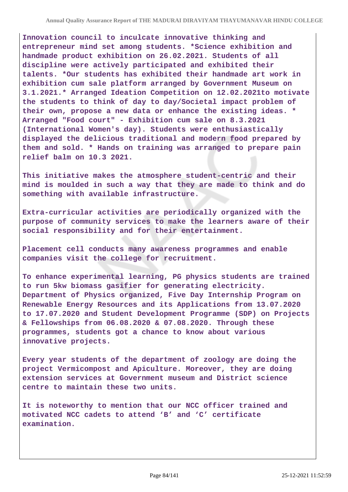**Innovation council to inculcate innovative thinking and entrepreneur mind set among students. \*Science exhibition and handmade product exhibition on 26.02.2021. Students of all discipline were actively participated and exhibited their talents. \*Our students has exhibited their handmade art work in exhibition cum sale platform arranged by Government Museum on 3.1.2021.\* Arranged Ideation Competition on 12.02.2021to motivate the students to think of day to day/Societal impact problem of their own, propose a new data or enhance the existing ideas. \* Arranged "Food court" - Exhibition cum sale on 8.3.2021 (International Women's day). Students were enthusiastically displayed the delicious traditional and modern food prepared by them and sold. \* Hands on training was arranged to prepare pain relief balm on 10.3 2021.**

**This initiative makes the atmosphere student-centric and their mind is moulded in such a way that they are made to think and do something with available infrastructure.**

**Extra-curricular activities are periodically organized with the purpose of community services to make the learners aware of their social responsibility and for their entertainment.** 

**Placement cell conducts many awareness programmes and enable companies visit the college for recruitment.**

**To enhance experimental learning, PG physics students are trained to run 5kw biomass gasifier for generating electricity. Department of Physics organized, Five Day Internship Program on Renewable Energy Resources and its Applications from 13.07.2020 to 17.07.2020 and Student Development Programme (SDP) on Projects & Fellowships from 06.08.2020 & 07.08.2020. Through these programmes, students got a chance to know about various innovative projects.** 

**Every year students of the department of zoology are doing the project Vermicompost and Apiculture. Moreover, they are doing extension services at Government museum and District science centre to maintain these two units.**

**It is noteworthy to mention that our NCC officer trained and motivated NCC cadets to attend 'B' and 'C' certificate examination.**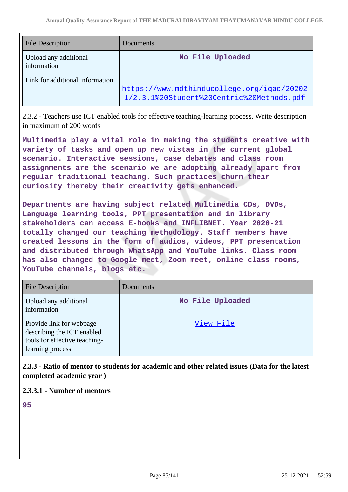| <b>File Description</b>              | Documents                                                                               |
|--------------------------------------|-----------------------------------------------------------------------------------------|
| Upload any additional<br>information | No File Uploaded                                                                        |
| Link for additional information      | https://www.mdthinducollege.org/igac/20202<br>1/2.3.1%20Student%20Centric%20Methods.pdf |

2.3.2 - Teachers use ICT enabled tools for effective teaching-learning process. Write description in maximum of 200 words

**Multimedia play a vital role in making the students creative with variety of tasks and open up new vistas in the current global scenario. Interactive sessions, case debates and class room assignments are the scenario we are adopting already apart from regular traditional teaching. Such practices churn their curiosity thereby their creativity gets enhanced.**

**Departments are having subject related Multimedia CDs, DVDs, Language learning tools, PPT presentation and in library stakeholders can access E-books and INFLIBNET. Year 2020-21 totally changed our teaching methodology. Staff members have created lessons in the form of audios, videos, PPT presentation and distributed through WhatsApp and YouTube links. Class room has also changed to Google meet, Zoom meet, online class rooms, YouTube channels, blogs etc.** 

| <b>File Description</b>                                                                                     | Documents        |
|-------------------------------------------------------------------------------------------------------------|------------------|
| Upload any additional<br>information                                                                        | No File Uploaded |
| Provide link for webpage<br>describing the ICT enabled<br>tools for effective teaching-<br>learning process | View File        |

**2.3.3 - Ratio of mentor to students for academic and other related issues (Data for the latest completed academic year )**

### **2.3.3.1 - Number of mentors**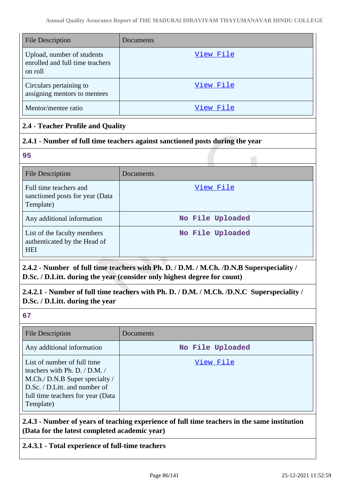| <b>File Description</b>                                                  | Documents |
|--------------------------------------------------------------------------|-----------|
| Upload, number of students<br>enrolled and full time teachers<br>on roll | View File |
| Circulars pertaining to<br>assigning mentors to mentees                  | View File |
| Mentor/mentee ratio                                                      | View File |

## **2.4 - Teacher Profile and Quality**

## **2.4.1 - Number of full time teachers against sanctioned posts during the year**

**95**

| <b>File Description</b>                                                   | Documents        |
|---------------------------------------------------------------------------|------------------|
| Full time teachers and<br>sanctioned posts for year (Data)<br>Template)   | View File        |
| Any additional information                                                | No File Uploaded |
| List of the faculty members<br>authenticated by the Head of<br><b>HEI</b> | No File Uploaded |

## **2.4.2 - Number of full time teachers with Ph. D. / D.M. / M.Ch. /D.N.B Superspeciality / D.Sc. / D.Litt. during the year (consider only highest degree for count)**

**2.4.2.1 - Number of full time teachers with Ph. D. / D.M. / M.Ch. /D.N.C Superspeciality / D.Sc. / D.Litt. during the year**

**67**

| <b>File Description</b>                                                                                                                                                           | Documents        |
|-----------------------------------------------------------------------------------------------------------------------------------------------------------------------------------|------------------|
| Any additional information                                                                                                                                                        | No File Uploaded |
| List of number of full time<br>teachers with Ph. D. / D.M. /<br>M.Ch./ D.N.B Super specialty /<br>D.Sc. / D.Litt. and number of<br>full time teachers for year (Data<br>Template) | View File        |

**2.4.3 - Number of years of teaching experience of full time teachers in the same institution (Data for the latest completed academic year)**

## **2.4.3.1 - Total experience of full-time teachers**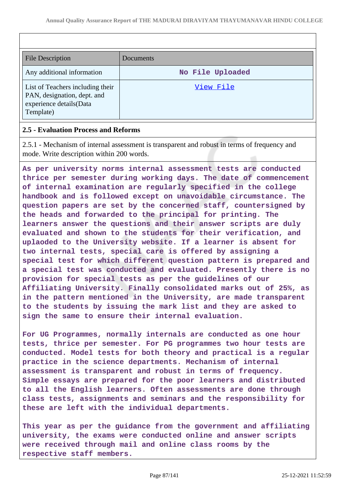| <b>File Description</b>                                | Documents        |
|--------------------------------------------------------|------------------|
|                                                        |                  |
| Any additional information                             | No File Uploaded |
| List of Teachers including their                       | View File        |
| PAN, designation, dept. and<br>experience details(Data |                  |
| Template)                                              |                  |

#### **2.5 - Evaluation Process and Reforms**

2.5.1 - Mechanism of internal assessment is transparent and robust in terms of frequency and mode. Write description within 200 words.

**As per university norms internal assessment tests are conducted thrice per semester during working days. The date of commencement of internal examination are regularly specified in the college handbook and is followed except on unavoidable circumstance. The question papers are set by the concerned staff, countersigned by the heads and forwarded to the principal for printing. The learners answer the questions and their answer scripts are duly evaluated and shown to the students for their verification, and uplaoded to the University website. If a learner is absent for two internal tests, special care is offered by assigning a special test for which different question pattern is prepared and a special test was conducted and evaluated. Presently there is no provision for special tests as per the guidelines of our Affiliating University. Finally consolidated marks out of 25%, as in the pattern mentioned in the University, are made transparent to the students by issuing the mark list and they are asked to sign the same to ensure their internal evaluation.**

**For UG Programmes, normally internals are conducted as one hour tests, thrice per semester. For PG programmes two hour tests are conducted. Model tests for both theory and practical is a regular practice in the science departments. Mechanism of internal assessment is transparent and robust in terms of frequency. Simple essays are prepared for the poor learners and distributed to all the English learners. Often assessments are done through class tests, assignments and seminars and the responsibility for these are left with the individual departments.**

**This year as per the guidance from the government and affiliating university, the exams were conducted online and answer scripts were received through mail and online class rooms by the respective staff members.**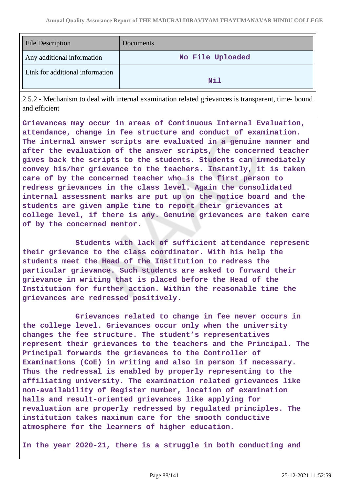| <b>File Description</b>         | Documents        |
|---------------------------------|------------------|
| Any additional information      | No File Uploaded |
| Link for additional information | Nil              |

2.5.2 - Mechanism to deal with internal examination related grievances is transparent, time- bound and efficient

**Grievances may occur in areas of Continuous Internal Evaluation, attendance, change in fee structure and conduct of examination. The internal answer scripts are evaluated in a genuine manner and after the evaluation of the answer scripts, the concerned teacher gives back the scripts to the students. Students can immediately convey his/her grievance to the teachers. Instantly, it is taken care of by the concerned teacher who is the first person to redress grievances in the class level. Again the consolidated internal assessment marks are put up on the notice board and the students are given ample time to report their grievances at college level, if there is any. Genuine grievances are taken care of by the concerned mentor.**

 **Students with lack of sufficient attendance represent their grievance to the class coordinator. With his help the students meet the Head of the Institution to redress the particular grievance. Such students are asked to forward their grievance in writing that is placed before the Head of the Institution for further action. Within the reasonable time the grievances are redressed positively.**

 **Grievances related to change in fee never occurs in the college level. Grievances occur only when the university changes the fee structure. The student's representatives represent their grievances to the teachers and the Principal. The Principal forwards the grievances to the Controller of Examinations (CoE) in writing and also in person if necessary. Thus the redressal is enabled by properly representing to the affiliating university. The examination related grievances like non-availability of Register number, location of examination halls and result-oriented grievances like applying for revaluation are properly redressed by regulated principles. The institution takes maximum care for the smooth conductive atmosphere for the learners of higher education.**

**In the year 2020-21, there is a struggle in both conducting and**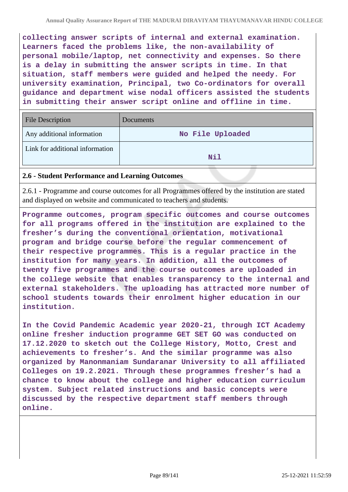**collecting answer scripts of internal and external examination. Learners faced the problems like, the non-availability of personal mobile/laptop, net connectivity and expenses. So there is a delay in submitting the answer scripts in time. In that situation, staff members were guided and helped the needy. For university examination, Principal, two Co-ordinators for overall guidance and department wise nodal officers assisted the students in submitting their answer script online and offline in time.**

| <b>File Description</b>         | Documents        |
|---------------------------------|------------------|
| Any additional information      | No File Uploaded |
| Link for additional information | Nil              |

#### **2.6 - Student Performance and Learning Outcomes**

2.6.1 - Programme and course outcomes for all Programmes offered by the institution are stated and displayed on website and communicated to teachers and students.

**Programme outcomes, program specific outcomes and course outcomes for all programs offered in the institution are explained to the fresher's during the conventional orientation, motivational program and bridge course before the regular commencement of their respective programmes. This is a regular practice in the institution for many years. In addition, all the outcomes of twenty five programmes and the course outcomes are uploaded in the college website that enables transparency to the internal and external stakeholders. The uploading has attracted more number of school students towards their enrolment higher education in our institution.**

**In the Covid Pandemic Academic year 2020-21, through ICT Academy online fresher induction programme GET SET GO was conducted on 17.12.2020 to sketch out the College History, Motto, Crest and achievements to fresher's. And the similar programme was also organized by Manonmaniam Sundaranar University to all affiliated Colleges on 19.2.2021. Through these programmes fresher's had a chance to know about the college and higher education curriculum system. Subject related instructions and basic concepts were discussed by the respective department staff members through online.**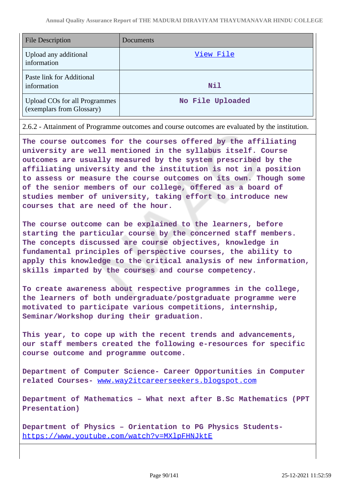| <b>File Description</b>                                           | Documents        |
|-------------------------------------------------------------------|------------------|
| Upload any additional<br>information                              | View File        |
| Paste link for Additional<br>information                          | <b>Nil</b>       |
| <b>Upload COs for all Programmes</b><br>(exemplars from Glossary) | No File Uploaded |

2.6.2 - Attainment of Programme outcomes and course outcomes are evaluated by the institution.

**The course outcomes for the courses offered by the affiliating university are well mentioned in the syllabus itself. Course outcomes are usually measured by the system prescribed by the affiliating university and the institution is not in a position to assess or measure the course outcomes on its own. Though some of the senior members of our college, offered as a board of studies member of university, taking effort to introduce new courses that are need of the hour.** 

**The course outcome can be explained to the learners, before starting the particular course by the concerned staff members. The concepts discussed are course objectives, knowledge in fundamental principles of perspective courses, the ability to apply this knowledge to the critical analysis of new information, skills imparted by the courses and course competency.**

**To create awareness about respective programmes in the college, the learners of both undergraduate/postgraduate programme were motivated to participate various competitions, internship, Seminar/Workshop during their graduation.** 

**This year, to cope up with the recent trends and advancements, our staff members created the following e-resources for specific course outcome and programme outcome.**

**Department of Computer Science- Career Opportunities in Computer related Courses-** [www.way2itcareerseekers.blogspot.com](http://www.way2itcareerseekers.blogspot.com)

**Department of Mathematics – What next after B.Sc Mathematics (PPT Presentation)**

**Department of Physics – Orientation to PG Physics Students**<https://www.youtube.com/watch?v=MXlpFHNJktE>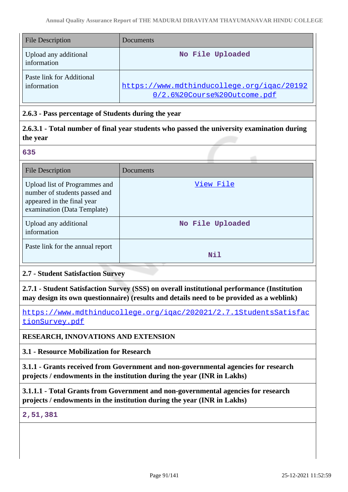| <b>File Description</b>                  | Documents <sup>®</sup>                                                     |
|------------------------------------------|----------------------------------------------------------------------------|
| Upload any additional<br>information     | No File Uploaded                                                           |
| Paste link for Additional<br>information | https://www.mdthinducollege.org/igac/20192<br>0/2.6%20Course%20Outcome.pdf |

### **2.6.3 - Pass percentage of Students during the year**

**2.6.3.1 - Total number of final year students who passed the university examination during the year**

**635**

| File Description                                                                                                            | Documents        |
|-----------------------------------------------------------------------------------------------------------------------------|------------------|
| Upload list of Programmes and<br>number of students passed and<br>appeared in the final year<br>examination (Data Template) | View File        |
| Upload any additional<br>information                                                                                        | No File Uploaded |
| Paste link for the annual report                                                                                            | Nil              |

### **2.7 - Student Satisfaction Survey**

**2.7.1 - Student Satisfaction Survey (SSS) on overall institutional performance (Institution may design its own questionnaire) (results and details need to be provided as a weblink)**

[https://www.mdthinducollege.org/iqac/202021/2.7.1StudentsSatisfac](https://www.mdthinducollege.org/iqac/202021/2.7.1StudentsSatisfactionSurvey.pdf) [tionSurvey.pdf](https://www.mdthinducollege.org/iqac/202021/2.7.1StudentsSatisfactionSurvey.pdf)

### **RESEARCH, INNOVATIONS AND EXTENSION**

**3.1 - Resource Mobilization for Research**

**3.1.1 - Grants received from Government and non-governmental agencies for research projects / endowments in the institution during the year (INR in Lakhs)**

**3.1.1.1 - Total Grants from Government and non-governmental agencies for research projects / endowments in the institution during the year (INR in Lakhs)**

#### **2,51,381**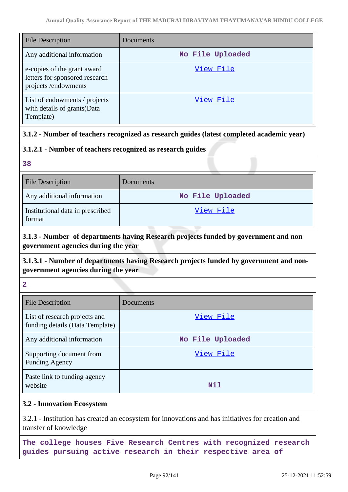| <b>File Description</b>                                                              | Documents        |
|--------------------------------------------------------------------------------------|------------------|
| Any additional information                                                           | No File Uploaded |
| e-copies of the grant award<br>letters for sponsored research<br>projects/endowments | View File        |
| List of endowments / projects<br>with details of grants (Data<br>Template)           | View File        |

## **3.1.2 - Number of teachers recognized as research guides (latest completed academic year)**

### **3.1.2.1 - Number of teachers recognized as research guides**

**38**

| <b>File Description</b>                    | <b>Documents</b> |
|--------------------------------------------|------------------|
| Any additional information                 | No File Uploaded |
| Institutional data in prescribed<br>format | View File        |

## **3.1.3 - Number of departments having Research projects funded by government and non government agencies during the year**

## **3.1.3.1 - Number of departments having Research projects funded by government and nongovernment agencies during the year**

**2**

| <b>File Description</b>                                          | Documents        |
|------------------------------------------------------------------|------------------|
| List of research projects and<br>funding details (Data Template) | View File        |
| Any additional information                                       | No File Uploaded |
| Supporting document from<br><b>Funding Agency</b>                | View File        |
| Paste link to funding agency<br>website                          | Nil              |

### **3.2 - Innovation Ecosystem**

3.2.1 - Institution has created an ecosystem for innovations and has initiatives for creation and transfer of knowledge

**The college houses Five Research Centres with recognized research guides pursuing active research in their respective area of**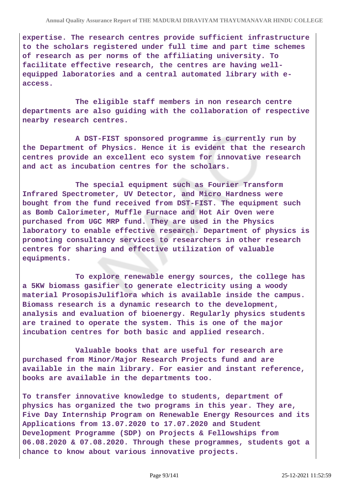**expertise. The research centres provide sufficient infrastructure to the scholars registered under full time and part time schemes of research as per norms of the affiliating university. To facilitate effective research, the centres are having wellequipped laboratories and a central automated library with eaccess.**

 **The eligible staff members in non research centre departments are also guiding with the collaboration of respective nearby research centres.**

 **A DST-FIST sponsored programme is currently run by the Department of Physics. Hence it is evident that the research centres provide an excellent eco system for innovative research and act as incubation centres for the scholars.**

 **The special equipment such as Fourier Transform Infrared Spectrometer, UV Detector, and Micro Hardness were bought from the fund received from DST-FIST. The equipment such as Bomb Calorimeter, Muffle Furnace and Hot Air Oven were purchased from UGC MRP fund. They are used in the Physics laboratory to enable effective research. Department of physics is promoting consultancy services to researchers in other research centres for sharing and effective utilization of valuable equipments.**

 **To explore renewable energy sources, the college has a 5KW biomass gasifier to generate electricity using a woody material ProsopisJuliflora which is available inside the campus. Biomass research is a dynamic research to the development, analysis and evaluation of bioenergy. Regularly physics students are trained to operate the system. This is one of the major incubation centres for both basic and applied research.**

 **Valuable books that are useful for research are purchased from Minor/Major Research Projects fund and are available in the main library. For easier and instant reference, books are available in the departments too.**

**To transfer innovative knowledge to students, department of physics has organized the two programs in this year. They are, Five Day Internship Program on Renewable Energy Resources and its Applications from 13.07.2020 to 17.07.2020 and Student Development Programme (SDP) on Projects & Fellowships from 06.08.2020 & 07.08.2020. Through these programmes, students got a chance to know about various innovative projects.**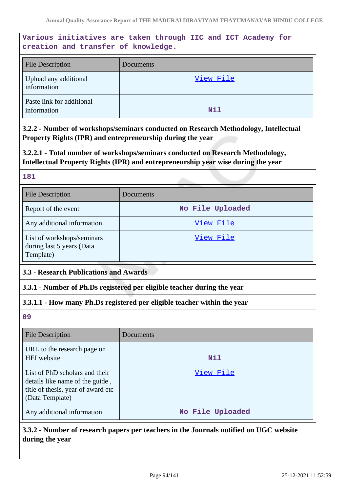## **Various initiatives are taken through IIC and ICT Academy for creation and transfer of knowledge.**

| <b>File Description</b>                  | Documents |
|------------------------------------------|-----------|
| Upload any additional<br>information     | View File |
| Paste link for additional<br>information | Nil       |

**3.2.2 - Number of workshops/seminars conducted on Research Methodology, Intellectual Property Rights (IPR) and entrepreneurship during the year**

**3.2.2.1 - Total number of workshops/seminars conducted on Research Methodology, Intellectual Property Rights (IPR) and entrepreneurship year wise during the year**

#### **181**

| <b>File Description</b>                                              | Documents        |
|----------------------------------------------------------------------|------------------|
| Report of the event                                                  | No File Uploaded |
| Any additional information                                           | View File        |
| List of workshops/seminars<br>during last 5 years (Data<br>Template) | View File        |

### **3.3 - Research Publications and Awards**

### **3.3.1 - Number of Ph.Ds registered per eligible teacher during the year**

### **3.3.1.1 - How many Ph.Ds registered per eligible teacher within the year**

**09**

| <b>File Description</b>                                                                                                    | Documents        |
|----------------------------------------------------------------------------------------------------------------------------|------------------|
| URL to the research page on<br>HEI website                                                                                 | Nil              |
| List of PhD scholars and their<br>details like name of the guide,<br>title of thesis, year of award etc<br>(Data Template) | View File        |
| Any additional information                                                                                                 | No File Uploaded |

## **3.3.2 - Number of research papers per teachers in the Journals notified on UGC website during the year**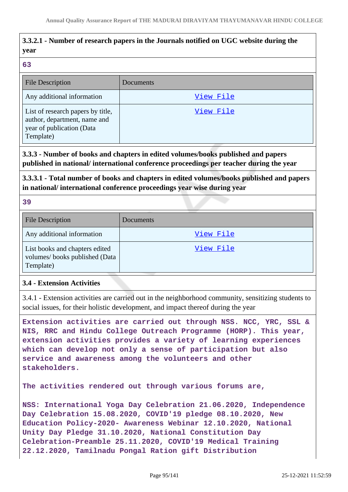## **3.3.2.1 - Number of research papers in the Journals notified on UGC website during the year**

#### **63**

| <b>File Description</b>                                                                                     | Documents |
|-------------------------------------------------------------------------------------------------------------|-----------|
| Any additional information                                                                                  | View File |
| List of research papers by title,<br>author, department, name and<br>year of publication (Data<br>Template) | View File |

**3.3.3 - Number of books and chapters in edited volumes/books published and papers published in national/ international conference proceedings per teacher during the year**

**3.3.3.1 - Total number of books and chapters in edited volumes/books published and papers in national/ international conference proceedings year wise during year**

**39**

| <b>File Description</b>                                                      | Documents |
|------------------------------------------------------------------------------|-----------|
| Any additional information                                                   | View File |
| List books and chapters edited<br>volumes/books published (Data<br>Template) | View File |

### **3.4 - Extension Activities**

3.4.1 - Extension activities are carried out in the neighborhood community, sensitizing students to social issues, for their holistic development, and impact thereof during the year

**Extension activities are carried out through NSS. NCC, YRC, SSL & NIS, RRC and Hindu College Outreach Programme (HORP). This year, extension activities provides a variety of learning experiences which can develop not only a sense of participation but also service and awareness among the volunteers and other stakeholders.**

**The activities rendered out through various forums are,**

**NSS: International Yoga Day Celebration 21.06.2020, Independence Day Celebration 15.08.2020, COVID'19 pledge 08.10.2020, New Education Policy-2020- Awareness Webinar 12.10.2020, National Unity Day Pledge 31.10.2020, National Constitution Day Celebration-Preamble 25.11.2020, COVID'19 Medical Training 22.12.2020, Tamilnadu Pongal Ration gift Distribution**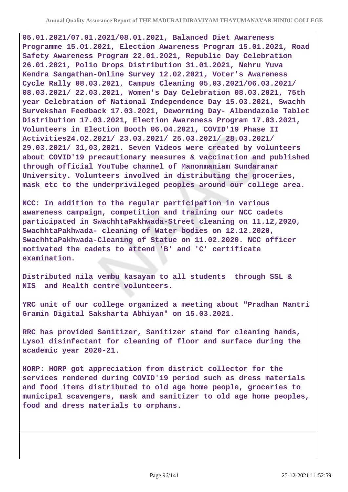**05.01.2021/07.01.2021/08.01.2021, Balanced Diet Awareness Programme 15.01.2021, Election Awareness Program 15.01.2021, Road Safety Awareness Program 22.01.2021, Republic Day Celebration 26.01.2021, Polio Drops Distribution 31.01.2021, Nehru Yuva Kendra Sangathan-Online Survey 12.02.2021, Voter's Awareness Cycle Rally 08.03.2021, Campus Cleaning 05.03.2021/06.03.2021/ 08.03.2021/ 22.03.2021, Women's Day Celebration 08.03.2021, 75th year Celebration of National Independence Day 15.03.2021, Swachh Survekshan Feedback 17.03.2021, Deworming Day- Albendazole Tablet Distribution 17.03.2021, Election Awareness Program 17.03.2021, Volunteers in Election Booth 06.04.2021, COVID'19 Phase II Activities24.02.2021/ 23.03.2021/ 25.03.2021/ 28.03.2021/ 29.03.2021/ 31,03,2021. Seven Videos were created by volunteers about COVID'19 precautionary measures & vaccination and published through official YouTube channel of Manonmaniam Sundaranar University. Volunteers involved in distributing the groceries, mask etc to the underprivileged peoples around our college area.**

**NCC: In addition to the regular participation in various awareness campaign, competition and training our NCC cadets participated in SwachhtaPakhwada-Street cleaning on 11.12,2020, SwachhtaPakhwada- cleaning of Water bodies on 12.12.2020, SwachhtaPakhwada-Cleaning of Statue on 11.02.2020. NCC officer motivated the cadets to attend 'B' and 'C' certificate examination.**

**Distributed nila vembu kasayam to all students through SSL & NIS and Health centre volunteers.**

**YRC unit of our college organized a meeting about "Pradhan Mantri Gramin Digital Saksharta Abhiyan" on 15.03.2021.**

**RRC has provided Sanitizer, Sanitizer stand for cleaning hands, Lysol disinfectant for cleaning of floor and surface during the academic year 2020-21.**

**HORP: HORP got appreciation from district collector for the services rendered during COVID'19 period such as dress materials and food items distributed to old age home people, groceries to municipal scavengers, mask and sanitizer to old age home peoples, food and dress materials to orphans.**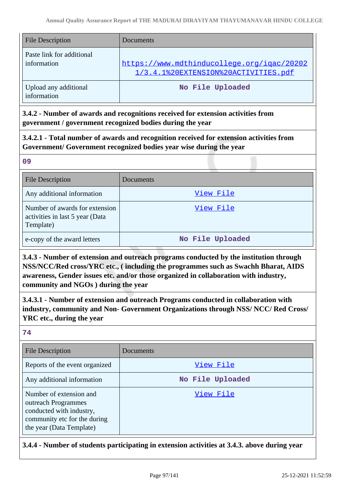| <b>File Description</b>                  | <b>Documents</b>                                                                   |
|------------------------------------------|------------------------------------------------------------------------------------|
| Paste link for additional<br>information | https://www.mdthinducollege.org/igac/20202<br>1/3.4.1%20EXTENSION%20ACTIVITIES.pdf |
| Upload any additional<br>information     | No File Uploaded                                                                   |

**3.4.2 - Number of awards and recognitions received for extension activities from government / government recognized bodies during the year**

**3.4.2.1 - Total number of awards and recognition received for extension activities from Government/ Government recognized bodies year wise during the year**

**09** File Description Documents Any additional information and the state of the [View File](https://assessmentonline.naac.gov.in/storage/app/public/aqar/12410/12410_129_308.pdf) Number of awards for extension activities in last 5 year (Data Template) [View File](https://assessmentonline.naac.gov.in/storage/app/public/aqar/12410/12410_129_309.xlsx) e-copy of the award letters **No File Uploaded** 

**3.4.3 - Number of extension and outreach programs conducted by the institution through NSS/NCC/Red cross/YRC etc., ( including the programmes such as Swachh Bharat, AIDS awareness, Gender issues etc. and/or those organized in collaboration with industry, community and NGOs ) during the year**

**3.4.3.1 - Number of extension and outreach Programs conducted in collaboration with industry, community and Non- Government Organizations through NSS/ NCC/ Red Cross/ YRC etc., during the year**

**74**

| <b>File Description</b>                                                                                                                | Documents        |
|----------------------------------------------------------------------------------------------------------------------------------------|------------------|
| Reports of the event organized                                                                                                         | View File        |
| Any additional information                                                                                                             | No File Uploaded |
| Number of extension and<br>outreach Programmes<br>conducted with industry,<br>community etc for the during<br>the year (Data Template) | View File        |

**3.4.4 - Number of students participating in extension activities at 3.4.3. above during year**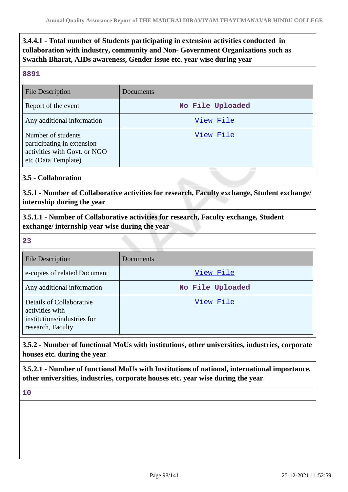**3.4.4.1 - Total number of Students participating in extension activities conducted in collaboration with industry, community and Non- Government Organizations such as Swachh Bharat, AIDs awareness, Gender issue etc. year wise during year**

#### **8891**

| <b>File Description</b>                                                                                 | Documents        |
|---------------------------------------------------------------------------------------------------------|------------------|
| Report of the event                                                                                     | No File Uploaded |
| Any additional information                                                                              | View File        |
| Number of students<br>participating in extension<br>activities with Govt. or NGO<br>etc (Data Template) | View File        |

### **3.5 - Collaboration**

**3.5.1 - Number of Collaborative activities for research, Faculty exchange, Student exchange/ internship during the year**

**3.5.1.1 - Number of Collaborative activities for research, Faculty exchange, Student exchange/ internship year wise during the year**

**23**

| <b>File Description</b>                                                                         | Documents        |
|-------------------------------------------------------------------------------------------------|------------------|
| e-copies of related Document                                                                    | View File        |
| Any additional information                                                                      | No File Uploaded |
| Details of Collaborative<br>activities with<br>institutions/industries for<br>research, Faculty | View File        |

**3.5.2 - Number of functional MoUs with institutions, other universities, industries, corporate houses etc. during the year**

**3.5.2.1 - Number of functional MoUs with Institutions of national, international importance, other universities, industries, corporate houses etc. year wise during the year**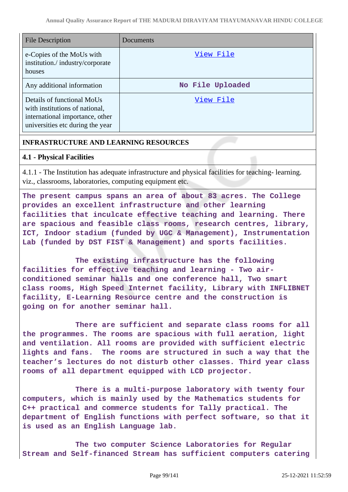| <b>File Description</b>                                                                                                             | Documents        |
|-------------------------------------------------------------------------------------------------------------------------------------|------------------|
| e-Copies of the MoUs with<br>institution./industry/corporate<br>houses                                                              | View File        |
| Any additional information                                                                                                          | No File Uploaded |
| Details of functional MoUs<br>with institutions of national,<br>international importance, other<br>universities etc during the year | View File        |

### **INFRASTRUCTURE AND LEARNING RESOURCES**

#### **4.1 - Physical Facilities**

4.1.1 - The Institution has adequate infrastructure and physical facilities for teaching- learning. viz., classrooms, laboratories, computing equipment etc.

**The present campus spans an area of about 83 acres. The College provides an excellent infrastructure and other learning facilities that inculcate effective teaching and learning. There are spacious and feasible class rooms, research centres, library, ICT, Indoor stadium (funded by UGC & Management), Instrumentation Lab (funded by DST FIST & Management) and sports facilities.**

 **The existing infrastructure has the following facilities for effective teaching and learning - Two airconditioned seminar halls and one conference hall, Two smart class rooms, High Speed Internet facility, Library with INFLIBNET facility, E-Learning Resource centre and the construction is going on for another seminar hall.** 

 **There are sufficient and separate class rooms for all the programmes. The rooms are spacious with full aeration, light and ventilation. All rooms are provided with sufficient electric lights and fans. The rooms are structured in such a way that the teacher's lectures do not disturb other classes. Third year class rooms of all department equipped with LCD projector.** 

 **There is a multi-purpose laboratory with twenty four computers, which is mainly used by the Mathematics students for C++ practical and commerce students for Tally practical. The department of English functions with perfect software, so that it is used as an English Language lab.**

 **The two computer Science Laboratories for Regular Stream and Self-financed Stream has sufficient computers catering**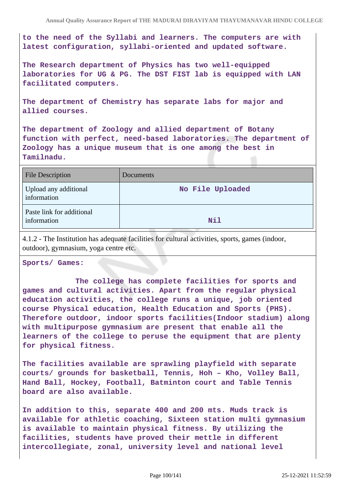**to the need of the Syllabi and learners. The computers are with latest configuration, syllabi-oriented and updated software.**

**The Research department of Physics has two well-equipped laboratories for UG & PG. The DST FIST lab is equipped with LAN facilitated computers.**

**The department of Chemistry has separate labs for major and allied courses.**

**The department of Zoology and allied department of Botany function with perfect, need-based laboratories. The department of Zoology has a unique museum that is one among the best in Tamilnadu.**

| <b>File Description</b>                  | Documents        |
|------------------------------------------|------------------|
| Upload any additional<br>information     | No File Uploaded |
| Paste link for additional<br>information | Nil              |

4.1.2 - The Institution has adequate facilities for cultural activities, sports, games (indoor, outdoor), gymnasium, yoga centre etc.

**Sports/ Games:**

 **The college has complete facilities for sports and games and cultural activities. Apart from the regular physical education activities, the college runs a unique, job oriented course Physical education, Health Education and Sports (PHS). Therefore outdoor, indoor sports facilities(Indoor stadium) along with multipurpose gymnasium are present that enable all the learners of the college to peruse the equipment that are plenty for physical fitness.**

**The facilities available are sprawling playfield with separate courts/ grounds for basketball, Tennis, Hoh – Kho, Volley Ball, Hand Ball, Hockey, Football, Batminton court and Table Tennis board are also available.**

**In addition to this, separate 400 and 200 mts. Muds track is available for athletic coaching, Sixteen station multi gymnasium is available to maintain physical fitness. By utilizing the facilities, students have proved their mettle in different intercollegiate, zonal, university level and national level**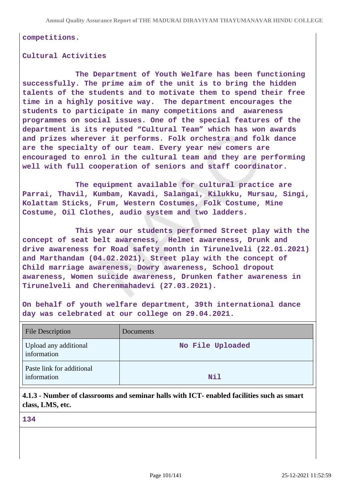**competitions.**

#### **Cultural Activities**

 **The Department of Youth Welfare has been functioning successfully. The prime aim of the unit is to bring the hidden talents of the students and to motivate them to spend their free time in a highly positive way. The department encourages the students to participate in many competitions and awareness programmes on social issues. One of the special features of the department is its reputed "Cultural Team" which has won awards and prizes wherever it performs. Folk orchestra and folk dance are the specialty of our team. Every year new comers are encouraged to enrol in the cultural team and they are performing well with full cooperation of seniors and staff coordinator.**

 **The equipment available for cultural practice are Parrai, Thavil, Kumbam, Kavadi, Salangai, Kilukku, Mursau, Singi, Kolattam Sticks, Frum, Western Costumes, Folk Costume, Mine Costume, Oil Clothes, audio system and two ladders.**

 **This year our students performed Street play with the concept of seat belt awareness, Helmet awareness, Drunk and drive awareness for Road safety month in Tirunelveli (22.01.2021) and Marthandam (04.02.2021), Street play with the concept of Child marriage awareness, Dowry awareness, School dropout awareness, Women suicide awareness, Drunken father awareness in Tirunelveli and Cherenmahadevi (27.03.2021).** 

**On behalf of youth welfare department, 39th international dance day was celebrated at our college on 29.04.2021.** 

| <b>File Description</b>                  | Documents        |
|------------------------------------------|------------------|
| Upload any additional<br>information     | No File Uploaded |
| Paste link for additional<br>information | Nil              |

**4.1.3 - Number of classrooms and seminar halls with ICT- enabled facilities such as smart class, LMS, etc.**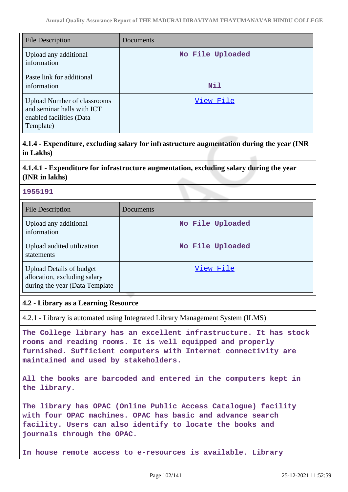| <b>File Description</b>                                                                                   | Documents        |
|-----------------------------------------------------------------------------------------------------------|------------------|
| Upload any additional<br>information                                                                      | No File Uploaded |
| Paste link for additional<br>information                                                                  | <b>Nil</b>       |
| <b>Upload Number of classrooms</b><br>and seminar halls with ICT<br>enabled facilities (Data<br>Template) | View File        |

**4.1.4 - Expenditure, excluding salary for infrastructure augmentation during the year (INR in Lakhs)**

## **4.1.4.1 - Expenditure for infrastructure augmentation, excluding salary during the year (INR in lakhs)**

### **1955191**

| <b>File Description</b>                                                                           | <b>Documents</b> |
|---------------------------------------------------------------------------------------------------|------------------|
| Upload any additional<br>information                                                              | No File Uploaded |
| Upload audited utilization<br>statements                                                          | No File Uploaded |
| <b>Upload Details of budget</b><br>allocation, excluding salary<br>during the year (Data Template | <u>View File</u> |

### **4.2 - Library as a Learning Resource**

4.2.1 - Library is automated using Integrated Library Management System (ILMS)

**The College library has an excellent infrastructure. It has stock rooms and reading rooms. It is well equipped and properly furnished. Sufficient computers with Internet connectivity are maintained and used by stakeholders.**

**All the books are barcoded and entered in the computers kept in the library.**

**The library has OPAC (Online Public Access Catalogue) facility with four OPAC machines. OPAC has basic and advance search facility. Users can also identify to locate the books and journals through the OPAC.**

**In house remote access to e-resources is available. Library**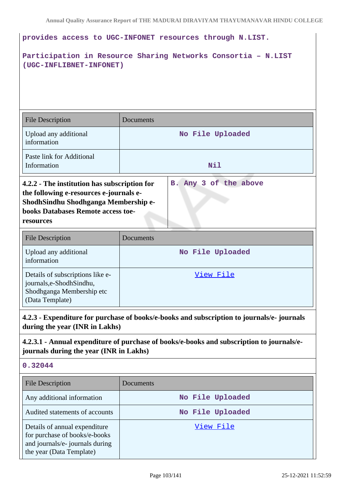| provides access to UGC-INFONET resources through N.LIST.                                                                                                                                                           |                  |  |
|--------------------------------------------------------------------------------------------------------------------------------------------------------------------------------------------------------------------|------------------|--|
| Participation in Resource Sharing Networks Consortia - N.LIST<br>(UGC-INFLIBNET-INFONET)                                                                                                                           |                  |  |
| <b>File Description</b>                                                                                                                                                                                            | Documents        |  |
| Upload any additional<br>information                                                                                                                                                                               | No File Uploaded |  |
| Paste link for Additional<br>Information                                                                                                                                                                           | Nil              |  |
| B. Any 3 of the above<br>4.2.2 - The institution has subscription for<br>the following e-resources e-journals e-<br>ShodhSindhu Shodhganga Membership e-<br><b>books Databases Remote access toe-</b><br>resources |                  |  |
| <b>File Description</b>                                                                                                                                                                                            | Documents        |  |
| Upload any additional<br>information                                                                                                                                                                               | No File Uploaded |  |

| Details of subscriptions like e-<br>View File<br>journals, e-Shodh Sindhu,<br>Shodhganga Membership etc<br>CData Template |
|---------------------------------------------------------------------------------------------------------------------------|
|                                                                                                                           |

**4.2.3 - Expenditure for purchase of books/e-books and subscription to journals/e- journals during the year (INR in Lakhs)**

## **4.2.3.1 - Annual expenditure of purchase of books/e-books and subscription to journals/ejournals during the year (INR in Lakhs)**

### **0.32044**

| <b>File Description</b>                                                                                                       | Documents        |
|-------------------------------------------------------------------------------------------------------------------------------|------------------|
| Any additional information                                                                                                    | No File Uploaded |
| Audited statements of accounts                                                                                                | No File Uploaded |
| Details of annual expenditure<br>for purchase of books/e-books<br>and journals/e- journals during<br>the year (Data Template) | View File        |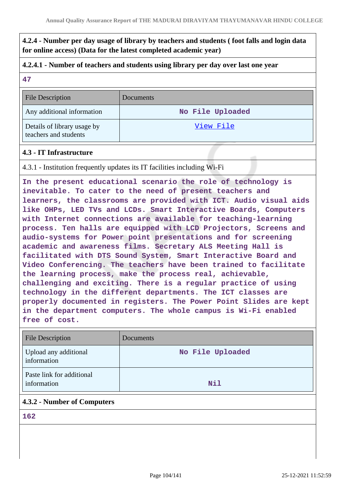**4.2.4 - Number per day usage of library by teachers and students ( foot falls and login data for online access) (Data for the latest completed academic year)**

#### **4.2.4.1 - Number of teachers and students using library per day over last one year**

#### **47**

File Description Documents Any additional information **No File Uploaded** Details of library usage by teachers and students [View File](https://assessmentonline.naac.gov.in/storage/app/public/aqar/12410/12410_141_342.pdf)

#### **4.3 - IT Infrastructure**

4.3.1 - Institution frequently updates its IT facilities including Wi-Fi

**In the present educational scenario the role of technology is inevitable. To cater to the need of present teachers and learners, the classrooms are provided with ICT. Audio visual aids like OHPs, LED TVs and LCDs. Smart Interactive Boards, Computers with Internet connections are available for teaching-learning process. Ten halls are equipped with LCD Projectors, Screens and audio-systems for Power point presentations and for screening academic and awareness films. Secretary ALS Meeting Hall is facilitated with DTS Sound System, Smart Interactive Board and Video Conferencing. The teachers have been trained to facilitate the learning process, make the process real, achievable, challenging and exciting. There is a regular practice of using technology in the different departments. The ICT classes are properly documented in registers. The Power Point Slides are kept in the department computers. The whole campus is Wi-Fi enabled free of cost.**

| <b>File Description</b>                  | Documents        |
|------------------------------------------|------------------|
| Upload any additional<br>information     | No File Uploaded |
| Paste link for additional<br>information | <b>Nil</b>       |

#### **4.3.2 - Number of Computers**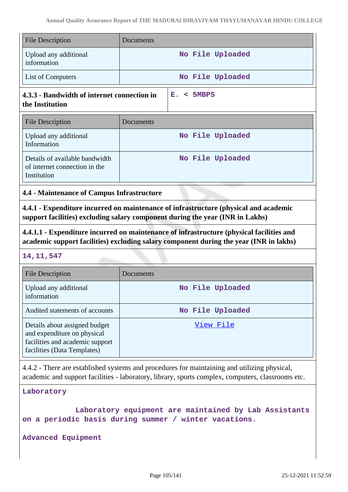| <b>File Description</b>                                                                                                                                               | Documents                                                                                                                                                                                         |  |
|-----------------------------------------------------------------------------------------------------------------------------------------------------------------------|---------------------------------------------------------------------------------------------------------------------------------------------------------------------------------------------------|--|
| Upload any additional<br>information                                                                                                                                  | No File Uploaded                                                                                                                                                                                  |  |
| List of Computers                                                                                                                                                     | No File Uploaded                                                                                                                                                                                  |  |
| 4.3.3 - Bandwidth of internet connection in<br>the Institution                                                                                                        | E. < 5MBPS                                                                                                                                                                                        |  |
| <b>File Description</b>                                                                                                                                               | Documents                                                                                                                                                                                         |  |
| Upload any additional<br>Information                                                                                                                                  | No File Uploaded                                                                                                                                                                                  |  |
| Details of available bandwidth<br>of internet connection in the<br>Institution                                                                                        | No File Uploaded                                                                                                                                                                                  |  |
| 4.4 - Maintenance of Campus Infrastructure                                                                                                                            |                                                                                                                                                                                                   |  |
| 4.4.1 - Expenditure incurred on maintenance of infrastructure (physical and academic<br>support facilities) excluding salary component during the year (INR in Lakhs) |                                                                                                                                                                                                   |  |
|                                                                                                                                                                       |                                                                                                                                                                                                   |  |
|                                                                                                                                                                       | 4.4.1.1 - Expenditure incurred on maintenance of infrastructure (physical facilities and<br>academic support facilities) excluding salary component during the year (INR in lakhs)                |  |
| 14, 11, 547                                                                                                                                                           |                                                                                                                                                                                                   |  |
| <b>File Description</b>                                                                                                                                               | Documents                                                                                                                                                                                         |  |
| Upload any additional<br>information                                                                                                                                  | No File Uploaded                                                                                                                                                                                  |  |
| Audited statements of accounts                                                                                                                                        | No File Uploaded                                                                                                                                                                                  |  |
| Details about assigned budget<br>and expenditure on physical<br>facilities and academic support<br>facilities (Data Templates)                                        | <u>View File</u>                                                                                                                                                                                  |  |
|                                                                                                                                                                       | 4.4.2 - There are established systems and procedures for maintaining and utilizing physical,<br>academic and support facilities - laboratory, library, sports complex, computers, classrooms etc. |  |

```
 Laboratory equipment are maintained by Lab Assistants
on a periodic basis during summer / winter vacations.
```
**Advanced Equipment**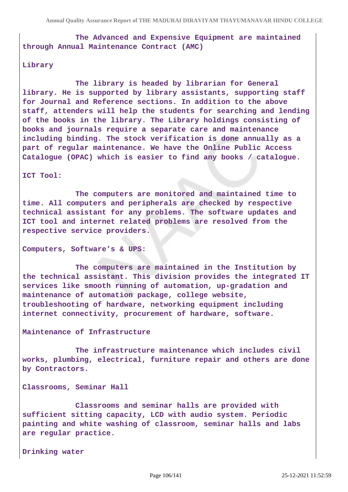**The Advanced and Expensive Equipment are maintained through Annual Maintenance Contract (AMC)**

#### **Library**

 **The library is headed by librarian for General library. He is supported by library assistants, supporting staff for Journal and Reference sections. In addition to the above staff, attenders will help the students for searching and lending of the books in the library. The Library holdings consisting of books and journals require a separate care and maintenance including binding. The stock verification is done annually as a part of regular maintenance. We have the Online Public Access Catalogue (OPAC) which is easier to find any books / catalogue.**

**ICT Tool:**

 **The computers are monitored and maintained time to time. All computers and peripherals are checked by respective technical assistant for any problems. The software updates and ICT tool and internet related problems are resolved from the respective service providers.**

**Computers, Software's & UPS:**

 **The computers are maintained in the Institution by the technical assistant. This division provides the integrated IT services like smooth running of automation, up-gradation and maintenance of automation package, college website, troubleshooting of hardware, networking equipment including internet connectivity, procurement of hardware, software.**

**Maintenance of Infrastructure**

 **The infrastructure maintenance which includes civil works, plumbing, electrical, furniture repair and others are done by Contractors.**

**Classrooms, Seminar Hall**

 **Classrooms and seminar halls are provided with sufficient sitting capacity, LCD with audio system. Periodic painting and white washing of classroom, seminar halls and labs are regular practice.**

**Drinking water**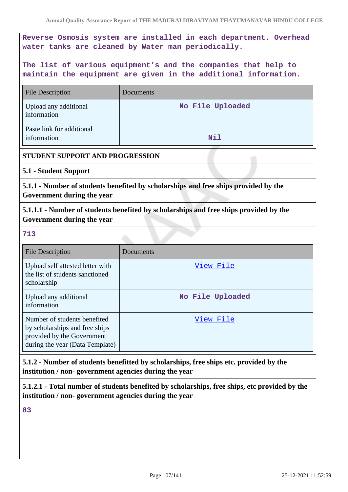**Reverse Osmosis system are installed in each department. Overhead water tanks are cleaned by Water man periodically.**

**The list of various equipment's and the companies that help to maintain the equipment are given in the additional information.**

| <b>File Description</b>                                                                                                         | Documents        |  |
|---------------------------------------------------------------------------------------------------------------------------------|------------------|--|
| Upload any additional<br>information                                                                                            | No File Uploaded |  |
| Paste link for additional<br>information                                                                                        | <b>Nil</b>       |  |
| STUDENT SUPPORT AND PROGRESSION                                                                                                 |                  |  |
| 5.1 - Student Support                                                                                                           |                  |  |
| 5.1.1 - Number of students benefited by scholarships and free ships provided by the<br>Government during the year               |                  |  |
| 5.1.1.1 - Number of students benefited by scholarships and free ships provided by the<br>Government during the year             |                  |  |
| 713                                                                                                                             |                  |  |
| <b>File Description</b>                                                                                                         | Documents        |  |
| Upload self attested letter with<br>the list of students sanctioned<br>scholarship                                              | <u>View File</u> |  |
| Upload any additional<br>information                                                                                            | No File Uploaded |  |
| Number of students benefited<br>by scholarships and free ships<br>provided by the Government<br>during the year (Data Template) | View File        |  |

**5.1.2 - Number of students benefitted by scholarships, free ships etc. provided by the institution / non- government agencies during the year**

**5.1.2.1 - Total number of students benefited by scholarships, free ships, etc provided by the institution / non- government agencies during the year**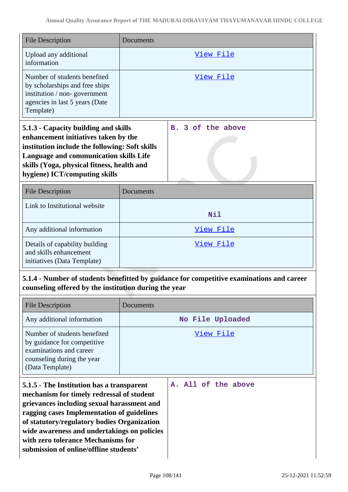| <b>File Description</b>                                                                                                                                                                                                                                                                                                                                          | Documents        |                                  |
|------------------------------------------------------------------------------------------------------------------------------------------------------------------------------------------------------------------------------------------------------------------------------------------------------------------------------------------------------------------|------------------|----------------------------------|
| Upload any additional<br>information                                                                                                                                                                                                                                                                                                                             |                  | View File                        |
| Number of students benefited<br>by scholarships and free ships<br>institution / non-government<br>agencies in last 5 years (Date<br>Template)                                                                                                                                                                                                                    |                  | View File                        |
| 5.1.3 - Capacity building and skills<br>enhancement initiatives taken by the<br>institution include the following: Soft skills<br><b>Language and communication skills Life</b><br>skills (Yoga, physical fitness, health and<br>hygiene) ICT/computing skills                                                                                                   |                  | 3 of the above<br>$\mathbf{B}$ . |
| <b>File Description</b>                                                                                                                                                                                                                                                                                                                                          | Documents        |                                  |
| Link to Institutional website                                                                                                                                                                                                                                                                                                                                    |                  | <b>Nil</b>                       |
| Any additional information                                                                                                                                                                                                                                                                                                                                       |                  | View File                        |
| Details of capability building<br>and skills enhancement<br>initiatives (Data Template)                                                                                                                                                                                                                                                                          |                  | <u>View File</u>                 |
| 5.1.4 - Number of students benefitted by guidance for competitive examinations and career<br>counseling offered by the institution during the year                                                                                                                                                                                                               |                  |                                  |
| <b>File Description</b>                                                                                                                                                                                                                                                                                                                                          | Documents        |                                  |
| Any additional information                                                                                                                                                                                                                                                                                                                                       | No File Uploaded |                                  |
| Number of students benefited<br>by guidance for competitive<br>examinations and career<br>counseling during the year<br>(Data Template)                                                                                                                                                                                                                          |                  | <u>View File</u>                 |
| 5.1.5 - The Institution has a transparent<br>mechanism for timely redressal of student<br>grievances including sexual harassment and<br>ragging cases Implementation of guidelines<br>of statutory/regulatory bodies Organization<br>wide awareness and undertakings on policies<br>with zero tolerance Mechanisms for<br>submission of online/offline students' |                  | A. All of the above              |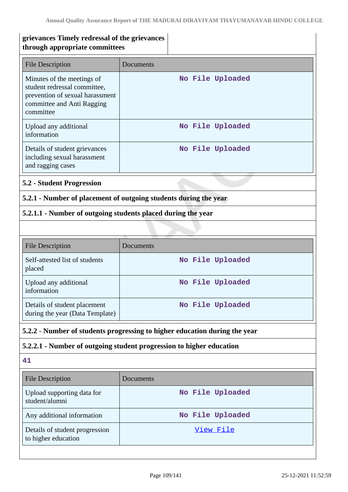| grievances Timely redressal of the grievances<br>through appropriate committees                                                          |                                                                            |  |
|------------------------------------------------------------------------------------------------------------------------------------------|----------------------------------------------------------------------------|--|
| <b>File Description</b>                                                                                                                  | Documents                                                                  |  |
| Minutes of the meetings of<br>student redressal committee,<br>prevention of sexual harassment<br>committee and Anti Ragging<br>committee | No File Uploaded                                                           |  |
| Upload any additional<br>information                                                                                                     | No File Uploaded                                                           |  |
| Details of student grievances<br>including sexual harassment<br>and ragging cases                                                        | No File Uploaded                                                           |  |
| <b>5.2 - Student Progression</b>                                                                                                         |                                                                            |  |
|                                                                                                                                          | 5.2.1 - Number of placement of outgoing students during the year           |  |
| 5.2.1.1 - Number of outgoing students placed during the year                                                                             |                                                                            |  |
|                                                                                                                                          |                                                                            |  |
| <b>File Description</b>                                                                                                                  | Documents                                                                  |  |
| Self-attested list of students<br>placed                                                                                                 | No File Uploaded                                                           |  |
| Upload any additional<br>information                                                                                                     | No File Uploaded                                                           |  |
| Details of student placement<br>during the year (Data Template)                                                                          | No File Uploaded                                                           |  |
|                                                                                                                                          | 5.2.2 - Number of students progressing to higher education during the year |  |
|                                                                                                                                          | 5.2.2.1 - Number of outgoing student progression to higher education       |  |
| 41                                                                                                                                       |                                                                            |  |
| <b>File Description</b>                                                                                                                  | Documents                                                                  |  |
| Upload supporting data for<br>student/alumni                                                                                             | No File Uploaded                                                           |  |
| Any additional information                                                                                                               | No File Uploaded                                                           |  |
| Details of student progression<br>to higher education                                                                                    | <u>View File</u>                                                           |  |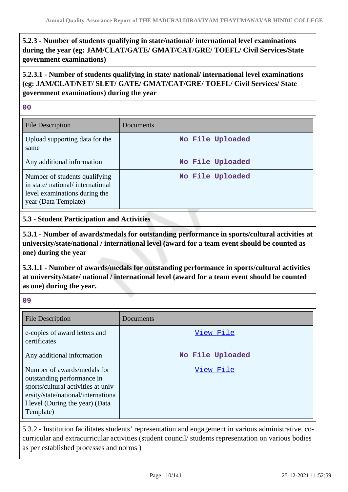# **5.2.3 - Number of students qualifying in state/national/ international level examinations during the year (eg: JAM/CLAT/GATE/ GMAT/CAT/GRE/ TOEFL/ Civil Services/State government examinations)**

# **5.2.3.1 - Number of students qualifying in state/ national/ international level examinations (eg: JAM/CLAT/NET/ SLET/ GATE/ GMAT/CAT/GRE/ TOEFL/ Civil Services/ State government examinations) during the year**

## **00**

| <b>File Description</b>                                                                                                   | Documents        |
|---------------------------------------------------------------------------------------------------------------------------|------------------|
| Upload supporting data for the<br>same                                                                                    | No File Uploaded |
| Any additional information                                                                                                | No File Uploaded |
| Number of students qualifying<br>in state/national/international<br>level examinations during the<br>year (Data Template) | No File Uploaded |

# **5.3 - Student Participation and Activities**

**5.3.1 - Number of awards/medals for outstanding performance in sports/cultural activities at university/state/national / international level (award for a team event should be counted as one) during the year**

**5.3.1.1 - Number of awards/medals for outstanding performance in sports/cultural activities at university/state/ national / international level (award for a team event should be counted as one) during the year.**

| v<br>I<br>×<br>M. | ٠<br>×<br>ı<br>۰. |
|-------------------|-------------------|
|                   |                   |

| <b>File Description</b>                                                                                                                                                               | Documents        |
|---------------------------------------------------------------------------------------------------------------------------------------------------------------------------------------|------------------|
| e-copies of award letters and<br>certificates                                                                                                                                         | View File        |
| Any additional information                                                                                                                                                            | No File Uploaded |
| Number of awards/medals for<br>outstanding performance in<br>sports/cultural activities at univ<br>ersity/state/national/internationa<br>1 level (During the year) (Data<br>Template) | View File        |

5.3.2 - Institution facilitates students' representation and engagement in various administrative, cocurricular and extracurricular activities (student council/ students representation on various bodies as per established processes and norms )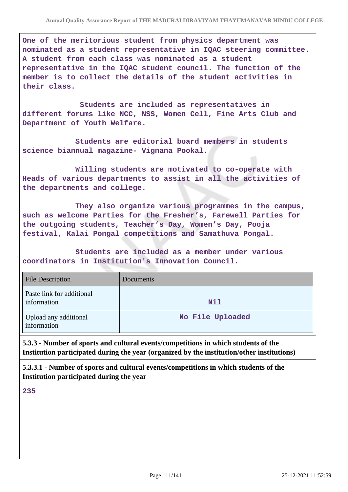**One of the meritorious student from physics department was nominated as a student representative in IQAC steering committee. A student from each class was nominated as a student representative in the IQAC student council. The function of the member is to collect the details of the student activities in their class.**

 **Students are included as representatives in different forums like NCC, NSS, Women Cell, Fine Arts Club and Department of Youth Welfare.**

 **Students are editorial board members in students science biannual magazine- Vignana Pookal.**

 **Willing students are motivated to co-operate with Heads of various departments to assist in all the activities of the departments and college.**

 **They also organize various programmes in the campus, such as welcome Parties for the Fresher's, Farewell Parties for the outgoing students, Teacher's Day, Women's Day, Pooja festival, Kalai Pongal competitions and Samathuva Pongal.**

 **Students are included as a member under various coordinators in Institution's Innovation Council.**

| <b>File Description</b>                  | <b>Documents</b> |
|------------------------------------------|------------------|
| Paste link for additional<br>information | <b>Nil</b>       |
| Upload any additional<br>information     | No File Uploaded |

**5.3.3 - Number of sports and cultural events/competitions in which students of the Institution participated during the year (organized by the institution/other institutions)**

**5.3.3.1 - Number of sports and cultural events/competitions in which students of the Institution participated during the year**

**235**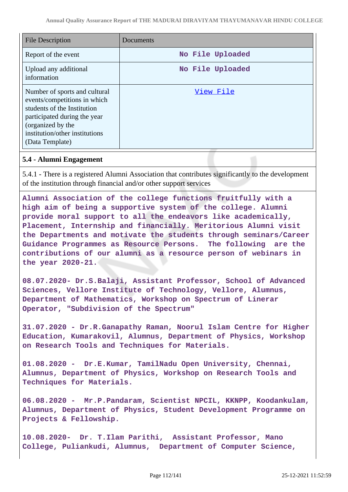| <b>File Description</b>                                                                                                                                                                                | Documents        |
|--------------------------------------------------------------------------------------------------------------------------------------------------------------------------------------------------------|------------------|
| Report of the event                                                                                                                                                                                    | No File Uploaded |
| Upload any additional<br>information                                                                                                                                                                   | No File Uploaded |
| Number of sports and cultural<br>events/competitions in which<br>students of the Institution<br>participated during the year<br>(organized by the<br>institution/other institutions<br>(Data Template) | View File        |

## **5.4 - Alumni Engagement**

5.4.1 - There is a registered Alumni Association that contributes significantly to the development of the institution through financial and/or other support services

**Alumni Association of the college functions fruitfully with a high aim of being a supportive system of the college. Alumni provide moral support to all the endeavors like academically, Placement, Internship and financially. Meritorious Alumni visit the Departments and motivate the students through seminars/Career Guidance Programmes as Resource Persons. The following are the contributions of our alumni as a resource person of webinars in the year 2020-21.**

**08.07.2020- Dr.S.Balaji, Assistant Professor, School of Advanced Sciences, Vellore Institute of Technology, Vellore, Alumnus, Department of Mathematics, Workshop on Spectrum of Linerar Operator, "Subdivision of the Spectrum"**

**31.07.2020 - Dr.R.Ganapathy Raman, Noorul Islam Centre for Higher Education, Kumarakovil, Alumnus, Department of Physics, Workshop on Research Tools and Techniques for Materials.**

**01.08.2020 - Dr.E.Kumar, TamilNadu Open University, Chennai, Alumnus, Department of Physics, Workshop on Research Tools and Techniques for Materials.**

**06.08.2020 - Mr.P.Pandaram, Scientist NPCIL, KKNPP, Koodankulam, Alumnus, Department of Physics, Student Development Programme on Projects & Fellowship.** 

**10.08.2020- Dr. T.Ilam Parithi, Assistant Professor, Mano College, Puliankudi, Alumnus, Department of Computer Science,**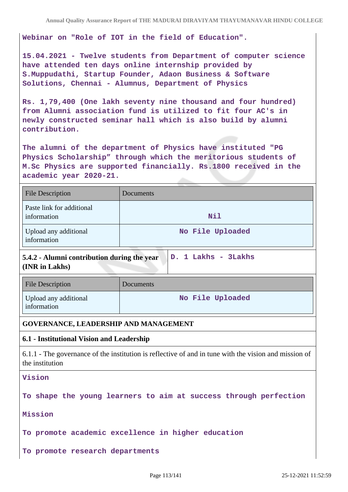**Webinar on "Role of IOT in the field of Education".**

**15.04.2021 - Twelve students from Department of computer science have attended ten days online internship provided by S.Muppudathi, Startup Founder, Adaon Business & Software Solutions, Chennai - Alumnus, Department of Physics**

**Rs. 1,79,400 (One lakh seventy nine thousand and four hundred) from Alumni association fund is utilized to fit four AC's in newly constructed seminar hall which is also build by alumni contribution.**

**The alumni of the department of Physics have instituted "PG Physics Scholarship" through which the meritorious students of M.Sc Physics are supported financially. Rs.1800 received in the academic year 2020-21.**

| <b>File Description</b>                  | Documents        |
|------------------------------------------|------------------|
| Paste link for additional<br>information | Nil              |
| Upload any additional<br>information     | No File Uploaded |

**5.4.2 - Alumni contribution during the year (INR in Lakhs) D. 1 Lakhs - 3Lakhs**

| <b>File Description</b>              | <b>Documents</b> |
|--------------------------------------|------------------|
| Upload any additional<br>information | No File Uploaded |

### **GOVERNANCE, LEADERSHIP AND MANAGEMENT**

## **6.1 - Institutional Vision and Leadership**

6.1.1 - The governance of the institution is reflective of and in tune with the vision and mission of the institution

**Vision**

**To shape the young learners to aim at success through perfection**

**Mission**

**To promote academic excellence in higher education**

**To promote research departments**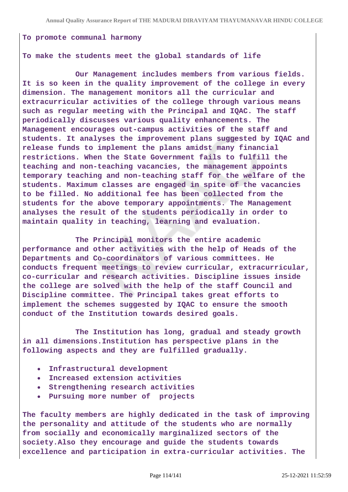#### **To promote communal harmony**

#### **To make the students meet the global standards of life**

 **Our Management includes members from various fields. It is so keen in the quality improvement of the college in every dimension. The management monitors all the curricular and extracurricular activities of the college through various means such as regular meeting with the Principal and IQAC. The staff periodically discusses various quality enhancements. The Management encourages out-campus activities of the staff and students. It analyses the improvement plans suggested by IQAC and release funds to implement the plans amidst many financial restrictions. When the State Government fails to fulfill the teaching and non-teaching vacancies, the management appoints temporary teaching and non-teaching staff for the welfare of the students. Maximum classes are engaged in spite of the vacancies to be filled. No additional fee has been collected from the students for the above temporary appointments. The Management analyses the result of the students periodically in order to maintain quality in teaching, learning and evaluation.**

 **The Principal monitors the entire academic performance and other activities with the help of Heads of the Departments and Co-coordinators of various committees. He conducts frequent meetings to review curricular, extracurricular, co-curricular and research activities. Discipline issues inside the college are solved with the help of the staff Council and Discipline committee. The Principal takes great efforts to implement the schemes suggested by IQAC to ensure the smooth conduct of the Institution towards desired goals.**

 **The Institution has long, gradual and steady growth in all dimensions.Institution has perspective plans in the following aspects and they are fulfilled gradually.**

- **Infrastructural development**
- **Increased extension activities**  $\bullet$
- **Strengthening research activities**
- **Pursuing more number of projects**

**The faculty members are highly dedicated in the task of improving the personality and attitude of the students who are normally from socially and economically marginalized sectors of the society.Also they encourage and guide the students towards excellence and participation in extra-curricular activities. The**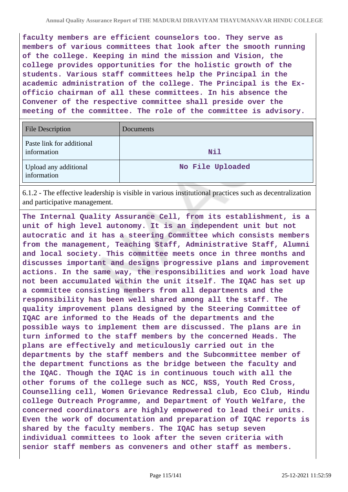**faculty members are efficient counselors too. They serve as members of various committees that look after the smooth running of the college. Keeping in mind the mission and Vision, the college provides opportunities for the holistic growth of the students. Various staff committees help the Principal in the academic administration of the college. The Principal is the Exofficio chairman of all these committees. In his absence the Convener of the respective committee shall preside over the meeting of the committee. The role of the committee is advisory.**

| <b>File Description</b>                  | Documents        |
|------------------------------------------|------------------|
| Paste link for additional<br>information | Nil              |
| Upload any additional<br>information     | No File Uploaded |

6.1.2 - The effective leadership is visible in various institutional practices such as decentralization and participative management.

**The Internal Quality Assurance Cell, from its establishment, is a unit of high level autonomy. It is an independent unit but not autocratic and it has a steering Committee which consists members from the management, Teaching Staff, Administrative Staff, Alumni and local society. This committee meets once in three months and discusses important and designs progressive plans and improvement actions. In the same way, the responsibilities and work load have not been accumulated within the unit itself. The IQAC has set up a committee consisting members from all departments and the responsibility has been well shared among all the staff. The quality improvement plans designed by the Steering Committee of IQAC are informed to the Heads of the departments and the possible ways to implement them are discussed. The plans are in turn informed to the staff members by the concerned Heads. The plans are effectively and meticulously carried out in the departments by the staff members and the Subcommittee member of the department functions as the bridge between the faculty and the IQAC. Though the IQAC is in continuous touch with all the other forums of the college such as NCC, NSS, Youth Red Cross, Counselling cell, Women Grievance Redressal club, Eco Club, Hindu college Outreach Programme, and Department of Youth Welfare, the concerned coordinators are highly empowered to lead their units. Even the work of documentation and preparation of IQAC reports is shared by the faculty members. The IQAC has setup seven individual committees to look after the seven criteria with senior staff members as conveners and other staff as members.**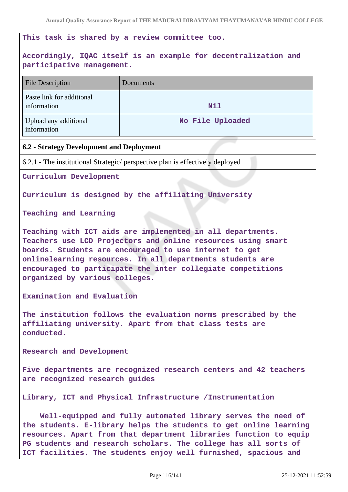## **This task is shared by a review committee too.**

# **Accordingly, IQAC itself is an example for decentralization and participative management.**

| <b>File Description</b>                                                                                                                                                                                                                                                                                                                            | Documents                                                                     |  |
|----------------------------------------------------------------------------------------------------------------------------------------------------------------------------------------------------------------------------------------------------------------------------------------------------------------------------------------------------|-------------------------------------------------------------------------------|--|
| Paste link for additional<br>information                                                                                                                                                                                                                                                                                                           | Nil                                                                           |  |
| Upload any additional<br>information                                                                                                                                                                                                                                                                                                               | No File Uploaded                                                              |  |
| 6.2 - Strategy Development and Deployment                                                                                                                                                                                                                                                                                                          |                                                                               |  |
|                                                                                                                                                                                                                                                                                                                                                    | 6.2.1 - The institutional Strategic/ perspective plan is effectively deployed |  |
| Curriculum Development                                                                                                                                                                                                                                                                                                                             |                                                                               |  |
| Curriculum is designed by the affiliating University                                                                                                                                                                                                                                                                                               |                                                                               |  |
| Teaching and Learning                                                                                                                                                                                                                                                                                                                              |                                                                               |  |
| Teaching with ICT aids are implemented in all departments.<br>Teachers use LCD Projectors and online resources using smart<br>boards. Students are encouraged to use internet to get<br>onlinelearning resources. In all departments students are<br>encouraged to participate the inter collegiate competitions<br>organized by various colleges. |                                                                               |  |
| Examination and Evaluation                                                                                                                                                                                                                                                                                                                         |                                                                               |  |
| The institution follows the evaluation norms prescribed by the<br>affiliating university. Apart from that class tests are<br>conducted.                                                                                                                                                                                                            |                                                                               |  |
| Research and Development                                                                                                                                                                                                                                                                                                                           |                                                                               |  |
| Five departments are recognized research centers and 42 teachers<br>are recognized research guides                                                                                                                                                                                                                                                 |                                                                               |  |
| Library, ICT and Physical Infrastructure /Instrumentation                                                                                                                                                                                                                                                                                          |                                                                               |  |
| Well-equipped and fully automated library serves the need of<br>the students. E-library helps the students to get online learning<br>resources. Apart from that department libraries function to equip<br>PG students and research scholars. The college has all sorts of<br>ICT facilities. The students enjoy well furnished, spacious and       |                                                                               |  |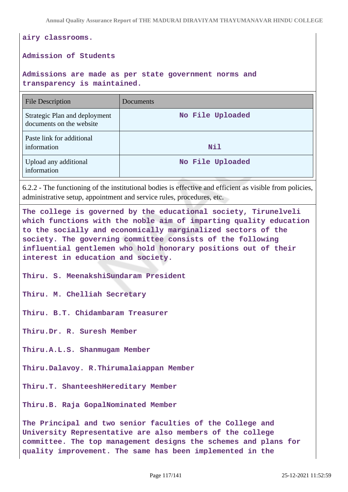**airy classrooms. Admission of Students**

**Admissions are made as per state government norms and transparency is maintained.**

| <b>File Description</b>                                   | Documents        |
|-----------------------------------------------------------|------------------|
| Strategic Plan and deployment<br>documents on the website | No File Uploaded |
| Paste link for additional<br>information                  | Nil              |
| Upload any additional<br>information                      | No File Uploaded |

6.2.2 - The functioning of the institutional bodies is effective and efficient as visible from policies, administrative setup, appointment and service rules, procedures, etc.

**The college is governed by the educational society, Tirunelveli which functions with the noble aim of imparting quality education to the socially and economically marginalized sectors of the society. The governing committee consists of the following influential gentlemen who hold honorary positions out of their interest in education and society.**

**Thiru. S. MeenakshiSundaram President**

**Thiru. M. Chelliah Secretary**

**Thiru. B.T. Chidambaram Treasurer**

**Thiru.Dr. R. Suresh Member**

**Thiru.A.L.S. Shanmugam Member**

**Thiru.Dalavoy. R.Thirumalaiappan Member**

**Thiru.T. ShanteeshHereditary Member**

**Thiru.B. Raja GopalNominated Member**

**The Principal and two senior faculties of the College and University Representative are also members of the college committee. The top management designs the schemes and plans for quality improvement. The same has been implemented in the**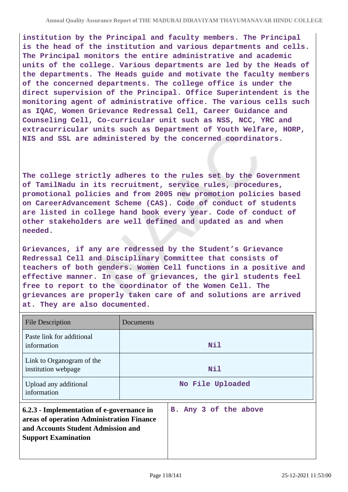**institution by the Principal and faculty members. The Principal is the head of the institution and various departments and cells. The Principal monitors the entire administrative and academic units of the college. Various departments are led by the Heads of the departments. The Heads guide and motivate the faculty members of the concerned departments. The college office is under the direct supervision of the Principal. Office Superintendent is the monitoring agent of administrative office. The various cells such as IQAC, Women Grievance Redressal Cell, Career Guidance and Counseling Cell, Co-curricular unit such as NSS, NCC, YRC and extracurricular units such as Department of Youth Welfare, HORP, NIS and SSL are administered by the concerned coordinators.**

**The college strictly adheres to the rules set by the Government of TamilNadu in its recruitment, service rules, procedures, promotional policies and from 2005 new promotion policies based on CareerAdvancement Scheme (CAS). Code of conduct of students are listed in college hand book every year. Code of conduct of other stakeholders are well defined and updated as and when needed.**

**Grievances, if any are redressed by the Student's Grievance Redressal Cell and Disciplinary Committee that consists of teachers of both genders. Women Cell functions in a positive and effective manner. In case of grievances, the girl students feel free to report to the coordinator of the Women Cell. The grievances are properly taken care of and solutions are arrived at. They are also documented.**

| <b>File Description</b>                                                                                                                                    | Documents             |
|------------------------------------------------------------------------------------------------------------------------------------------------------------|-----------------------|
| Paste link for additional<br>information                                                                                                                   | Nil                   |
| Link to Organogram of the<br>institution webpage                                                                                                           | Nil                   |
| Upload any additional<br>information                                                                                                                       | No File Uploaded      |
| 6.2.3 - Implementation of e-governance in<br>areas of operation Administration Finance<br>and Accounts Student Admission and<br><b>Support Examination</b> | B. Any 3 of the above |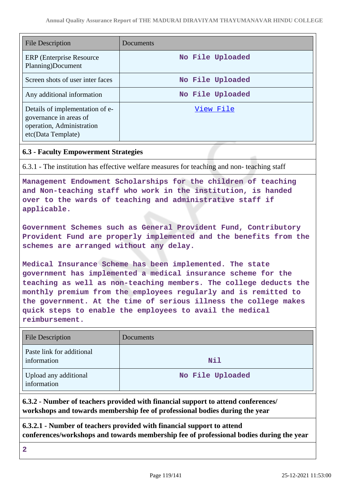| File Description                                                                                             | Documents        |
|--------------------------------------------------------------------------------------------------------------|------------------|
| ERP (Enterprise Resource)<br>Planning)Document                                                               | No File Uploaded |
| Screen shots of user inter faces                                                                             | No File Uploaded |
| Any additional information                                                                                   | No File Uploaded |
| Details of implementation of e-<br>governance in areas of<br>operation, Administration<br>etc(Data Template) | View File        |

# **6.3 - Faculty Empowerment Strategies**

6.3.1 - The institution has effective welfare measures for teaching and non- teaching staff

**Management Endowment Scholarships for the children of teaching and Non-teaching staff who work in the institution, is handed over to the wards of teaching and administrative staff if applicable.**

**Government Schemes such as General Provident Fund, Contributory Provident Fund are properly implemented and the benefits from the schemes are arranged without any delay.**

**Medical Insurance Scheme has been implemented. The state government has implemented a medical insurance scheme for the teaching as well as non-teaching members. The college deducts the monthly premium from the employees regularly and is remitted to the government. At the time of serious illness the college makes quick steps to enable the employees to avail the medical reimbursement.**

| <b>File Description</b>                  | Documents        |
|------------------------------------------|------------------|
| Paste link for additional<br>information | Nil              |
| Upload any additional<br>information     | No File Uploaded |

**6.3.2 - Number of teachers provided with financial support to attend conferences/ workshops and towards membership fee of professional bodies during the year**

**6.3.2.1 - Number of teachers provided with financial support to attend conferences/workshops and towards membership fee of professional bodies during the year**

**2**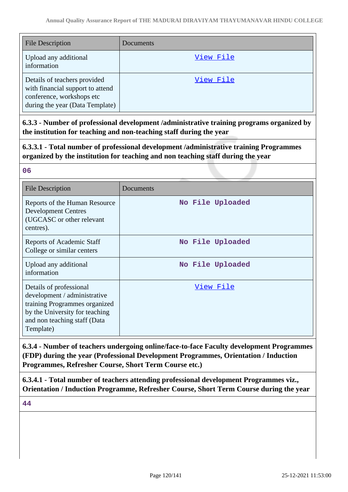| <b>File Description</b>                                                                                                          | Documents |
|----------------------------------------------------------------------------------------------------------------------------------|-----------|
| Upload any additional<br>information                                                                                             | View File |
| Details of teachers provided<br>with financial support to attend<br>conference, workshops etc<br>during the year (Data Template) | View File |

**6.3.3 - Number of professional development /administrative training programs organized by the institution for teaching and non-teaching staff during the year**

**6.3.3.1 - Total number of professional development /administrative training Programmes organized by the institution for teaching and non teaching staff during the year**

| 06                                                                                                                                                                      |                  |
|-------------------------------------------------------------------------------------------------------------------------------------------------------------------------|------------------|
| <b>File Description</b>                                                                                                                                                 | Documents        |
| Reports of the Human Resource<br><b>Development Centres</b><br>(UGCASC or other relevant<br>centres).                                                                   | No File Uploaded |
| Reports of Academic Staff<br>College or similar centers                                                                                                                 | No File Uploaded |
| Upload any additional<br>information                                                                                                                                    | No File Uploaded |
| Details of professional<br>development / administrative<br>training Programmes organized<br>by the University for teaching<br>and non teaching staff (Data<br>Template) | View File        |

**6.3.4 - Number of teachers undergoing online/face-to-face Faculty development Programmes (FDP) during the year (Professional Development Programmes, Orientation / Induction Programmes, Refresher Course, Short Term Course etc.)**

**6.3.4.1 - Total number of teachers attending professional development Programmes viz., Orientation / Induction Programme, Refresher Course, Short Term Course during the year**

**44**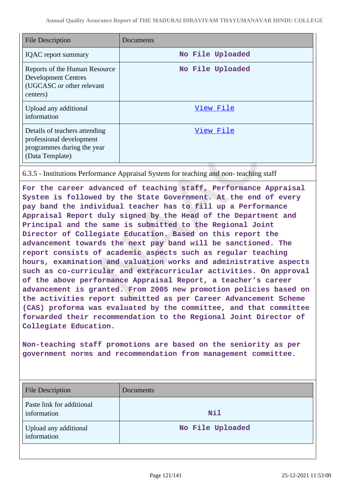| <b>File Description</b>                                                                                    | Documents        |
|------------------------------------------------------------------------------------------------------------|------------------|
| <b>IQAC</b> report summary                                                                                 | No File Uploaded |
| Reports of the Human Resource<br><b>Development Centres</b><br>(UGCASC or other relevant<br>centers)       | No File Uploaded |
| Upload any additional<br>information                                                                       | View File        |
| Details of teachers attending<br>professional development<br>programmes during the year<br>(Data Template) | View File        |

6.3.5 - Institutions Performance Appraisal System for teaching and non- teaching staff

**For the career advanced of teaching staff, Performance Appraisal System is followed by the State Government. At the end of every pay band the individual teacher has to fill up a Performance Appraisal Report duly signed by the Head of the Department and Principal and the same is submitted to the Regional Joint Director of Collegiate Education. Based on this report the advancement towards the next pay band will be sanctioned. The report consists of academic aspects such as regular teaching hours, examination and valuation works and administrative aspects such as co-curricular and extracurricular activities. On approval of the above performance Appraisal Report, a teacher's career advancement is granted. From 2005 new promotion policies based on the activities report submitted as per Career Advancement Scheme (CAS) proforma was evaluated by the committee, and that committee forwarded their recommendation to the Regional Joint Director of Collegiate Education.**

**Non-teaching staff promotions are based on the seniority as per government norms and recommendation from management committee.**

| <b>File Description</b>                  | Documents        |
|------------------------------------------|------------------|
| Paste link for additional<br>information | Nil              |
| Upload any additional<br>information     | No File Uploaded |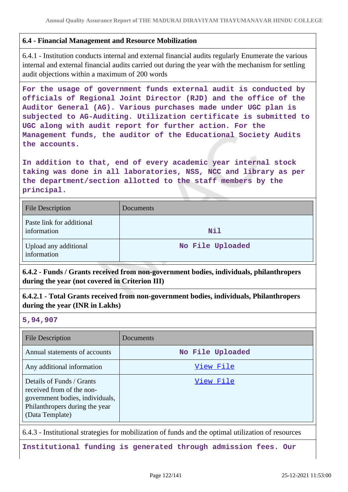# **6.4 - Financial Management and Resource Mobilization**

6.4.1 - Institution conducts internal and external financial audits regularly Enumerate the various internal and external financial audits carried out during the year with the mechanism for settling audit objections within a maximum of 200 words

**For the usage of government funds external audit is conducted by officials of Regional Joint Director (RJD) and the office of the Auditor General (AG). Various purchases made under UGC plan is subjected to AG-Auditing. Utilization certificate is submitted to UGC along with audit report for further action. For the Management funds, the auditor of the Educational Society Audits the accounts.**

**In addition to that, end of every academic year internal stock taking was done in all laboratories, NSS, NCC and library as per the department/section allotted to the staff members by the principal.**

| <b>File Description</b>                  | Documents        |
|------------------------------------------|------------------|
| Paste link for additional<br>information | Nil              |
| Upload any additional<br>information     | No File Uploaded |

**6.4.2 - Funds / Grants received from non-government bodies, individuals, philanthropers during the year (not covered in Criterion III)**

**6.4.2.1 - Total Grants received from non-government bodies, individuals, Philanthropers during the year (INR in Lakhs)**

## **5,94,907**

| <b>File Description</b>                                                                                                                        | Documents        |
|------------------------------------------------------------------------------------------------------------------------------------------------|------------------|
| Annual statements of accounts                                                                                                                  | No File Uploaded |
| Any additional information                                                                                                                     | View File        |
| Details of Funds / Grants<br>received from of the non-<br>government bodies, individuals,<br>Philanthropers during the year<br>(Data Template) | View File        |

6.4.3 - Institutional strategies for mobilization of funds and the optimal utilization of resources

**Institutional funding is generated through admission fees. Our**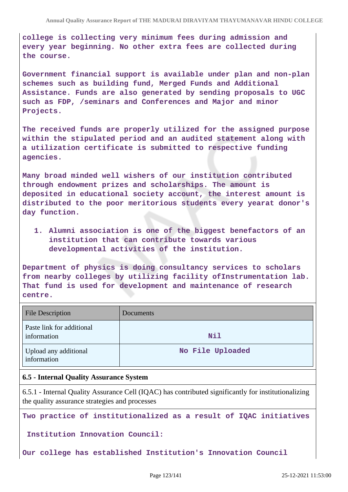**college is collecting very minimum fees during admission and every year beginning. No other extra fees are collected during the course.**

**Government financial support is available under plan and non-plan schemes such as building fund, Merged Funds and Additional Assistance. Funds are also generated by sending proposals to UGC such as FDP, /seminars and Conferences and Major and minor Projects.**

**The received funds are properly utilized for the assigned purpose within the stipulated period and an audited statement along with a utilization certificate is submitted to respective funding agencies.**

**Many broad minded well wishers of our institution contributed through endowment prizes and scholarships. The amount is deposited in educational society account, the interest amount is distributed to the poor meritorious students every yearat donor's day function.**

**1. Alumni association is one of the biggest benefactors of an institution that can contribute towards various developmental activities of the institution.** 

**Department of physics is doing consultancy services to scholars from nearby colleges by utilizing facility ofInstrumentation lab. That fund is used for development and maintenance of research centre.**

| <b>File Description</b>                  | Documents        |
|------------------------------------------|------------------|
| Paste link for additional<br>information | Nil              |
| Upload any additional<br>information     | No File Uploaded |

## **6.5 - Internal Quality Assurance System**

6.5.1 - Internal Quality Assurance Cell (IQAC) has contributed significantly for institutionalizing the quality assurance strategies and processes

**Two practice of institutionalized as a result of IQAC initiatives**

 **Institution Innovation Council:**

**Our college has established Institution's Innovation Council**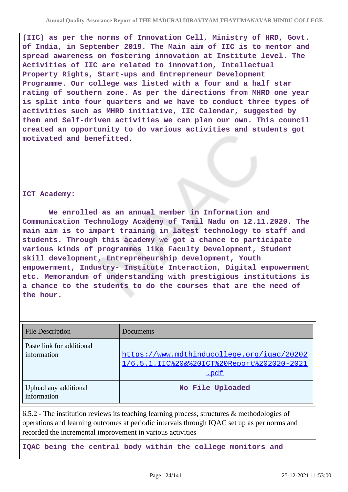**(IIC) as per the norms of Innovation Cell, Ministry of HRD, Govt. of India, in September 2019. The Main aim of IIC is to mentor and spread awareness on fostering innovation at Institute level. The Activities of IIC are related to innovation, Intellectual Property Rights, Start-ups and Entrepreneur Development Programme. Our college was listed with a four and a half star rating of southern zone. As per the directions from MHRD one year is split into four quarters and we have to conduct three types of activities such as MHRD initiative, IIC Calendar, suggested by them and Self-driven activities we can plan our own. This council created an opportunity to do various activities and students got motivated and benefitted.**

### **ICT Academy:**

 **We enrolled as an annual member in Information and Communication Technology Academy of Tamil Nadu on 12.11.2020. The main aim is to impart training in latest technology to staff and students. Through this academy we got a chance to participate various kinds of programmes like Faculty Development, Student skill development, Entrepreneurship development, Youth empowerment, Industry- Institute Interaction, Digital empowerment etc. Memorandum of understanding with prestigious institutions is a chance to the students to do the courses that are the need of the hour.**

| <b>File Description</b>                  | Documents                                                                                        |
|------------------------------------------|--------------------------------------------------------------------------------------------------|
| Paste link for additional<br>information | https://www.mdthinducollege.org/igac/20202<br>1/6.5.1.IIC%20&%20ICT%20Report%202020-2021<br>.pdf |
| Upload any additional<br>information     | No File Uploaded                                                                                 |

6.5.2 - The institution reviews its teaching learning process, structures & methodologies of operations and learning outcomes at periodic intervals through IQAC set up as per norms and recorded the incremental improvement in various activities

**IQAC being the central body within the college monitors and**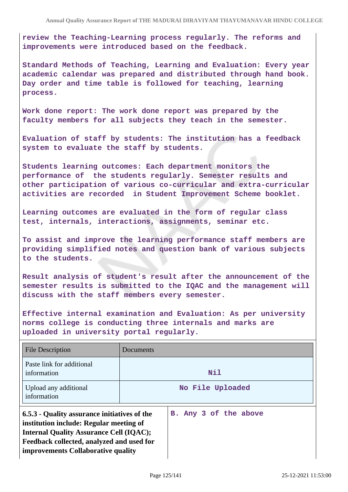**review the Teaching-Learning process regularly. The reforms and improvements were introduced based on the feedback.**

**Standard Methods of Teaching, Learning and Evaluation: Every year academic calendar was prepared and distributed through hand book. Day order and time table is followed for teaching, learning process.**

**Work done report: The work done report was prepared by the faculty members for all subjects they teach in the semester.**

**Evaluation of staff by students: The institution has a feedback system to evaluate the staff by students.**

**Students learning outcomes: Each department monitors the performance of the students regularly. Semester results and other participation of various co-curricular and extra-curricular activities are recorded in Student Improvement Scheme booklet.**

**Learning outcomes are evaluated in the form of regular class test, internals, interactions, assignments, seminar etc.**

**To assist and improve the learning performance staff members are providing simplified notes and question bank of various subjects to the students.**

**Result analysis of student's result after the announcement of the semester results is submitted to the IQAC and the management will discuss with the staff members every semester.**

**Effective internal examination and Evaluation: As per university norms college is conducting three internals and marks are uploaded in university portal regularly.**

| <b>File Description</b>                                                                                                                                                                                                      | Documents |                       |
|------------------------------------------------------------------------------------------------------------------------------------------------------------------------------------------------------------------------------|-----------|-----------------------|
| Paste link for additional<br>information                                                                                                                                                                                     |           | Nil                   |
| Upload any additional<br>information                                                                                                                                                                                         |           | No File Uploaded      |
| 6.5.3 - Quality assurance initiatives of the<br>institution include: Regular meeting of<br><b>Internal Quality Assurance Cell (IQAC);</b><br>Feedback collected, analyzed and used for<br>improvements Collaborative quality |           | B. Any 3 of the above |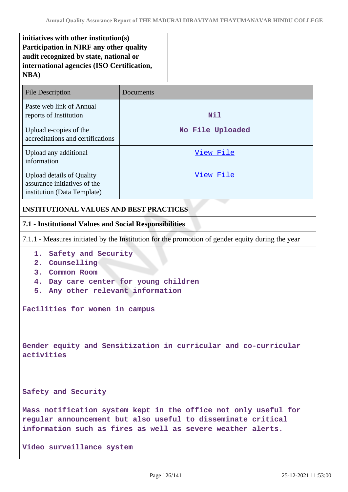**initiatives with other institution(s) Participation in NIRF any other quality audit recognized by state, national or international agencies (ISO Certification, NBA)**

| <b>File Description</b>                                                                         | Documents        |
|-------------------------------------------------------------------------------------------------|------------------|
| Paste web link of Annual<br>reports of Institution                                              | Nil              |
| Upload e-copies of the<br>accreditations and certifications                                     | No File Uploaded |
| Upload any additional<br>information                                                            | View File        |
| <b>Upload details of Quality</b><br>assurance initiatives of the<br>institution (Data Template) | View File        |
| <b>INSTITUTIONAL VALUES AND BEST PRACTICES</b>                                                  |                  |

## **7.1 - Institutional Values and Social Responsibilities**

7.1.1 - Measures initiated by the Institution for the promotion of gender equity during the year

- **1. Safety and Security**
- **2. Counselling**
- **3. Common Room**
- **4. Day care center for young children**
- **5. Any other relevant information**

**Facilities for women in campus**

**Gender equity and Sensitization in curricular and co-curricular activities**

**Safety and Security**

**Mass notification system kept in the office not only useful for regular announcement but also useful to disseminate critical information such as fires as well as severe weather alerts.**

**Video surveillance system**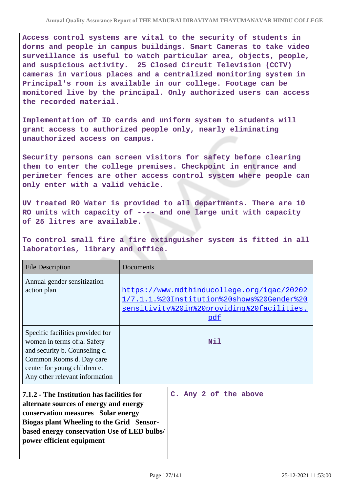**Access control systems are vital to the security of students in dorms and people in campus buildings. Smart Cameras to take video surveillance is useful to watch particular area, objects, people, and suspicious activity. 25 Closed Circuit Television (CCTV) cameras in various places and a centralized monitoring system in Principal's room is available in our college. Footage can be monitored live by the principal. Only authorized users can access the recorded material.**

**Implementation of ID cards and uniform system to students will grant access to authorized people only, nearly eliminating unauthorized access on campus.**

**Security persons can screen visitors for safety before clearing them to enter the college premises. Checkpoint in entrance and perimeter fences are other access control system where people can only enter with a valid vehicle.**

**UV treated RO Water is provided to all departments. There are 10 RO units with capacity of ---- and one large unit with capacity of 25 litres are available.**

**To control small fire a fire extinguisher system is fitted in all laboratories, library and office.**

| <b>File Description</b>                                                                                                                                                                                                                                    | Documents |                                                                                                                                                      |
|------------------------------------------------------------------------------------------------------------------------------------------------------------------------------------------------------------------------------------------------------------|-----------|------------------------------------------------------------------------------------------------------------------------------------------------------|
| Annual gender sensitization<br>action plan                                                                                                                                                                                                                 |           | https://www.mdthinducollege.org/igac/20202<br>1/7.1.1.%20Institution%20shows%20Gender%20<br>sensitivity%20in%20providing%20facilities.<br><u>pdf</u> |
| Specific facilities provided for<br>women in terms of:a. Safety<br>and security b. Counseling c.<br>Common Rooms d. Day care<br>center for young children e.<br>Any other relevant information                                                             |           | Nil                                                                                                                                                  |
| 7.1.2 - The Institution has facilities for<br>alternate sources of energy and energy<br>conservation measures Solar energy<br><b>Biogas plant Wheeling to the Grid Sensor-</b><br>based energy conservation Use of LED bulbs/<br>power efficient equipment |           | C. Any 2 of the above                                                                                                                                |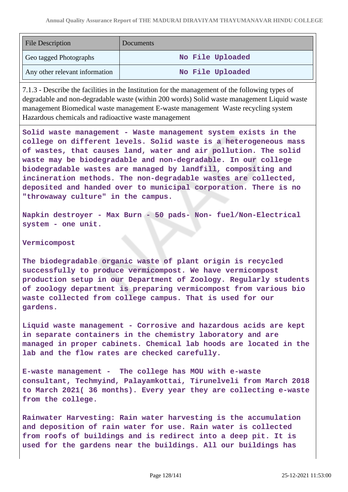| <b>File Description</b>        | <b>Documents</b> |
|--------------------------------|------------------|
| Geo tagged Photographs         | No File Uploaded |
| Any other relevant information | No File Uploaded |

7.1.3 - Describe the facilities in the Institution for the management of the following types of degradable and non-degradable waste (within 200 words) Solid waste management Liquid waste management Biomedical waste management E-waste management Waste recycling system Hazardous chemicals and radioactive waste management

**Solid waste management - Waste management system exists in the college on different levels. Solid waste is a heterogeneous mass of wastes, that causes land, water and air pollution. The solid waste may be biodegradable and non-degradable. In our college biodegradable wastes are managed by landfill, compositing and incineration methods. The non-degradable wastes are collected, deposited and handed over to municipal corporation. There is no "throwaway culture" in the campus.**

**Napkin destroyer - Max Burn - 50 pads- Non- fuel/Non-Electrical system - one unit.**

### **Vermicompost**

**The biodegradable organic waste of plant origin is recycled successfully to produce vermicompost. We have vermicompost production setup in our Department of Zoology. Regularly students of zoology department is preparing vermicompost from various bio waste collected from college campus. That is used for our gardens.**

**Liquid waste management - Corrosive and hazardous acids are kept in separate containers in the chemistry laboratory and are managed in proper cabinets. Chemical lab hoods are located in the lab and the flow rates are checked carefully.**

**E-waste management - The college has MOU with e-waste consultant, Techmyind, Palayamkottai, Tirunelveli from March 2018 to March 2021( 36 months). Every year they are collecting e-waste from the college.**

**Rainwater Harvesting: Rain water harvesting is the accumulation and deposition of rain water for use. Rain water is collected from roofs of buildings and is redirect into a deep pit. It is used for the gardens near the buildings. All our buildings has**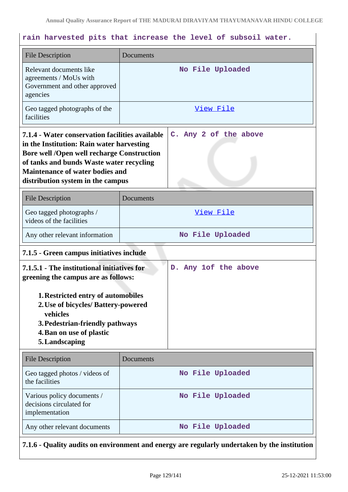# **rain harvested pits that increase the level of subsoil water.**

| <b>File Description</b>                                                                                                                                                                                                                                                      | Documents             |
|------------------------------------------------------------------------------------------------------------------------------------------------------------------------------------------------------------------------------------------------------------------------------|-----------------------|
| Relevant documents like<br>agreements / MoUs with<br>Government and other approved<br>agencies                                                                                                                                                                               | No File Uploaded      |
| Geo tagged photographs of the<br>facilities                                                                                                                                                                                                                                  | <u>View File</u>      |
| 7.1.4 - Water conservation facilities available<br>in the Institution: Rain water harvesting<br><b>Bore well /Open well recharge Construction</b><br>of tanks and bunds Waste water recycling<br><b>Maintenance of water bodies and</b><br>distribution system in the campus | C. Any 2 of the above |
| <b>File Description</b>                                                                                                                                                                                                                                                      | Documents             |
| Geo tagged photographs /<br>videos of the facilities                                                                                                                                                                                                                         | View File             |
| Any other relevant information                                                                                                                                                                                                                                               | No File Uploaded      |
| 7.1.5 - Green campus initiatives include                                                                                                                                                                                                                                     |                       |
| 7.1.5.1 - The institutional initiatives for<br>D. Any 1of the above<br>greening the campus are as follows:                                                                                                                                                                   |                       |
| <b>1. Restricted entry of automobiles</b><br>2. Use of bicycles/ Battery-powered<br>vehicles<br>3. Pedestrian-friendly pathways<br>4. Ban on use of plastic<br>5. Landscaping                                                                                                |                       |
| <b>File Description</b>                                                                                                                                                                                                                                                      | Documents             |
| Geo tagged photos / videos of<br>the facilities                                                                                                                                                                                                                              | No File Uploaded      |
| Various policy documents /<br>decisions circulated for<br>implementation                                                                                                                                                                                                     | No File Uploaded      |
| Any other relevant documents                                                                                                                                                                                                                                                 | No File Uploaded      |

**7.1.6 - Quality audits on environment and energy are regularly undertaken by the institution**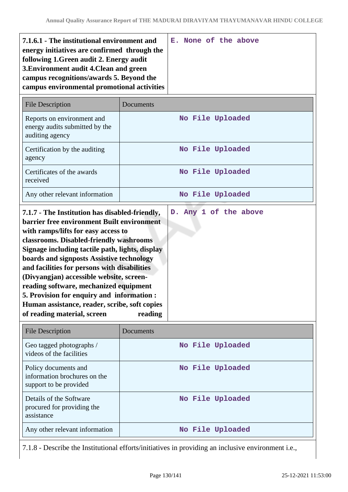| 7.1.6.1 - The institutional environment and<br>energy initiatives are confirmed through the<br>following 1. Green audit 2. Energy audit<br>3. Environment audit 4. Clean and green<br>campus recognitions/awards 5. Beyond the<br>campus environmental promotional activities                                                                                                                                                                                                                                      |           | E. None of the above |
|--------------------------------------------------------------------------------------------------------------------------------------------------------------------------------------------------------------------------------------------------------------------------------------------------------------------------------------------------------------------------------------------------------------------------------------------------------------------------------------------------------------------|-----------|----------------------|
| <b>File Description</b>                                                                                                                                                                                                                                                                                                                                                                                                                                                                                            | Documents |                      |
| Reports on environment and<br>energy audits submitted by the<br>auditing agency                                                                                                                                                                                                                                                                                                                                                                                                                                    |           | No File Uploaded     |
| Certification by the auditing<br>agency                                                                                                                                                                                                                                                                                                                                                                                                                                                                            |           | No File Uploaded     |
| Certificates of the awards<br>received                                                                                                                                                                                                                                                                                                                                                                                                                                                                             |           | No File Uploaded     |
| Any other relevant information                                                                                                                                                                                                                                                                                                                                                                                                                                                                                     |           | No File Uploaded     |
| <b>barrier free environment Built environment</b><br>with ramps/lifts for easy access to<br>classrooms. Disabled-friendly washrooms<br>Signage including tactile path, lights, display<br>boards and signposts Assistive technology<br>and facilities for persons with disabilities<br>(Divyangjan) accessible website, screen-<br>reading software, mechanized equipment<br>5. Provision for enquiry and information :<br>Human assistance, reader, scribe, soft copies<br>of reading material, screen<br>reading |           |                      |
| <b>File Description</b>                                                                                                                                                                                                                                                                                                                                                                                                                                                                                            | Documents |                      |
| Geo tagged photographs /<br>videos of the facilities                                                                                                                                                                                                                                                                                                                                                                                                                                                               |           |                      |
|                                                                                                                                                                                                                                                                                                                                                                                                                                                                                                                    |           | No File Uploaded     |
| Policy documents and<br>information brochures on the<br>support to be provided                                                                                                                                                                                                                                                                                                                                                                                                                                     |           | No File Uploaded     |
| Details of the Software<br>procured for providing the<br>assistance                                                                                                                                                                                                                                                                                                                                                                                                                                                |           | No File Uploaded     |

7.1.8 - Describe the Institutional efforts/initiatives in providing an inclusive environment i.e.,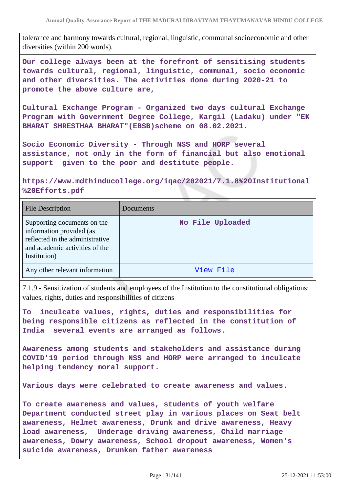tolerance and harmony towards cultural, regional, linguistic, communal socioeconomic and other diversities (within 200 words).

**Our college always been at the forefront of sensitising students towards cultural, regional, linguistic, communal, socio economic and other diversities. The activities done during 2020-21 to promote the above culture are,**

**Cultural Exchange Program - Organized two days cultural Exchange Program with Government Degree College, Kargil (Ladaku) under "EK BHARAT SHRESTHAA BHARAT"(EBSB)scheme on 08.02.2021.**

**Socio Economic Diversity - Through NSS and HORP several assistance, not only in the form of financial but also emotional support given to the poor and destitute people.**

**https://www.mdthinducollege.org/iqac/202021/7.1.8%20Institutional %20Efforts.pdf** 

| <b>File Description</b>                                                                                                                      | Documents        |
|----------------------------------------------------------------------------------------------------------------------------------------------|------------------|
| Supporting documents on the<br>information provided (as<br>reflected in the administrative<br>and academic activities of the<br>Institution) | No File Uploaded |
| Any other relevant information                                                                                                               | View File        |

7.1.9 - Sensitization of students and employees of the Institution to the constitutional obligations: values, rights, duties and responsibilities of citizens

**To inculcate values, rights, duties and responsibilities for being responsible citizens as reflected in the constitution of India several events are arranged as follows.**

**Awareness among students and stakeholders and assistance during COVID'19 period through NSS and HORP were arranged to inculcate helping tendency moral support.**

**Various days were celebrated to create awareness and values.**

**To create awareness and values, students of youth welfare Department conducted street play in various places on Seat belt awareness, Helmet awareness, Drunk and drive awareness, Heavy load awareness, Underage driving awareness, Child marriage awareness, Dowry awareness, School dropout awareness, Women's suicide awareness, Drunken father awareness**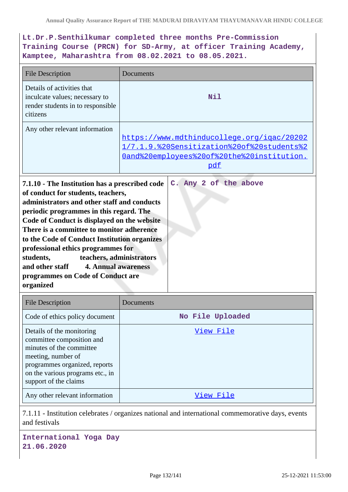# **Lt.Dr.P.Senthilkumar completed three months Pre-Commission Training Course (PRCN) for SD-Army, at officer Training Academy, Kamptee, Maharashtra from 08.02.2021 to 08.05.2021.**

| <b>File Description</b>                                                                                                                                                                                                                                                                                                                                                                                                                                                                                                               | Documents                                                                                                                                     |
|---------------------------------------------------------------------------------------------------------------------------------------------------------------------------------------------------------------------------------------------------------------------------------------------------------------------------------------------------------------------------------------------------------------------------------------------------------------------------------------------------------------------------------------|-----------------------------------------------------------------------------------------------------------------------------------------------|
| Details of activities that<br>inculcate values; necessary to<br>render students in to responsible<br>citizens                                                                                                                                                                                                                                                                                                                                                                                                                         | <b>Nil</b>                                                                                                                                    |
| Any other relevant information                                                                                                                                                                                                                                                                                                                                                                                                                                                                                                        | https://www.mdthinducollege.org/igac/20202<br>1/7.1.9.%20Sensitization%20of%20students%2<br>Oand%20employees%20of%20the%20institution.<br>pdf |
| C. Any 2 of the above<br>7.1.10 - The Institution has a prescribed code<br>of conduct for students, teachers,<br>administrators and other staff and conducts<br>periodic programmes in this regard. The<br>Code of Conduct is displayed on the website<br>There is a committee to monitor adherence<br>to the Code of Conduct Institution organizes<br>professional ethics programmes for<br>teachers, administrators<br>students,<br><b>4. Annual awareness</b><br>and other staff<br>programmes on Code of Conduct are<br>organized |                                                                                                                                               |
| <b>File Description</b>                                                                                                                                                                                                                                                                                                                                                                                                                                                                                                               | Documents                                                                                                                                     |
| Code of ethics policy document                                                                                                                                                                                                                                                                                                                                                                                                                                                                                                        | No File Uploaded                                                                                                                              |
| Details of the monitoring                                                                                                                                                                                                                                                                                                                                                                                                                                                                                                             | View File                                                                                                                                     |

| Details of the monitoring        | <u>View File</u> |
|----------------------------------|------------------|
| committee composition and        |                  |
| minutes of the committee         |                  |
| meeting, number of               |                  |
| programmes organized, reports    |                  |
| on the various programs etc., in |                  |
| support of the claims            |                  |
| Any other relevant information   | View File        |
|                                  |                  |

7.1.11 - Institution celebrates / organizes national and international commemorative days, events and festivals

**International Yoga Day 21.06.2020**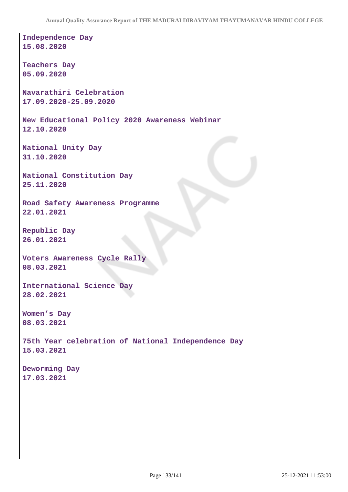**Independence Day 15.08.2020 Teachers Day 05.09.2020 Navarathiri Celebration 17.09.2020-25.09.2020 New Educational Policy 2020 Awareness Webinar 12.10.2020 National Unity Day 31.10.2020 National Constitution Day 25.11.2020 Road Safety Awareness Programme 22.01.2021 Republic Day 26.01.2021 Voters Awareness Cycle Rally 08.03.2021 International Science Day 28.02.2021 Women's Day 08.03.2021 75th Year celebration of National Independence Day 15.03.2021 Deworming Day 17.03.2021**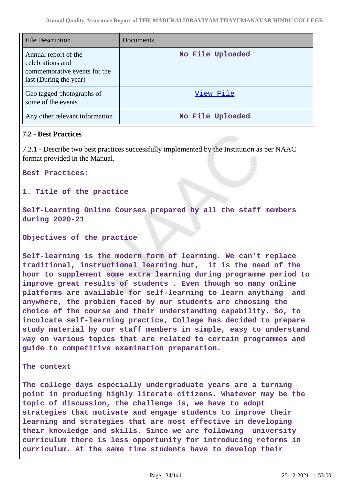| <b>File Description</b>                                                                            | Documents        |
|----------------------------------------------------------------------------------------------------|------------------|
| Annual report of the<br>celebrations and<br>commemorative events for the<br>last (During the year) | No File Uploaded |
| Geo tagged photographs of<br>some of the events                                                    | View File        |
| Any other relevant information                                                                     | No File Uploaded |

## **7.2 - Best Practices**

7.2.1 - Describe two best practices successfully implemented by the Institution as per NAAC format provided in the Manual.

**Best Practices:**

**1. Title of the practice**

**Self-Learning Online Courses prepared by all the staff members during 2020-21**

**Objectives of the practice**

**Self-learning is the modern form of learning. We can't replace traditional, instructional learning but, it is the need of the hour to supplement some extra learning during programme period to improve great results of students . Even though so many online platforms are available for self-learning to learn anything and anywhere, the problem faced by our students are choosing the choice of the course and their understanding capability. So, to inculcate self-learning practice, College has decided to prepare study material by our staff members in simple, easy to understand way on various topics that are related to certain programmes and guide to competitive examination preparation.** 

**The context**

**The college days especially undergraduate years are a turning point in producing highly literate citizens. Whatever may be the topic of discussion, the challenge is, we have to adopt strategies that motivate and engage students to improve their learning and strategies that are most effective in developing their knowledge and skills. Since we are following university curriculum there is less opportunity for introducing reforms in curriculum. At the same time students have to develop their**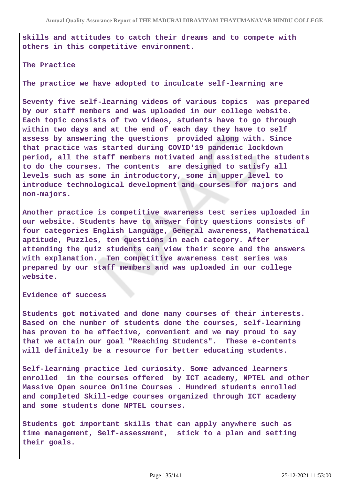**skills and attitudes to catch their dreams and to compete with others in this competitive environment.**

**The Practice**

**The practice we have adopted to inculcate self-learning are**

**Seventy five self-learning videos of various topics was prepared by our staff members and was uploaded in our college website. Each topic consists of two videos, students have to go through within two days and at the end of each day they have to self assess by answering the questions provided along with. Since that practice was started during COVID'19 pandemic lockdown period, all the staff members motivated and assisted the students to do the courses. The contents are designed to satisfy all levels such as some in introductory, some in upper level to introduce technological development and courses for majors and non-majors.**

**Another practice is competitive awareness test series uploaded in our website. Students have to answer forty questions consists of four categories English Language, General awareness, Mathematical aptitude, Puzzles, ten questions in each category. After attending the quiz students can view their score and the answers with explanation. Ten competitive awareness test series was prepared by our staff members and was uploaded in our college website.**

**Evidence of success**

**Students got motivated and done many courses of their interests. Based on the number of students done the courses, self-learning has proven to be effective, convenient and we may proud to say that we attain our goal "Reaching Students". These e-contents will definitely be a resource for better educating students.**

**Self-learning practice led curiosity. Some advanced learners enrolled in the courses offered by ICT academy, NPTEL and other Massive Open source Online Courses . Hundred students enrolled and completed Skill-edge courses organized through ICT academy and some students done NPTEL courses.**

**Students got important skills that can apply anywhere such as time management, Self-assessment, stick to a plan and setting their goals.**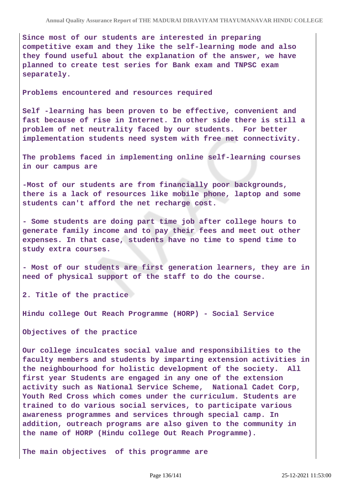**Since most of our students are interested in preparing competitive exam and they like the self-learning mode and also they found useful about the explanation of the answer, we have planned to create test series for Bank exam and TNPSC exam separately.**

**Problems encountered and resources required**

**Self -learning has been proven to be effective, convenient and fast because of rise in Internet. In other side there is still a problem of net neutrality faced by our students. For better implementation students need system with free net connectivity.**

**The problems faced in implementing online self-learning courses in our campus are**

**-Most of our students are from financially poor backgrounds, there is a lack of resources like mobile phone, laptop and some students can't afford the net recharge cost.**

**- Some students are doing part time job after college hours to generate family income and to pay their fees and meet out other expenses. In that case, students have no time to spend time to study extra courses.** 

**- Most of our students are first generation learners, they are in need of physical support of the staff to do the course.**

**2. Title of the practice**

**Hindu college Out Reach Programme (HORP) - Social Service**

**Objectives of the practice**

**Our college inculcates social value and responsibilities to the faculty members and students by imparting extension activities in the neighbourhood for holistic development of the society. All first year Students are engaged in any one of the extension activity such as National Service Scheme, National Cadet Corp, Youth Red Cross which comes under the curriculum. Students are trained to do various social services, to participate various awareness programmes and services through special camp. In addition, outreach programs are also given to the community in the name of HORP (Hindu college Out Reach Programme).**

**The main objectives of this programme are**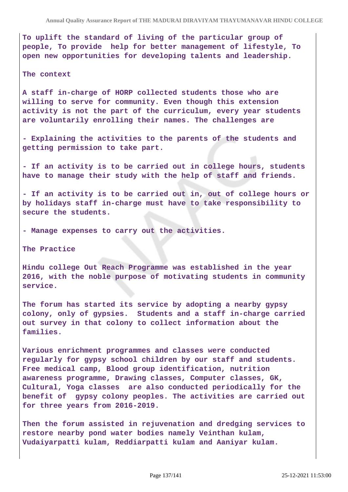**To uplift the standard of living of the particular group of people, To provide help for better management of lifestyle, To open new opportunities for developing talents and leadership.**

#### **The context**

**A staff in-charge of HORP collected students those who are willing to serve for community. Even though this extension activity is not the part of the curriculum, every year students are voluntarily enrolling their names. The challenges are**

**- Explaining the activities to the parents of the students and getting permission to take part.**

**- If an activity is to be carried out in college hours, students have to manage their study with the help of staff and friends.**

**- If an activity is to be carried out in, out of college hours or by holidays staff in-charge must have to take responsibility to secure the students.**

**- Manage expenses to carry out the activities.** 

**The Practice**

**Hindu college Out Reach Programme was established in the year 2016, with the noble purpose of motivating students in community service.**

**The forum has started its service by adopting a nearby gypsy colony, only of gypsies. Students and a staff in-charge carried out survey in that colony to collect information about the families.**

**Various enrichment programmes and classes were conducted regularly for gypsy school children by our staff and students. Free medical camp, Blood group identification, nutrition awareness programme, Drawing classes, Computer classes, GK, Cultural, Yoga classes are also conducted periodically for the benefit of gypsy colony peoples. The activities are carried out for three years from 2016-2019.**

**Then the forum assisted in rejuvenation and dredging services to restore nearby pond water bodies namely Veinthan kulam, Vudaiyarpatti kulam, Reddiarpatti kulam and Aaniyar kulam.**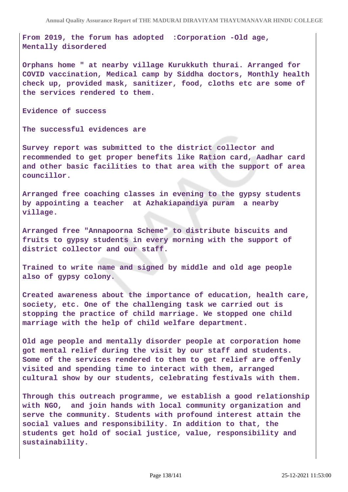**From 2019, the forum has adopted :Corporation -Old age, Mentally disordered** 

**Orphans home " at nearby village Kurukkuth thurai. Arranged for COVID vaccination, Medical camp by Siddha doctors, Monthly health check up, provided mask, sanitizer, food, cloths etc are some of the services rendered to them.** 

**Evidence of success**

**The successful evidences are** 

**Survey report was submitted to the district collector and recommended to get proper benefits like Ration card, Aadhar card and other basic facilities to that area with the support of area councillor.**

**Arranged free coaching classes in evening to the gypsy students by appointing a teacher at Azhakiapandiya puram a nearby village.**

**Arranged free "Annapoorna Scheme" to distribute biscuits and fruits to gypsy students in every morning with the support of district collector and our staff.**

**Trained to write name and signed by middle and old age people also of gypsy colony.**

**Created awareness about the importance of education, health care, society, etc. One of the challenging task we carried out is stopping the practice of child marriage. We stopped one child marriage with the help of child welfare department.**

**Old age people and mentally disorder people at corporation home got mental relief during the visit by our staff and students. Some of the services rendered to them to get relief are offenly visited and spending time to interact with them, arranged cultural show by our students, celebrating festivals with them.**

**Through this outreach programme, we establish a good relationship with NGO, and join hands with local community organization and serve the community. Students with profound interest attain the social values and responsibility. In addition to that, the students get hold of social justice, value, responsibility and sustainability.**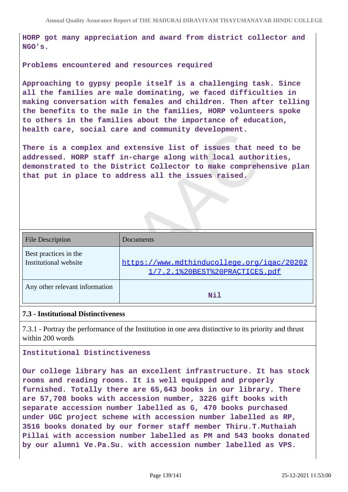**HORP got many appreciation and award from district collector and NGO's.**

### **Problems encountered and resources required**

**Approaching to gypsy people itself is a challenging task. Since all the families are male dominating, we faced difficulties in making conversation with females and children. Then after telling the benefits to the male in the families, HORP volunteers spoke to others in the families about the importance of education, health care, social care and community development.** 

**There is a complex and extensive list of issues that need to be addressed. HORP staff in-charge along with local authorities, demonstrated to the District Collector to make comprehensive plan that put in place to address all the issues raised.**

| <b>File Description</b>                        | Documents                                                                    |
|------------------------------------------------|------------------------------------------------------------------------------|
| Best practices in the<br>Institutional website | https://www.mdthinducollege.org/igac/20202<br>1/7.2.1%20BEST%20PRACTICES.pdf |
| Any other relevant information                 | Nil                                                                          |

## **7.3 - Institutional Distinctiveness**

7.3.1 - Portray the performance of the Institution in one area distinctive to its priority and thrust within 200 words

### **Institutional Distinctiveness**

**Our college library has an excellent infrastructure. It has stock rooms and reading rooms. It is well equipped and properly furnished. Totally there are 65,643 books in our library. There are 57,708 books with accession number, 3226 gift books with separate accession number labelled as G, 470 books purchased under UGC project scheme with accession number labelled as RP, 3516 books donated by our former staff member Thiru.T.Muthaiah Pillai with accession number labelled as PM and 543 books donated by our alumni Ve.Pa.Su. with accession number labelled as VPS.**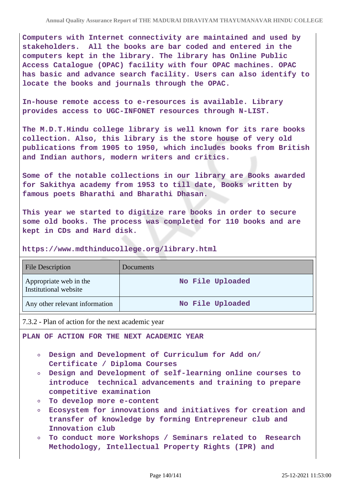**Computers with Internet connectivity are maintained and used by stakeholders. All the books are bar coded and entered in the computers kept in the library. The library has Online Public Access Catalogue (OPAC) facility with four OPAC machines. OPAC has basic and advance search facility. Users can also identify to locate the books and journals through the OPAC.**

**In-house remote access to e-resources is available. Library provides access to UGC-INFONET resources through N-LIST.**

**The M.D.T.Hindu college library is well known for its rare books collection. Also, this library is the store house of very old publications from 1905 to 1950, which includes books from British and Indian authors, modern writers and critics.**

**Some of the notable collections in our library are Books awarded for Sakithya academy from 1953 to till date, Books written by famous poets Bharathi and Bharathi Dhasan.**

**This year we started to digitize rare books in order to secure some old books. The process was completed for 110 books and are kept in CDs and Hard disk.** 

**https://www.mdthinducollege.org/library.html** 

| <b>File Description</b>                         | Documents        |
|-------------------------------------------------|------------------|
| Appropriate web in the<br>Institutional website | No File Uploaded |
| Any other relevant information                  | No File Uploaded |

7.3.2 - Plan of action for the next academic year

**PLAN OF ACTION FOR THE NEXT ACADEMIC YEAR**

- **Design and Development of Curriculum for Add on/ Certificate / Diploma Courses**
- **Design and Development of self-learning online courses to introduce technical advancements and training to prepare competitive examination**
- **To develop more e-content**
- **Ecosystem for innovations and initiatives for creation and transfer of knowledge by forming Entrepreneur club and Innovation club**
- **To conduct more Workshops / Seminars related to Research Methodology, Intellectual Property Rights (IPR) and**